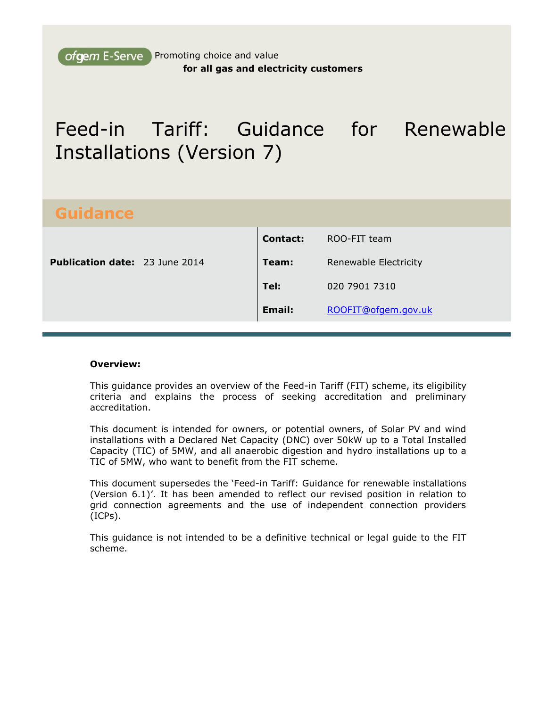ofgem E-Serve Promoting choice and value **for all gas and electricity customers**

# Feed-in Tariff: Guidance for Renewable Installations (Version 7)

# **Guidance**

| <b>Contact:</b><br>ROO-FIT team |
|---------------------------------|
| Renewable Electricity           |
| 020 7901 7310                   |
| ROOFIT@ofgem.gov.uk             |
|                                 |

#### **Overview:**

This guidance provides an overview of the Feed-in Tariff (FIT) scheme, its eligibility criteria and explains the process of seeking accreditation and preliminary accreditation.

This document is intended for owners, or potential owners, of Solar PV and wind installations with a Declared Net Capacity (DNC) over 50kW up to a Total Installed Capacity (TIC) of 5MW, and all anaerobic digestion and hydro installations up to a TIC of 5MW, who want to benefit from the FIT scheme.

This document supersedes the 'Feed-in Tariff: Guidance for renewable installations (Version 6.1)'. It has been amended to reflect our revised position in relation to grid connection agreements and the use of independent connection providers (ICPs).

This guidance is not intended to be a definitive technical or legal guide to the FIT scheme.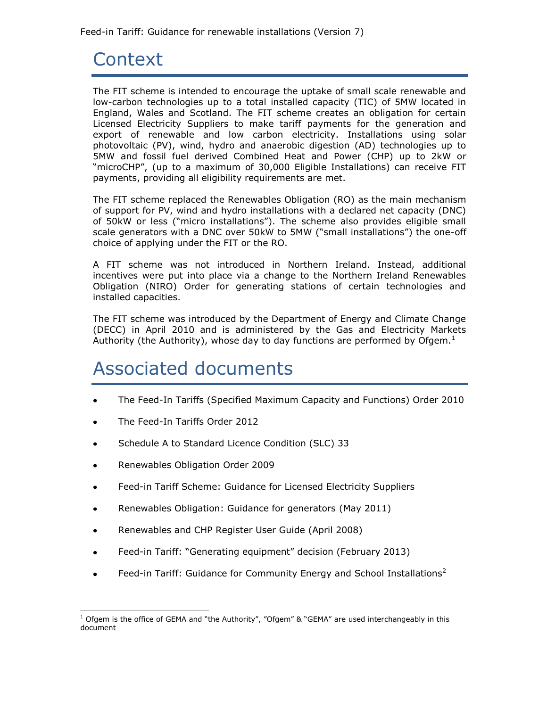# <span id="page-1-0"></span>**Context**

The FIT scheme is intended to encourage the uptake of small scale renewable and low-carbon technologies up to a total installed capacity (TIC) of 5MW located in England, Wales and Scotland. The FIT scheme creates an obligation for certain Licensed Electricity Suppliers to make tariff payments for the generation and export of renewable and low carbon electricity. Installations using solar photovoltaic (PV), wind, hydro and anaerobic digestion (AD) technologies up to 5MW and fossil fuel derived Combined Heat and Power (CHP) up to 2kW or "microCHP", (up to a maximum of 30,000 Eligible Installations) can receive FIT payments, providing all eligibility requirements are met.

The FIT scheme replaced the Renewables Obligation (RO) as the main mechanism of support for PV, wind and hydro installations with a declared net capacity (DNC) of 50kW or less ("micro installations"). The scheme also provides eligible small scale generators with a DNC over 50kW to 5MW ("small installations") the one-off choice of applying under the FIT or the RO.

A FIT scheme was not introduced in Northern Ireland. Instead, additional incentives were put into place via a change to the Northern Ireland Renewables Obligation (NIRO) Order for generating stations of certain technologies and installed capacities.

The FIT scheme was introduced by the Department of Energy and Climate Change (DECC) in April 2010 and is administered by the Gas and Electricity Markets Authority (the Authority), whose day to day functions are performed by Ofgem. $^1$ 

# <span id="page-1-1"></span>Associated documents

- The Feed-In Tariffs (Specified Maximum Capacity and Functions) Order 2010  $\bullet$
- The Feed-In Tariffs Order 2012  $\bullet$
- Schedule A to Standard Licence Condition (SLC) 33
- Renewables Obligation Order 2009  $\bullet$
- Feed-in Tariff Scheme: Guidance for Licensed Electricity Suppliers  $\bullet$
- Renewables Obligation: Guidance for generators (May 2011)
- [Renewables and CHP Register User Guide \(](http://www.ofgem.gov.uk/Pages/MoreInformation.aspx?docid=13&refer=Sustainability/Environment/RCHPreg)April 2008)  $\bullet$
- Feed-in Tariff: "Generating equipment" decision (February 2013)  $\bullet$
- Feed-in Tariff: Guidance for Community Energy and School Installations<sup>2</sup>  $\bullet$

l  $1$  Ofgem is the office of GEMA and "the Authority", "Ofgem" & "GEMA" are used interchangeably in this document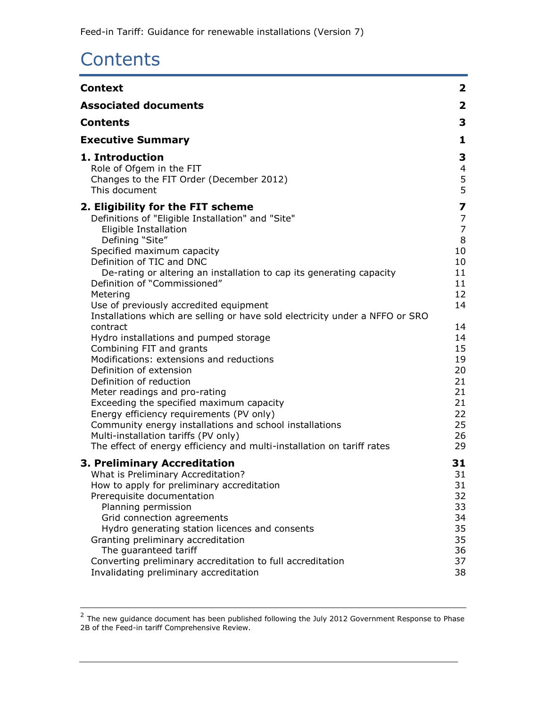# <span id="page-2-0"></span>**Contents**

| <b>Context</b>                                                                                                                                                                                                                                                                                                                                                                                                                                                                                                                                                                                                                                                                                                                                                                                                                                                                                                                        | $\mathbf{2}$                                                                                                                              |
|---------------------------------------------------------------------------------------------------------------------------------------------------------------------------------------------------------------------------------------------------------------------------------------------------------------------------------------------------------------------------------------------------------------------------------------------------------------------------------------------------------------------------------------------------------------------------------------------------------------------------------------------------------------------------------------------------------------------------------------------------------------------------------------------------------------------------------------------------------------------------------------------------------------------------------------|-------------------------------------------------------------------------------------------------------------------------------------------|
| <b>Associated documents</b>                                                                                                                                                                                                                                                                                                                                                                                                                                                                                                                                                                                                                                                                                                                                                                                                                                                                                                           | $\mathbf{2}$                                                                                                                              |
| <b>Contents</b>                                                                                                                                                                                                                                                                                                                                                                                                                                                                                                                                                                                                                                                                                                                                                                                                                                                                                                                       | 3                                                                                                                                         |
| <b>Executive Summary</b>                                                                                                                                                                                                                                                                                                                                                                                                                                                                                                                                                                                                                                                                                                                                                                                                                                                                                                              | 1                                                                                                                                         |
| 1. Introduction<br>Role of Ofgem in the FIT<br>Changes to the FIT Order (December 2012)<br>This document                                                                                                                                                                                                                                                                                                                                                                                                                                                                                                                                                                                                                                                                                                                                                                                                                              | 3<br>4<br>5<br>5                                                                                                                          |
| 2. Eligibility for the FIT scheme<br>Definitions of "Eligible Installation" and "Site"<br>Eligible Installation<br>Defining "Site"<br>Specified maximum capacity<br>Definition of TIC and DNC<br>De-rating or altering an installation to cap its generating capacity<br>Definition of "Commissioned"<br>Metering<br>Use of previously accredited equipment<br>Installations which are selling or have sold electricity under a NFFO or SRO<br>contract<br>Hydro installations and pumped storage<br>Combining FIT and grants<br>Modifications: extensions and reductions<br>Definition of extension<br>Definition of reduction<br>Meter readings and pro-rating<br>Exceeding the specified maximum capacity<br>Energy efficiency requirements (PV only)<br>Community energy installations and school installations<br>Multi-installation tariffs (PV only)<br>The effect of energy efficiency and multi-installation on tariff rates | 7<br>7<br>$\overline{7}$<br>8<br>10<br>10<br>11<br>11<br>12<br>14<br>14<br>14<br>15<br>19<br>20<br>21<br>21<br>21<br>22<br>25<br>26<br>29 |
| 3. Preliminary Accreditation<br>What is Preliminary Accreditation?<br>How to apply for preliminary accreditation<br>Prerequisite documentation<br>Planning permission<br>Grid connection agreements<br>Hydro generating station licences and consents<br>Granting preliminary accreditation<br>The quaranteed tariff<br>Converting preliminary accreditation to full accreditation<br>Invalidating preliminary accreditation                                                                                                                                                                                                                                                                                                                                                                                                                                                                                                          | 31<br>31<br>31<br>32<br>33<br>34<br>35<br>35<br>36<br>37<br>38                                                                            |

 2 The new guidance document has been published following the July 2012 Government Response to Phase 2B of the Feed-in tariff Comprehensive Review.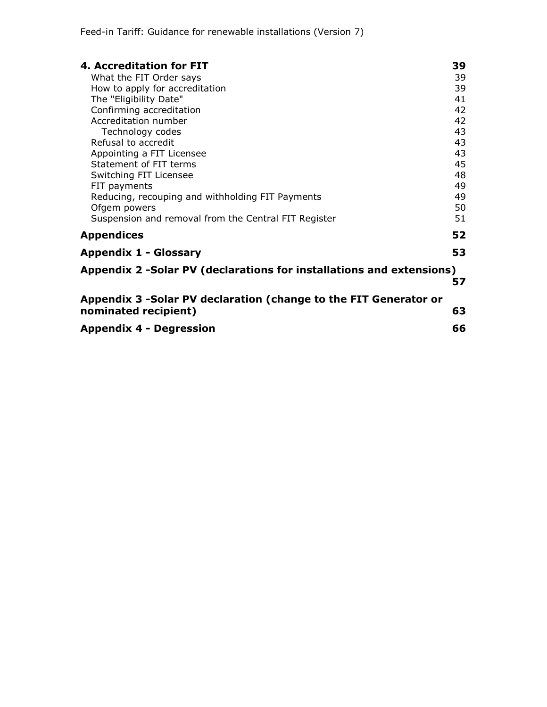| 4. Accreditation for FIT                                             | 39 |  |
|----------------------------------------------------------------------|----|--|
| What the FIT Order says                                              | 39 |  |
| How to apply for accreditation                                       | 39 |  |
| The "Eligibility Date"                                               | 41 |  |
| Confirming accreditation                                             | 42 |  |
| Accreditation number                                                 | 42 |  |
| Technology codes                                                     | 43 |  |
| Refusal to accredit                                                  | 43 |  |
| Appointing a FIT Licensee                                            | 43 |  |
| Statement of FIT terms                                               | 45 |  |
| Switching FIT Licensee                                               | 48 |  |
| FIT payments                                                         | 49 |  |
| Reducing, recouping and withholding FIT Payments                     | 49 |  |
| Ofgem powers                                                         | 50 |  |
| Suspension and removal from the Central FIT Register                 | 51 |  |
| <b>Appendices</b>                                                    | 52 |  |
| <b>Appendix 1 - Glossary</b>                                         | 53 |  |
| Appendix 2 -Solar PV (declarations for installations and extensions) |    |  |
|                                                                      | 57 |  |
| Appendix 3 - Solar PV declaration (change to the FIT Generator or    |    |  |
| nominated recipient)                                                 | 63 |  |
| <b>Appendix 4 - Degression</b>                                       |    |  |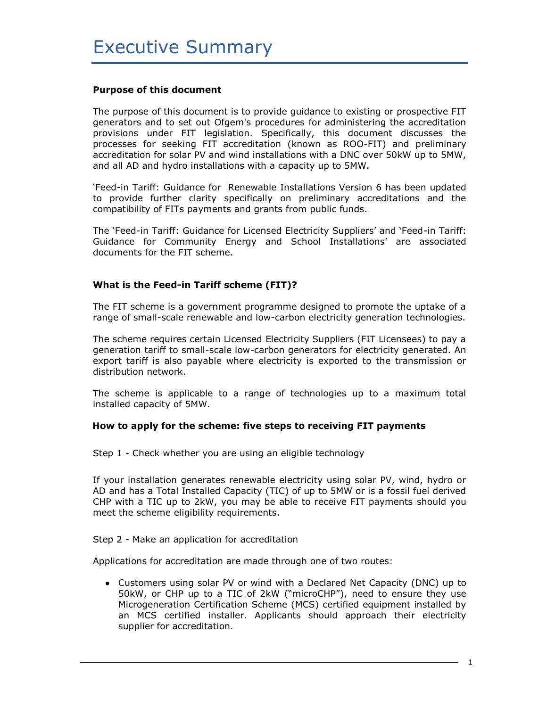#### <span id="page-4-0"></span>**Purpose of this document**

The purpose of this document is to provide guidance to existing or prospective FIT generators and to set out Ofgem's procedures for administering the accreditation provisions under FIT legislation. Specifically, this document discusses the processes for seeking FIT accreditation (known as ROO-FIT) and preliminary accreditation for solar PV and wind installations with a DNC over 50kW up to 5MW, and all AD and hydro installations with a capacity up to 5MW.

'Feed-in Tariff: Guidance for Renewable Installations Version 6 has been updated to provide further clarity specifically on preliminary accreditations and the compatibility of FITs payments and grants from public funds.

The 'Feed-in Tariff: Guidance for Licensed Electricity Suppliers' and 'Feed-in Tariff: Guidance for Community Energy and School Installations' are associated documents for the FIT scheme.

#### **What is the Feed-in Tariff scheme (FIT)?**

The FIT scheme is a government programme designed to promote the uptake of a range of small-scale renewable and low-carbon electricity generation technologies.

The scheme requires certain Licensed Electricity Suppliers (FIT Licensees) to pay a generation tariff to small-scale low-carbon generators for electricity generated. An export tariff is also payable where electricity is exported to the transmission or distribution network.

The scheme is applicable to a range of technologies up to a maximum total installed capacity of 5MW.

#### **How to apply for the scheme: five steps to receiving FIT payments**

Step 1 - Check whether you are using an eligible technology

If your installation generates renewable electricity using solar PV, wind, hydro or AD and has a Total Installed Capacity (TIC) of up to 5MW or is a fossil fuel derived CHP with a TIC up to 2kW, you may be able to receive FIT payments should you meet the scheme eligibility requirements.

Step 2 - Make an application for accreditation

Applications for accreditation are made through one of two routes:

Customers using solar PV or wind with a Declared Net Capacity (DNC) up to 50kW, or CHP up to a TIC of 2kW ("microCHP"), need to ensure they use Microgeneration Certification Scheme (MCS) certified equipment installed by an MCS certified installer. Applicants should approach their electricity supplier for accreditation.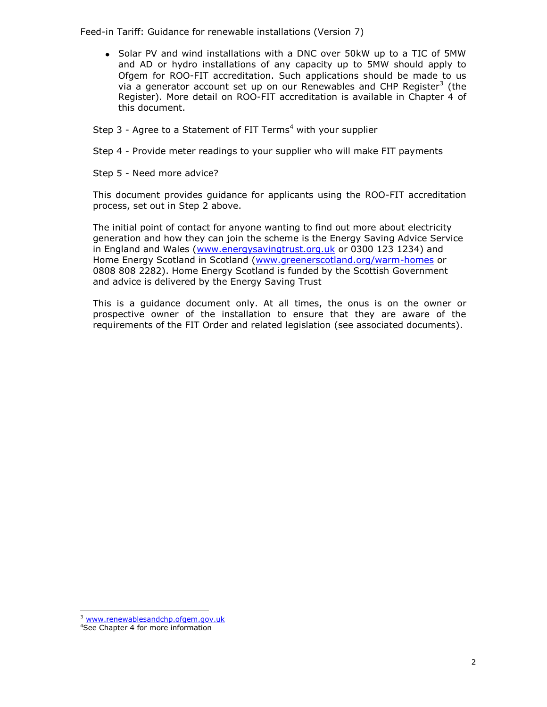Solar PV and wind installations with a DNC over 50kW up to a TIC of 5MW and AD or hydro installations of any capacity up to 5MW should apply to Ofgem for ROO-FIT accreditation. Such applications should be made to us via a generator account set up on our Renewables and CHP Register<sup>3</sup> (the Register). More detail on ROO-FIT accreditation is available in Chapter 4 of this document.

Step  $3$  - Agree to a Statement of FIT Terms<sup>4</sup> with your supplier

Step 4 - Provide meter readings to your supplier who will make FIT payments

Step 5 - Need more advice?

This document provides guidance for applicants using the ROO-FIT accreditation process, set out in Step 2 above.

The initial point of contact for anyone wanting to find out more about electricity generation and how they can join the scheme is the Energy Saving Advice Service in England and Wales [\(www.energysavingtrust.org.uk](http://www.energysavingtrust.org.uk/) or 0300 123 1234) and Home Energy Scotland in Scotland [\(www.greenerscotland.org/warm-homes](http://www.greenerscotland.org/warm-homes/) or 0808 808 2282). Home Energy Scotland is funded by the Scottish Government and advice is delivered by the Energy Saving Trust

This is a guidance document only. At all times, the onus is on the owner or prospective owner of the installation to ensure that they are aware of the requirements of the FIT Order and related legislation (see associated documents).

<sup>&</sup>lt;sup>3</sup> [www.renewablesandchp.ofgem.gov.uk](http://www.renewablesandchp.ofgem.gov.uk/)

<sup>4</sup>See Chapter 4 for more information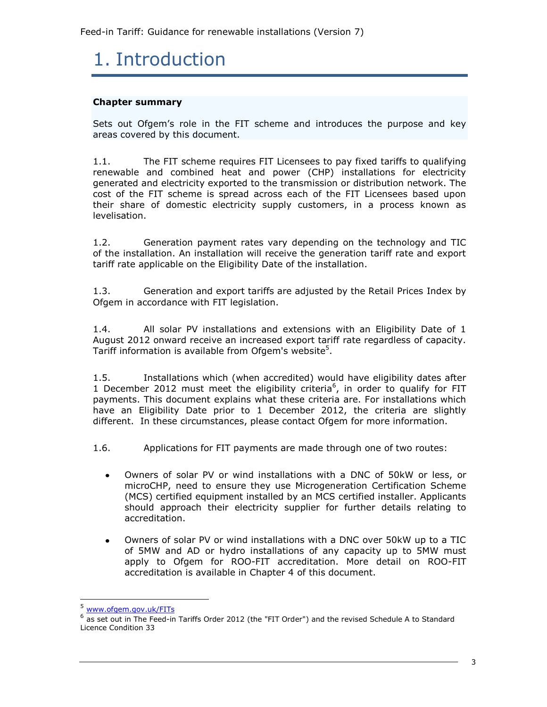# <span id="page-6-0"></span>1. Introduction

#### **Chapter summary**

Sets out Ofgem's role in the FIT scheme and introduces the purpose and key areas covered by this document.

1.1. The FIT scheme requires FIT Licensees to pay fixed tariffs to qualifying renewable and combined heat and power (CHP) installations for electricity generated and electricity exported to the transmission or distribution network. The cost of the FIT scheme is spread across each of the FIT Licensees based upon their share of domestic electricity supply customers, in a process known as levelisation.

1.2. Generation payment rates vary depending on the technology and TIC of the installation. An installation will receive the generation tariff rate and export tariff rate applicable on the Eligibility Date of the installation.

1.3. Generation and export tariffs are adjusted by the Retail Prices Index by Ofgem in accordance with FIT legislation.

1.4. All solar PV installations and extensions with an Eligibility Date of 1 August 2012 onward receive an increased export tariff rate regardless of capacity. Tariff information is available from Ofgem's website<sup>5</sup>.

1.5. Installations which (when accredited) would have eligibility dates after 1 December 2012 must meet the eligibility criteria<sup>6</sup>, in order to qualify for FIT payments. This document explains what these criteria are. For installations which have an Eligibility Date prior to 1 December 2012, the criteria are slightly different. In these circumstances, please contact Ofgem for more information.

1.6. Applications for FIT payments are made through one of two routes:

- Owners of solar PV or wind installations with a DNC of 50kW or less, or  $\bullet$ microCHP, need to ensure they use Microgeneration Certification Scheme (MCS) certified equipment installed by an MCS certified installer. Applicants should approach their electricity supplier for further details relating to accreditation.
- Owners of solar PV or wind installations with a DNC over 50kW up to a TIC  $\bullet$ of 5MW and AD or hydro installations of any capacity up to 5MW must apply to Ofgem for ROO-FIT accreditation. More detail on ROO-FIT accreditation is available in Chapter 4 of this document.

<sup>5</sup> [www.ofgem.gov.uk/FITs](http://www.ofgem.gov.uk/FITs)

<sup>6</sup> as set out in The Feed-in Tariffs Order 2012 (the "FIT Order") and the revised Schedule A to Standard Licence Condition 33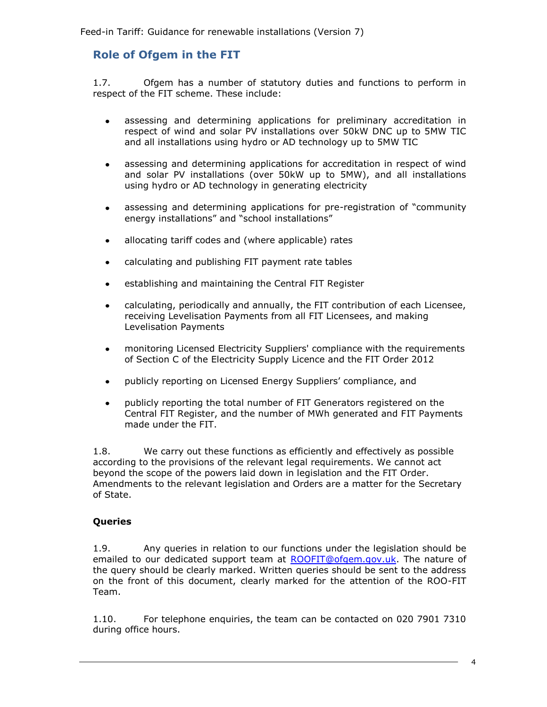## <span id="page-7-0"></span>**Role of Ofgem in the FIT**

1.7. Ofgem has a number of statutory duties and functions to perform in respect of the FIT scheme. These include:

- assessing and determining applications for preliminary accreditation in  $\bullet$ respect of wind and solar PV installations over 50kW DNC up to 5MW TIC and all installations using hydro or AD technology up to 5MW TIC
- assessing and determining applications for accreditation in respect of wind  $\bullet$ and solar PV installations (over 50kW up to 5MW), and all installations using hydro or AD technology in generating electricity
- $\bullet$ assessing and determining applications for pre-registration of "community energy installations" and "school installations"
- allocating tariff codes and (where applicable) rates
- calculating and publishing FIT payment rate tables  $\bullet$
- establishing and maintaining the Central FIT Register
- calculating, periodically and annually, the FIT contribution of each Licensee,  $\bullet$ receiving Levelisation Payments from all FIT Licensees, and making Levelisation Payments
- monitoring Licensed Electricity Suppliers' compliance with the requirements  $\bullet$ of Section C of the Electricity Supply Licence and the FIT Order 2012
- publicly reporting on Licensed Energy Suppliers' compliance, and  $\bullet$
- publicly reporting the total number of FIT Generators registered on the  $\bullet$ Central FIT Register, and the number of MWh generated and FIT Payments made under the FIT.

1.8. We carry out these functions as efficiently and effectively as possible according to the provisions of the relevant legal requirements. We cannot act beyond the scope of the powers laid down in legislation and the FIT Order. Amendments to the relevant legislation and Orders are a matter for the Secretary of State.

#### **Queries**

1.9. Any queries in relation to our functions under the legislation should be emailed to our dedicated support team at [ROOFIT@ofgem.gov.uk.](mailto:ROOFIT@ofgem.gov.uk) The nature of the query should be clearly marked. Written queries should be sent to the address on the front of this document, clearly marked for the attention of the ROO-FIT Team.

1.10. For telephone enquiries, the team can be contacted on 020 7901 7310 during office hours.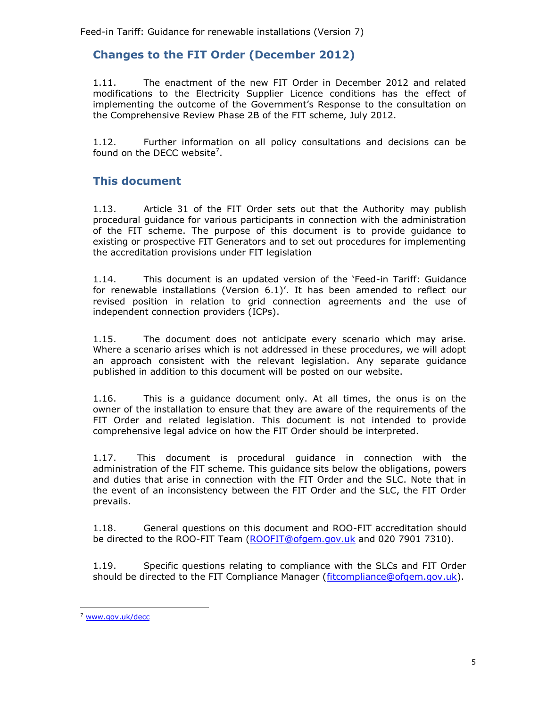## <span id="page-8-0"></span>**Changes to the FIT Order (December 2012)**

1.11. The enactment of the new FIT Order in December 2012 and related modifications to the Electricity Supplier Licence conditions has the effect of implementing the outcome of the Government's Response to the consultation on the Comprehensive Review Phase 2B of the FIT scheme, July 2012.

1.12. Further information on all policy consultations and decisions can be found on the DECC website<sup>7</sup>.

## <span id="page-8-1"></span>**This document**

1.13. Article 31 of the FIT Order sets out that the Authority may publish procedural guidance for various participants in connection with the administration of the FIT scheme. The purpose of this document is to provide guidance to existing or prospective FIT Generators and to set out procedures for implementing the accreditation provisions under FIT legislation

1.14. This document is an updated version of the 'Feed-in Tariff: Guidance for renewable installations (Version 6.1)'. It has been amended to reflect our revised position in relation to grid connection agreements and the use of independent connection providers (ICPs).

1.15. The document does not anticipate every scenario which may arise. Where a scenario arises which is not addressed in these procedures, we will adopt an approach consistent with the relevant legislation. Any separate guidance published in addition to this document will be posted on our website.

1.16. This is a guidance document only. At all times, the onus is on the owner of the installation to ensure that they are aware of the requirements of the FIT Order and related legislation. This document is not intended to provide comprehensive legal advice on how the FIT Order should be interpreted.

1.17. This document is procedural guidance in connection with the administration of the FIT scheme. This guidance sits below the obligations, powers and duties that arise in connection with the FIT Order and the SLC. Note that in the event of an inconsistency between the FIT Order and the SLC, the FIT Order prevails.

1.18. General questions on this document and ROO-FIT accreditation should be directed to the ROO-FIT Team [\(ROOFIT@ofgem.gov.uk](mailto:renewable@ofgem.gov.uk) and 020 7901 7310).

1.19. Specific questions relating to compliance with the SLCs and FIT Order should be directed to the FIT Compliance Manager [\(fitcompliance@ofgem.gov.uk\)](mailto:fitcompliance@ofgem.gov.uk).

ł

<sup>7</sup> [www.gov.uk/decc](http://www.gov.uk/decc)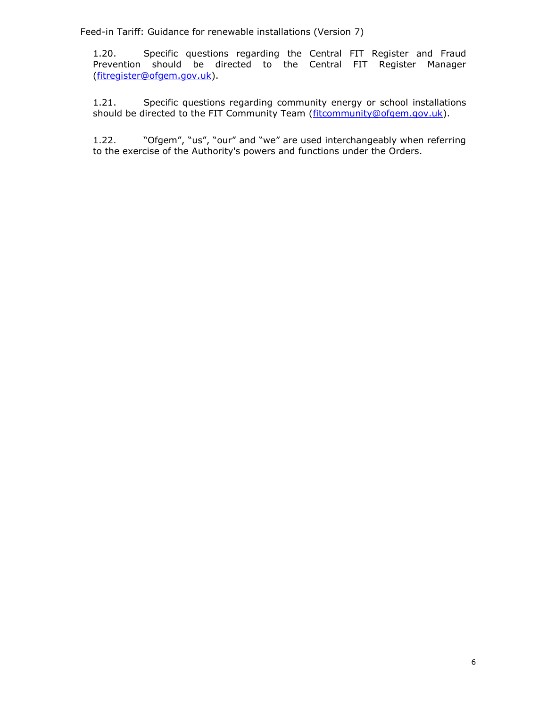1.20. Specific questions regarding the Central FIT Register and Fraud Prevention should be directed to the Central FIT Register Manager [\(fitregister@ofgem.gov.uk\)](mailto:fitregister@ofgem.gov.uk).

1.21. Specific questions regarding community energy or school installations should be directed to the FIT Community Team [\(fitcommunity@ofgem.gov.uk\)](mailto:fitcommunity@ofgem.gov.uk).

1.22. "Ofgem", "us", "our" and "we" are used interchangeably when referring to the exercise of the Authority's powers and functions under the Orders.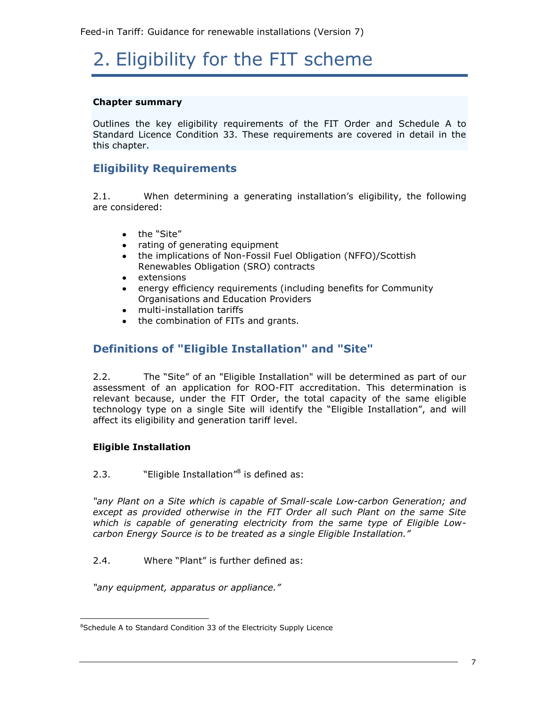# <span id="page-10-0"></span>2. Eligibility for the FIT scheme

#### **Chapter summary**

Outlines the key eligibility requirements of the FIT Order and Schedule A to Standard Licence Condition 33. These requirements are covered in detail in the this chapter.

## **Eligibility Requirements**

2.1. When determining a generating installation's eligibility, the following are considered:

- the "Site"
- rating of generating equipment
- the implications of Non-Fossil Fuel Obligation (NFFO)/Scottish Renewables Obligation (SRO) contracts
- extensions
- energy efficiency requirements (including benefits for Community Organisations and Education Providers
- multi-installation tariffs
- the combination of FITs and grants.

## <span id="page-10-1"></span>**Definitions of "Eligible Installation" and "Site"**

2.2. The "Site" of an "Eligible Installation" will be determined as part of our assessment of an application for ROO-FIT accreditation. This determination is relevant because, under the FIT Order, the total capacity of the same eligible technology type on a single Site will identify the "Eligible Installation", and will affect its eligibility and generation tariff level.

#### <span id="page-10-2"></span>**Eligible Installation**

l

2.3. "Eligible Installation" $\delta$  is defined as:

*"any Plant on a Site which is capable of Small-scale Low-carbon Generation; and except as provided otherwise in the FIT Order all such Plant on the same Site which is capable of generating electricity from the same type of Eligible Lowcarbon Energy Source is to be treated as a single Eligible Installation."*

2.4. Where "Plant" is further defined as:

*"any equipment, apparatus or appliance."*

<sup>&</sup>lt;sup>8</sup>Schedule A to Standard Condition 33 of the Electricity Supply Licence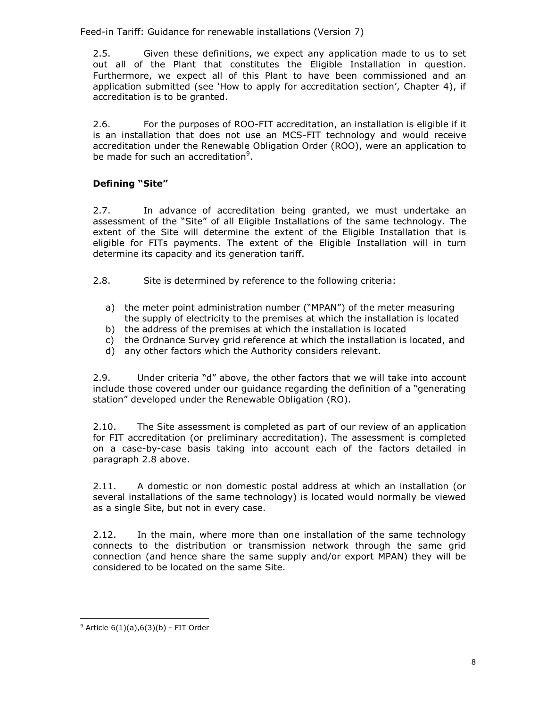2.5. Given these definitions, we expect any application made to us to set out all of the Plant that constitutes the Eligible Installation in question. Furthermore, we expect all of this Plant to have been commissioned and an application submitted (see 'How to apply for accreditation section', Chapter 4), if accreditation is to be granted.

2.6. For the purposes of ROO-FIT accreditation, an installation is eligible if it is an installation that does not use an MCS-FIT technology and would receive accreditation under the Renewable Obligation Order (ROO), were an application to be made for such an accreditation<sup>9</sup>.

### <span id="page-11-0"></span>**Defining "Site"**

2.7. In advance of accreditation being granted, we must undertake an assessment of the "Site" of all Eligible Installations of the same technology. The extent of the Site will determine the extent of the Eligible Installation that is eligible for FITs payments. The extent of the Eligible Installation will in turn determine its capacity and its generation tariff.

<span id="page-11-1"></span>2.8. Site is determined by reference to the following criteria:

- a) the meter point administration number ("MPAN") of the meter measuring the supply of electricity to the premises at which the installation is located
- b) the address of the premises at which the installation is located
- c) the Ordnance Survey grid reference at which the installation is located, and
- d) any other factors which the Authority considers relevant.

2.9. Under criteria "d" above, the other factors that we will take into account include those covered under our guidance regarding the definition of a "generating station" developed under the Renewable Obligation (RO).

2.10. The Site assessment is completed as part of our review of an application for FIT accreditation (or preliminary accreditation). The assessment is completed on a case-by-case basis taking into account each of the factors detailed in paragraph [2.8](#page-11-1) above.

2.11. A domestic or non domestic postal address at which an installation (or several installations of the same technology) is located would normally be viewed as a single Site, but not in every case.

2.12. In the main, where more than one installation of the same technology connects to the distribution or transmission network through the same grid connection (and hence share the same supply and/or export MPAN) they will be considered to be located on the same Site.

 $9$  Article 6(1)(a),6(3)(b) - FIT Order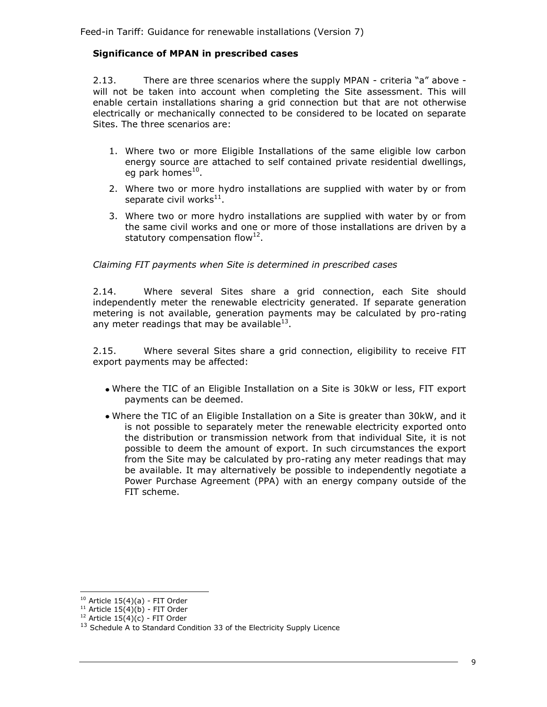#### **Significance of MPAN in prescribed cases**

2.13. There are three scenarios where the supply MPAN - criteria "a" above will not be taken into account when completing the Site assessment. This will enable certain installations sharing a grid connection but that are not otherwise electrically or mechanically connected to be considered to be located on separate Sites. The three scenarios are:

- 1. Where two or more Eligible Installations of the same eligible low carbon energy source are attached to self contained private residential dwellings, eg park homes<sup>10</sup>.
- 2. Where two or more hydro installations are supplied with water by or from separate civil works $^{11}$ .
- 3. Where two or more hydro installations are supplied with water by or from the same civil works and one or more of those installations are driven by a statutory compensation flow<sup>12</sup>.

*Claiming FIT payments when Site is determined in prescribed cases*

2.14. Where several Sites share a grid connection, each Site should independently meter the renewable electricity generated. If separate generation metering is not available, generation payments may be calculated by pro-rating any meter readings that may be available $^{13}$ .

2.15. Where several Sites share a grid connection, eligibility to receive FIT export payments may be affected:

- Where the TIC of an Eligible Installation on a Site is 30kW or less, FIT export payments can be deemed.
- Where the TIC of an Eligible Installation on a Site is greater than 30kW, and it is not possible to separately meter the renewable electricity exported onto the distribution or transmission network from that individual Site, it is not possible to deem the amount of export. In such circumstances the export from the Site may be calculated by pro-rating any meter readings that may be available. It may alternatively be possible to independently negotiate a Power Purchase Agreement (PPA) with an energy company outside of the FIT scheme.

l  $10$  Article  $15(4)(a)$  - FIT Order

<sup>&</sup>lt;sup>11</sup> Article  $15(4)(b)$  - FIT Order

<sup>&</sup>lt;sup>12</sup> Article  $15(4)(c)$  - FIT Order

<sup>&</sup>lt;sup>13</sup> Schedule A to Standard Condition 33 of the Electricity Supply Licence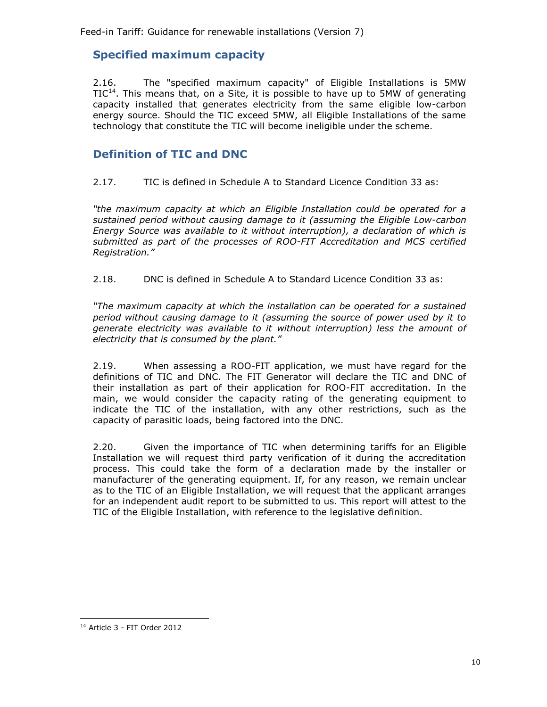## <span id="page-13-0"></span>**Specified maximum capacity**

2.16. The "specified maximum capacity" of Eligible Installations is 5MW  $TIC<sup>14</sup>$ . This means that, on a Site, it is possible to have up to 5MW of generating capacity installed that generates electricity from the same eligible low-carbon energy source. Should the TIC exceed 5MW, all Eligible Installations of the same technology that constitute the TIC will become ineligible under the scheme.

## <span id="page-13-1"></span>**Definition of TIC and DNC**

2.17. TIC is defined in Schedule A to Standard Licence Condition 33 as:

*"the maximum capacity at which an Eligible Installation could be operated for a sustained period without causing damage to it (assuming the Eligible Low-carbon Energy Source was available to it without interruption), a declaration of which is submitted as part of the processes of ROO-FIT Accreditation and MCS certified Registration."*

2.18. DNC is defined in Schedule A to Standard Licence Condition 33 as:

*"The maximum capacity at which the installation can be operated for a sustained period without causing damage to it (assuming the source of power used by it to generate electricity was available to it without interruption) less the amount of electricity that is consumed by the plant."*

2.19. When assessing a ROO-FIT application, we must have regard for the definitions of TIC and DNC. The FIT Generator will declare the TIC and DNC of their installation as part of their application for ROO-FIT accreditation. In the main, we would consider the capacity rating of the generating equipment to indicate the TIC of the installation, with any other restrictions, such as the capacity of parasitic loads, being factored into the DNC.

2.20. Given the importance of TIC when determining tariffs for an Eligible Installation we will request third party verification of it during the accreditation process. This could take the form of a declaration made by the installer or manufacturer of the generating equipment. If, for any reason, we remain unclear as to the TIC of an Eligible Installation, we will request that the applicant arranges for an independent audit report to be submitted to us. This report will attest to the TIC of the Eligible Installation, with reference to the legislative definition.

l <sup>14</sup> Article 3 - FIT Order 2012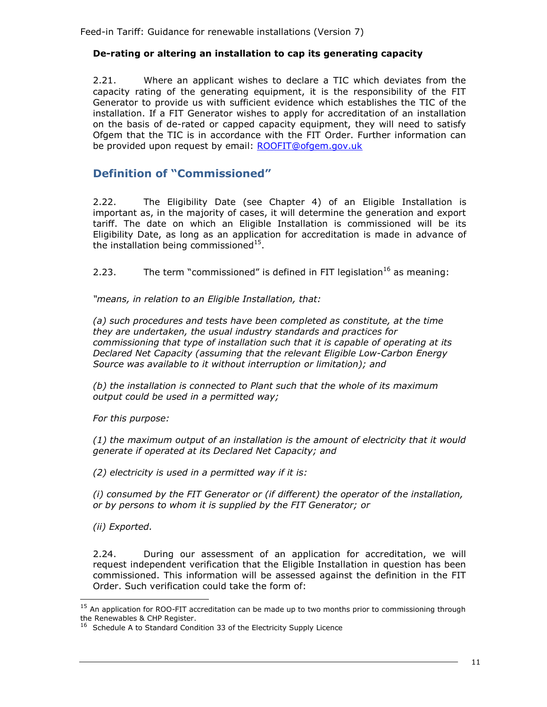#### <span id="page-14-0"></span>**De-rating or altering an installation to cap its generating capacity**

2.21. Where an applicant wishes to declare a TIC which deviates from the capacity rating of the generating equipment, it is the responsibility of the FIT Generator to provide us with sufficient evidence which establishes the TIC of the installation. If a FIT Generator wishes to apply for accreditation of an installation on the basis of de-rated or capped capacity equipment, they will need to satisfy Ofgem that the TIC is in accordance with the FIT Order. Further information can be provided upon request by email: [ROOFIT@ofgem.gov.uk](mailto:renewable@ofgem.gov.uk)

## <span id="page-14-1"></span>**Definition of "Commissioned"**

2.22. The Eligibility Date (see Chapter 4) of an Eligible Installation is important as, in the majority of cases, it will determine the generation and export tariff. The date on which an Eligible Installation is commissioned will be its Eligibility Date, as long as an application for accreditation is made in advance of the installation being commissioned $^{15}$ .

2.23. The term "commissioned" is defined in FIT legislation<sup>16</sup> as meaning:

*"means, in relation to an Eligible Installation, that:*

*(a) such procedures and tests have been completed as constitute, at the time they are undertaken, the usual industry standards and practices for commissioning that type of installation such that it is capable of operating at its Declared Net Capacity (assuming that the relevant Eligible Low-Carbon Energy Source was available to it without interruption or limitation); and*

*(b) the installation is connected to Plant such that the whole of its maximum output could be used in a permitted way;*

*For this purpose:*

*(1) the maximum output of an installation is the amount of electricity that it would generate if operated at its Declared Net Capacity; and*

*(2) electricity is used in a permitted way if it is:*

*(i) consumed by the FIT Generator or (if different) the operator of the installation, or by persons to whom it is supplied by the FIT Generator; or*

*(ii) Exported.*

l

2.24. During our assessment of an application for accreditation, we will request independent verification that the Eligible Installation in question has been commissioned. This information will be assessed against the definition in the FIT Order. Such verification could take the form of:

<sup>&</sup>lt;sup>15</sup> An application for ROO-FIT accreditation can be made up to two months prior to commissioning through the Renewables & CHP Register.

<sup>&</sup>lt;sup>16</sup> Schedule A to Standard Condition 33 of the Electricity Supply Licence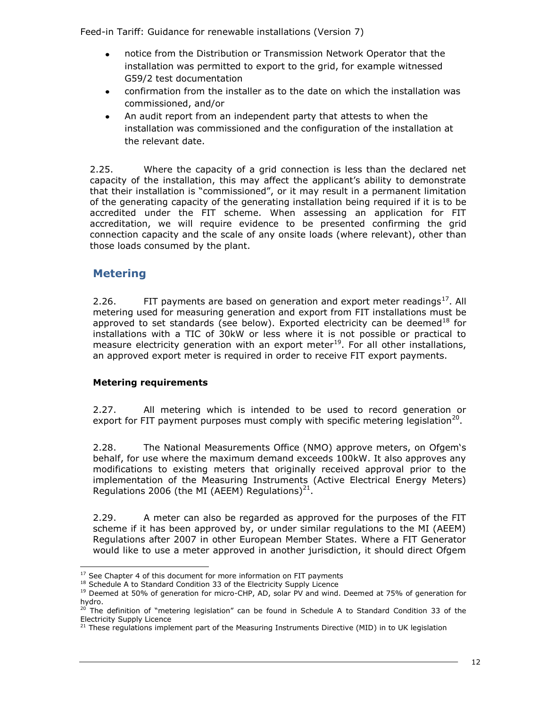- notice from the Distribution or Transmission Network Operator that the installation was permitted to export to the grid, for example witnessed G59/2 test documentation
- confirmation from the installer as to the date on which the installation was commissioned, and/or
- $\bullet$ An audit report from an independent party that attests to when the installation was commissioned and the configuration of the installation at the relevant date.

2.25. Where the capacity of a grid connection is less than the declared net capacity of the installation, this may affect the applicant's ability to demonstrate that their installation is "commissioned", or it may result in a permanent limitation of the generating capacity of the generating installation being required if it is to be accredited under the FIT scheme. When assessing an application for FIT accreditation, we will require evidence to be presented confirming the grid connection capacity and the scale of any onsite loads (where relevant), other than those loads consumed by the plant.

## <span id="page-15-0"></span>**Metering**

2.26. FIT payments are based on generation and export meter readings<sup>17</sup>. All metering used for measuring generation and export from FIT installations must be approved to set standards (see below). Exported electricity can be deemed<sup>18</sup> for installations with a TIC of 30kW or less where it is not possible or practical to measure electricity generation with an export meter<sup>19</sup>. For all other installations, an approved export meter is required in order to receive FIT export payments.

#### **Metering requirements**

2.27. All metering which is intended to be used to record generation or export for FIT payment purposes must comply with specific metering legislation<sup>20</sup>.

2.28. The National Measurements Office (NMO) approve meters, on Ofgem's behalf, for use where the maximum demand exceeds 100kW. It also approves any modifications to existing meters that originally received approval prior to the implementation of the Measuring Instruments (Active Electrical Energy Meters) Regulations 2006 (the MI (AEEM) Regulations) $^{21}$ .

2.29. A meter can also be regarded as approved for the purposes of the FIT scheme if it has been approved by, or under similar regulations to the MI (AEEM) Regulations after 2007 in other European Member States. Where a FIT Generator would like to use a meter approved in another jurisdiction, it should direct Ofgem

ł  $17$  See Chapter 4 of this document for more information on FIT payments

<sup>&</sup>lt;sup>18</sup> Schedule A to Standard Condition 33 of the Electricity Supply Licence

<sup>&</sup>lt;sup>19</sup> Deemed at 50% of generation for micro-CHP, AD, solar PV and wind. Deemed at 75% of generation for hydro.

 $^{20}$  The definition of "metering legislation" can be found in Schedule A to Standard Condition 33 of the Electricity Supply Licence

<sup>&</sup>lt;sup>21</sup> These regulations implement part of the Measuring Instruments Directive (MID) in to UK legislation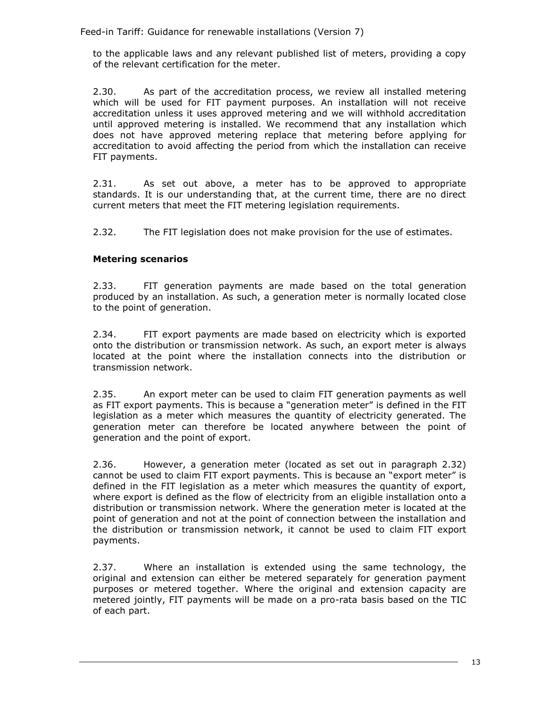to the applicable laws and any relevant published list of meters, providing a copy of the relevant certification for the meter.

2.30. As part of the accreditation process, we review all installed metering which will be used for FIT payment purposes. An installation will not receive accreditation unless it uses approved metering and we will withhold accreditation until approved metering is installed. We recommend that any installation which does not have approved metering replace that metering before applying for accreditation to avoid affecting the period from which the installation can receive FIT payments.

2.31. As set out above, a meter has to be approved to appropriate standards. It is our understanding that, at the current time, there are no direct current meters that meet the FIT metering legislation requirements.

2.32. The FIT legislation does not make provision for the use of estimates.

#### **Metering scenarios**

2.33. FIT generation payments are made based on the total generation produced by an installation. As such, a generation meter is normally located close to the point of generation.

2.34. FIT export payments are made based on electricity which is exported onto the distribution or transmission network. As such, an export meter is always located at the point where the installation connects into the distribution or transmission network.

2.35. An export meter can be used to claim FIT generation payments as well as FIT export payments. This is because a "generation meter" is defined in the FIT legislation as a meter which measures the quantity of electricity generated. The generation meter can therefore be located anywhere between the point of generation and the point of export.

2.36. However, a generation meter (located as set out in paragraph 2.32) cannot be used to claim FIT export payments. This is because an "export meter" is defined in the FIT legislation as a meter which measures the quantity of export, where export is defined as the flow of electricity from an eligible installation onto a distribution or transmission network. Where the generation meter is located at the point of generation and not at the point of connection between the installation and the distribution or transmission network, it cannot be used to claim FIT export payments.

2.37. Where an installation is extended using the same technology, the original and extension can either be metered separately for generation payment purposes or metered together. Where the original and extension capacity are metered jointly, FIT payments will be made on a pro-rata basis based on the TIC of each part.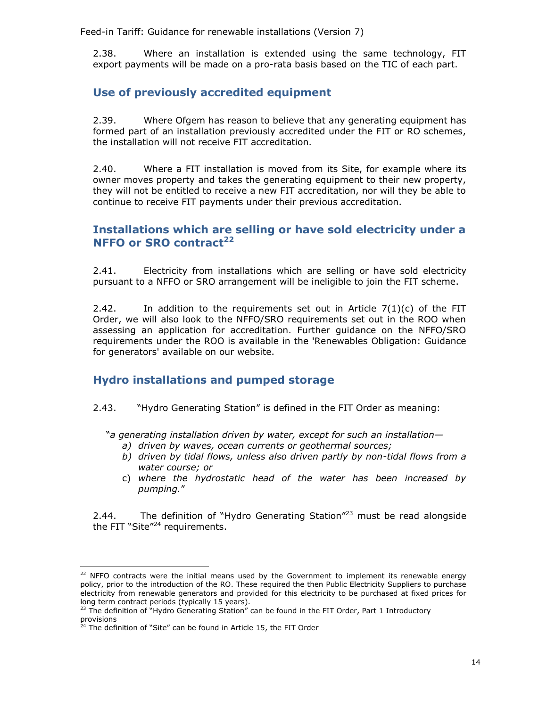2.38. Where an installation is extended using the same technology, FIT export payments will be made on a pro-rata basis based on the TIC of each part.

## <span id="page-17-0"></span>**Use of previously accredited equipment**

2.39. Where Ofgem has reason to believe that any generating equipment has formed part of an installation previously accredited under the FIT or RO schemes, the installation will not receive FIT accreditation.

2.40. Where a FIT installation is moved from its Site, for example where its owner moves property and takes the generating equipment to their new property, they will not be entitled to receive a new FIT accreditation, nor will they be able to continue to receive FIT payments under their previous accreditation.

## <span id="page-17-1"></span>**Installations which are selling or have sold electricity under a NFFO or SRO contract<sup>22</sup>**

2.41. Electricity from installations which are selling or have sold electricity pursuant to a NFFO or SRO arrangement will be ineligible to join the FIT scheme.

2.42. In addition to the requirements set out in Article  $7(1)(c)$  of the FIT Order, we will also look to the NFFO/SRO requirements set out in the ROO when assessing an application for accreditation. Further guidance on the NFFO/SRO requirements under the ROO is available in the 'Renewables Obligation: Guidance for generators' available on our website.

## <span id="page-17-2"></span>**Hydro installations and pumped storage**

#### 2.43. "Hydro Generating Station" is defined in the FIT Order as meaning:

"*a generating installation driven by water, except for such an installation—*

- *a) driven by waves, ocean currents or geothermal sources;*
- *b) driven by tidal flows, unless also driven partly by non-tidal flows from a water course; or*
- c) *where the hydrostatic head of the water has been increased by pumping.*"

2.44. The definition of "Hydro Generating Station"<sup>23</sup> must be read alongside the FIT "Site"<sup>24</sup> requirements.

ł

 $22$  NFFO contracts were the initial means used by the Government to implement its renewable energy policy, prior to the introduction of the RO. These required the then Public Electricity Suppliers to purchase electricity from renewable generators and provided for this electricity to be purchased at fixed prices for long term contract periods (typically 15 years).

 $23$  The definition of "Hydro Generating Station" can be found in the FIT Order, Part 1 Introductory provisions

 $24$  The definition of "Site" can be found in Article 15, the FIT Order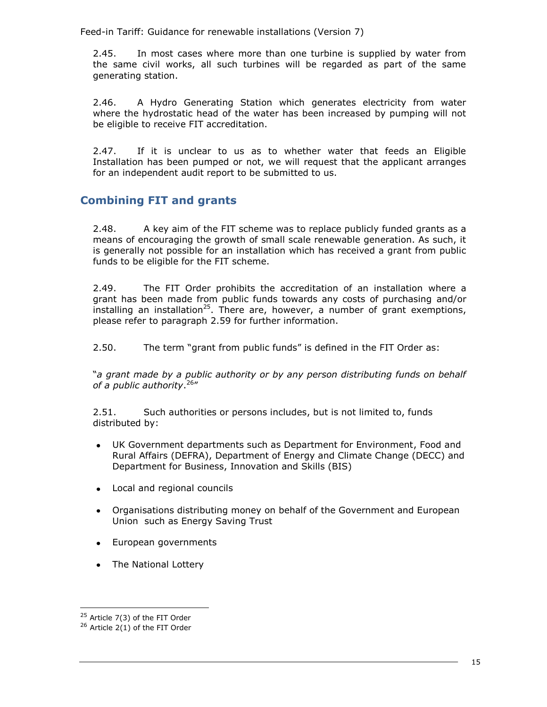2.45. In most cases where more than one turbine is supplied by water from the same civil works, all such turbines will be regarded as part of the same generating station.

2.46. A Hydro Generating Station which generates electricity from water where the hydrostatic head of the water has been increased by pumping will not be eligible to receive FIT accreditation.

2.47. If it is unclear to us as to whether water that feeds an Eligible Installation has been pumped or not, we will request that the applicant arranges for an independent audit report to be submitted to us.

## <span id="page-18-0"></span>**Combining FIT and grants**

2.48. A key aim of the FIT scheme was to replace publicly funded grants as a means of encouraging the growth of small scale renewable generation. As such, it is generally not possible for an installation which has received a grant from public funds to be eligible for the FIT scheme.

2.49. The FIT Order prohibits the accreditation of an installation where a grant has been made from public funds towards any costs of purchasing and/or installing an installation<sup>25</sup>. There are, however, a number of grant exemptions, please refer to paragraph 2.59 for further information.

2.50. The term "grant from public funds" is defined in the FIT Order as:

"*a grant made by a public authority or by any person distributing funds on behalf of a public authority*. 26 "

2.51. Such authorities or persons includes, but is not limited to, funds distributed by:

- UK Government departments such as Department for Environment, Food and Rural Affairs (DEFRA), Department of Energy and Climate Change (DECC) and Department for Business, Innovation and Skills (BIS)
- Local and regional councils
- Organisations distributing money on behalf of the Government and European Union such as Energy Saving Trust
- European governments
- The National Lottery

ł

 $25$  Article 7(3) of the FIT Order

 $26$  Article 2(1) of the FIT Order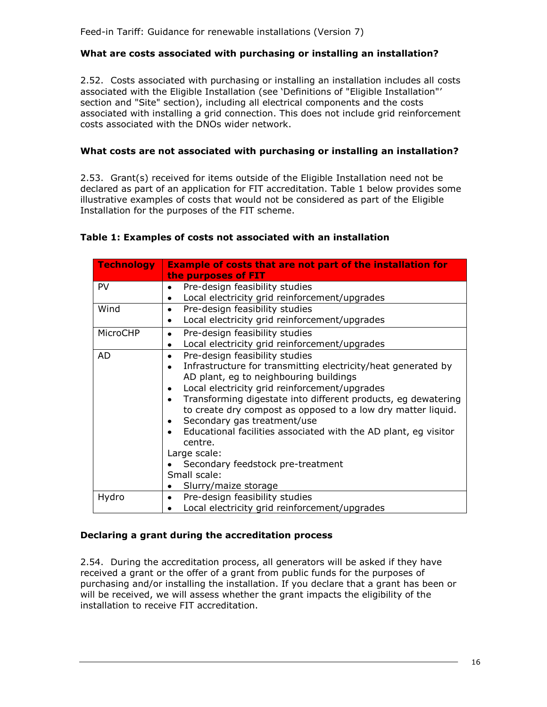#### **What are costs associated with purchasing or installing an installation?**

2.52. Costs associated with purchasing or installing an installation includes all costs associated with the Eligible Installation (see 'Definitions of "Eligible Installation"' section and "Site" section), including all electrical components and the costs associated with installing a grid connection. This does not include grid reinforcement costs associated with the DNOs wider network.

#### **What costs are not associated with purchasing or installing an installation?**

2.53. Grant(s) received for items outside of the Eligible Installation need not be declared as part of an application for FIT accreditation. Table 1 below provides some illustrative examples of costs that would not be considered as part of the Eligible Installation for the purposes of the FIT scheme.

#### **Table 1: Examples of costs not associated with an installation**

| <b>Technology</b> | <b>Example of costs that are not part of the installation for</b> |  |  |
|-------------------|-------------------------------------------------------------------|--|--|
|                   | the purposes of FIT                                               |  |  |
| <b>PV</b>         | Pre-design feasibility studies                                    |  |  |
|                   | Local electricity grid reinforcement/upgrades                     |  |  |
| Wind              | Pre-design feasibility studies                                    |  |  |
|                   | Local electricity grid reinforcement/upgrades<br>$\bullet$        |  |  |
| MicroCHP          | Pre-design feasibility studies<br>٠                               |  |  |
|                   | Local electricity grid reinforcement/upgrades<br>٠                |  |  |
| <b>AD</b>         | Pre-design feasibility studies<br>٠                               |  |  |
|                   | Infrastructure for transmitting electricity/heat generated by     |  |  |
|                   | AD plant, eg to neighbouring buildings                            |  |  |
|                   | Local electricity grid reinforcement/upgrades                     |  |  |
|                   | Transforming digestate into different products, eg dewatering     |  |  |
|                   | to create dry compost as opposed to a low dry matter liquid.      |  |  |
|                   | Secondary gas treatment/use                                       |  |  |
|                   | Educational facilities associated with the AD plant, eg visitor   |  |  |
|                   | centre.                                                           |  |  |
|                   | Large scale:                                                      |  |  |
|                   | Secondary feedstock pre-treatment                                 |  |  |
|                   | Small scale:                                                      |  |  |
|                   | Slurry/maize storage                                              |  |  |
| Hydro             | Pre-design feasibility studies<br>$\bullet$                       |  |  |
|                   | Local electricity grid reinforcement/upgrades                     |  |  |

#### **Declaring a grant during the accreditation process**

2.54. During the accreditation process, all generators will be asked if they have received a grant or the offer of a grant from public funds for the purposes of purchasing and/or installing the installation. If you declare that a grant has been or will be received, we will assess whether the grant impacts the eligibility of the installation to receive FIT accreditation.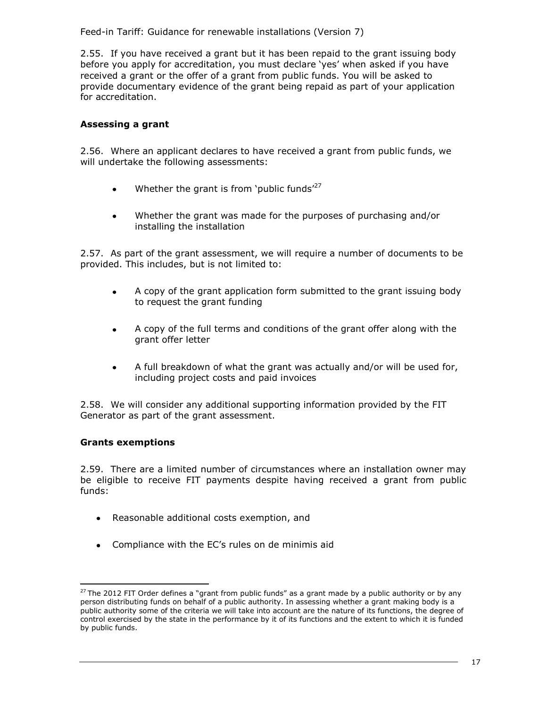2.55. If you have received a grant but it has been repaid to the grant issuing body before you apply for accreditation, you must declare 'yes' when asked if you have received a grant or the offer of a grant from public funds. You will be asked to provide documentary evidence of the grant being repaid as part of your application for accreditation.

#### **Assessing a grant**

2.56. Where an applicant declares to have received a grant from public funds, we will undertake the following assessments:

- Whether the grant is from 'public funds'<sup>27</sup>  $\bullet$
- Whether the grant was made for the purposes of purchasing and/or  $\bullet$ installing the installation

2.57. As part of the grant assessment, we will require a number of documents to be provided. This includes, but is not limited to:

- $\bullet$ A copy of the grant application form submitted to the grant issuing body to request the grant funding
- A copy of the full terms and conditions of the grant offer along with the  $\bullet$ grant offer letter
- $\bullet$ A full breakdown of what the grant was actually and/or will be used for, including project costs and paid invoices

2.58. We will consider any additional supporting information provided by the FIT Generator as part of the grant assessment.

#### **Grants exemptions**

2.59. There are a limited number of circumstances where an installation owner may be eligible to receive FIT payments despite having received a grant from public funds:

- Reasonable additional costs exemption, and
- Compliance with the EC's rules on de minimis aid

j.  $27$  The 2012 FIT Order defines a "grant from public funds" as a grant made by a public authority or by any person distributing funds on behalf of a public authority. In assessing whether a grant making body is a public authority some of the criteria we will take into account are the nature of its functions, the degree of control exercised by the state in the performance by it of its functions and the extent to which it is funded by public funds.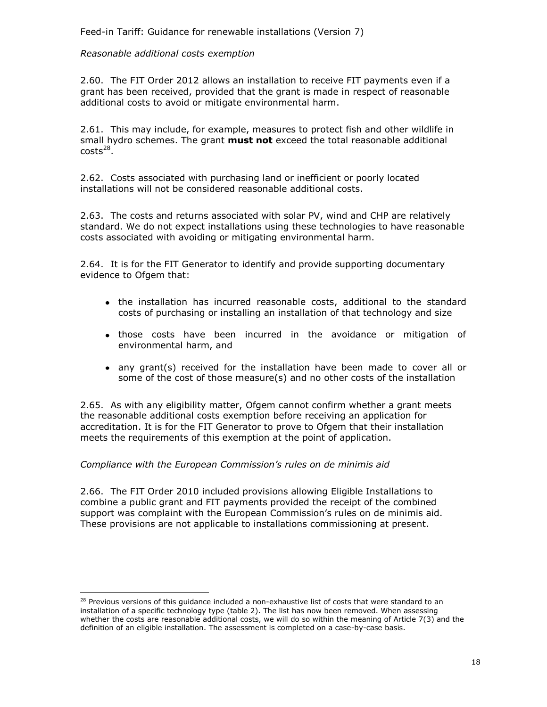#### *Reasonable additional costs exemption*

2.60. The FIT Order 2012 allows an installation to receive FIT payments even if a grant has been received, provided that the grant is made in respect of reasonable additional costs to avoid or mitigate environmental harm.

2.61. This may include, for example, measures to protect fish and other wildlife in small hydro schemes. The grant **must not** exceed the total reasonable additional  $costs<sup>28</sup>$ .

2.62. Costs associated with purchasing land or inefficient or poorly located installations will not be considered reasonable additional costs.

2.63. The costs and returns associated with solar PV, wind and CHP are relatively standard. We do not expect installations using these technologies to have reasonable costs associated with avoiding or mitigating environmental harm.

2.64. It is for the FIT Generator to identify and provide supporting documentary evidence to Ofgem that:

- the installation has incurred reasonable costs, additional to the standard costs of purchasing or installing an installation of that technology and size
- those costs have been incurred in the avoidance or mitigation of environmental harm, and
- any grant(s) received for the installation have been made to cover all or some of the cost of those measure(s) and no other costs of the installation

2.65. As with any eligibility matter, Ofgem cannot confirm whether a grant meets the reasonable additional costs exemption before receiving an application for accreditation. It is for the FIT Generator to prove to Ofgem that their installation meets the requirements of this exemption at the point of application.

#### *Compliance with the European Commission's rules on de minimis aid*

j.

2.66. The FIT Order 2010 included provisions allowing Eligible Installations to combine a public grant and FIT payments provided the receipt of the combined support was complaint with the European Commission's rules on de minimis aid. These provisions are not applicable to installations commissioning at present.

<sup>&</sup>lt;sup>28</sup> Previous versions of this guidance included a non-exhaustive list of costs that were standard to an installation of a specific technology type (table 2). The list has now been removed. When assessing whether the costs are reasonable additional costs, we will do so within the meaning of Article 7(3) and the definition of an eligible installation. The assessment is completed on a case-by-case basis.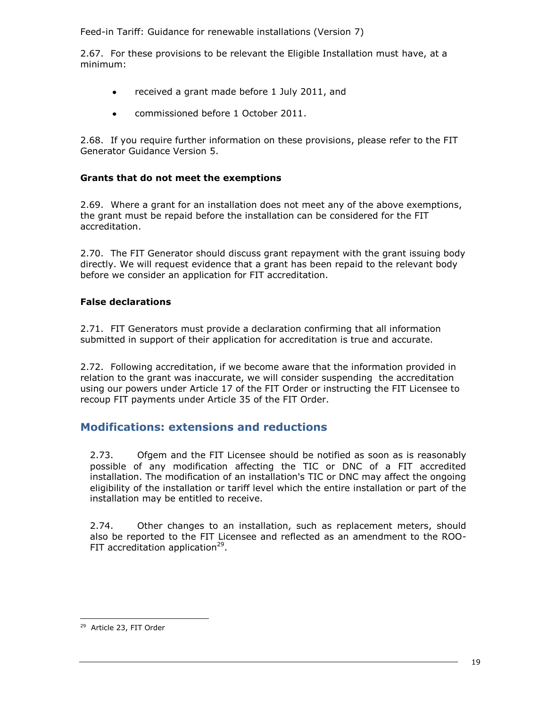2.67. For these provisions to be relevant the Eligible Installation must have, at a minimum:

- received a grant made before 1 July 2011, and  $\bullet$
- commissioned before 1 October 2011.  $\bullet$

2.68. If you require further information on these provisions, please refer to the FIT Generator Guidance Version 5.

#### **Grants that do not meet the exemptions**

2.69. Where a grant for an installation does not meet any of the above exemptions, the grant must be repaid before the installation can be considered for the FIT accreditation.

2.70. The FIT Generator should discuss grant repayment with the grant issuing body directly. We will request evidence that a grant has been repaid to the relevant body before we consider an application for FIT accreditation.

### **False declarations**

2.71. FIT Generators must provide a declaration confirming that all information submitted in support of their application for accreditation is true and accurate.

2.72. Following accreditation, if we become aware that the information provided in relation to the grant was inaccurate, we will consider suspending the accreditation using our powers under Article 17 of the FIT Order or instructing the FIT Licensee to recoup FIT payments under Article 35 of the FIT Order.

## <span id="page-22-0"></span>**Modifications: extensions and reductions**

2.73. Ofgem and the FIT Licensee should be notified as soon as is reasonably possible of any modification affecting the TIC or DNC of a FIT accredited installation. The modification of an installation's TIC or DNC may affect the ongoing eligibility of the installation or tariff level which the entire installation or part of the installation may be entitled to receive.

2.74. Other changes to an installation, such as replacement meters, should also be reported to the FIT Licensee and reflected as an amendment to the ROO-FIT accreditation application<sup>29</sup>.

<sup>&</sup>lt;sup>29</sup> Article 23, FIT Order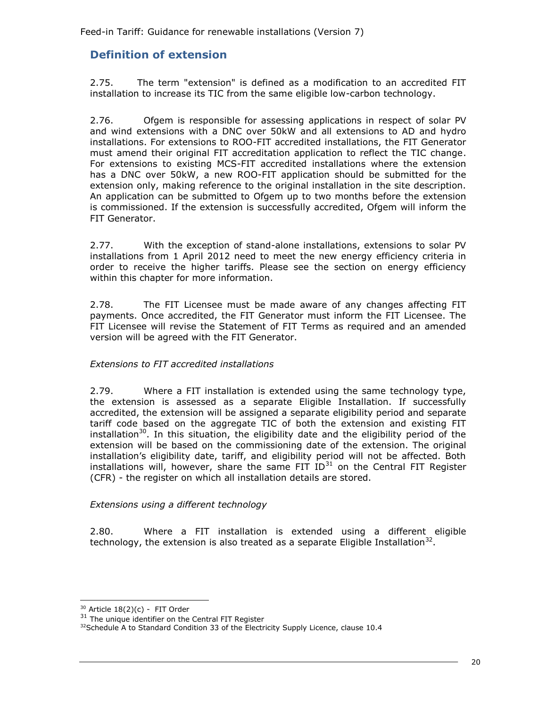## <span id="page-23-0"></span>**Definition of extension**

2.75. The term "extension" is defined as a modification to an accredited FIT installation to increase its TIC from the same eligible low-carbon technology.

2.76. Ofgem is responsible for assessing applications in respect of solar PV and wind extensions with a DNC over 50kW and all extensions to AD and hydro installations. For extensions to ROO-FIT accredited installations, the FIT Generator must amend their original FIT accreditation application to reflect the TIC change. For extensions to existing MCS-FIT accredited installations where the extension has a DNC over 50kW, a new ROO-FIT application should be submitted for the extension only, making reference to the original installation in the site description. An application can be submitted to Ofgem up to two months before the extension is commissioned. If the extension is successfully accredited, Ofgem will inform the FIT Generator.

2.77. With the exception of stand-alone installations, extensions to solar PV installations from 1 April 2012 need to meet the new energy efficiency criteria in order to receive the higher tariffs. Please see the section on energy efficiency within this chapter for more information.

2.78. The FIT Licensee must be made aware of any changes affecting FIT payments. Once accredited, the FIT Generator must inform the FIT Licensee. The FIT Licensee will revise the Statement of FIT Terms as required and an amended version will be agreed with the FIT Generator.

#### *Extensions to FIT accredited installations*

2.79. Where a FIT installation is extended using the same technology type, the extension is assessed as a separate Eligible Installation. If successfully accredited, the extension will be assigned a separate eligibility period and separate tariff code based on the aggregate TIC of both the extension and existing FIT installation<sup>30</sup>. In this situation, the eligibility date and the eligibility period of the extension will be based on the commissioning date of the extension. The original installation's eligibility date, tariff, and eligibility period will not be affected. Both installations will, however, share the same FIT ID $^{31}$  on the Central FIT Register (CFR) - the register on which all installation details are stored.

#### *Extensions using a different technology*

2.80. Where a FIT installation is extended using a different eligible technology, the extension is also treated as a separate Eligible Installation<sup>32</sup>.

 $30$  Article 18(2)(c) - FIT Order

 $31$  The unique identifier on the Central FIT Register

<sup>&</sup>lt;sup>32</sup> Schedule A to Standard Condition 33 of the Electricity Supply Licence, clause 10.4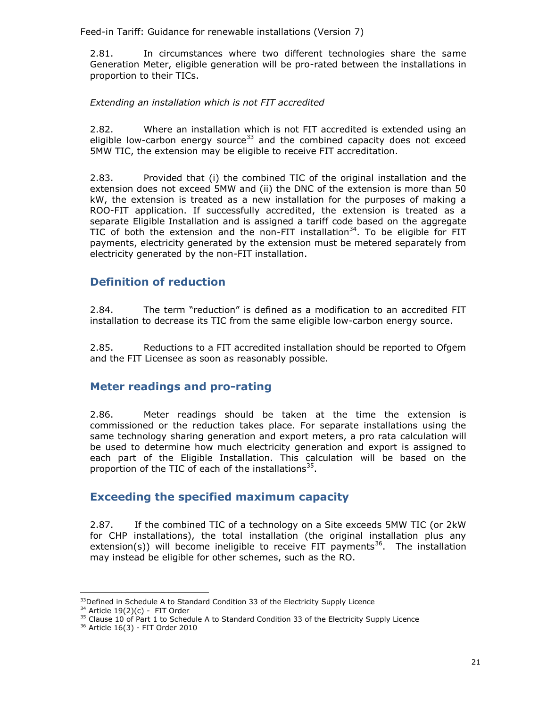2.81. In circumstances where two different technologies share the same Generation Meter, eligible generation will be pro-rated between the installations in proportion to their TICs.

#### *Extending an installation which is not FIT accredited*

2.82. Where an installation which is not FIT accredited is extended using an eligible low-carbon energy source<sup>33</sup> and the combined capacity does not exceed 5MW TIC, the extension may be eligible to receive FIT accreditation.

2.83. Provided that (i) the combined TIC of the original installation and the extension does not exceed 5MW and (ii) the DNC of the extension is more than 50 kW, the extension is treated as a new installation for the purposes of making a ROO-FIT application. If successfully accredited, the extension is treated as a separate Eligible Installation and is assigned a tariff code based on the aggregate TIC of both the extension and the non-FIT installation<sup>34</sup>. To be eligible for FIT payments, electricity generated by the extension must be metered separately from electricity generated by the non-FIT installation.

## <span id="page-24-0"></span>**Definition of reduction**

2.84. The term "reduction" is defined as a modification to an accredited FIT installation to decrease its TIC from the same eligible low-carbon energy source.

2.85. Reductions to a FIT accredited installation should be reported to Ofgem and the FIT Licensee as soon as reasonably possible.

## <span id="page-24-1"></span>**Meter readings and pro-rating**

2.86. Meter readings should be taken at the time the extension is commissioned or the reduction takes place. For separate installations using the same technology sharing generation and export meters, a pro rata calculation will be used to determine how much electricity generation and export is assigned to each part of the Eligible Installation. This calculation will be based on the proportion of the TIC of each of the installations<sup>35</sup>.

## <span id="page-24-2"></span>**Exceeding the specified maximum capacity**

2.87. If the combined TIC of a technology on a Site exceeds 5MW TIC (or 2kW for CHP installations), the total installation (the original installation plus any extension(s)) will become ineligible to receive FIT payments<sup>36</sup>. The installation may instead be eligible for other schemes, such as the RO.

j.  $33$ Defined in Schedule A to Standard Condition 33 of the Electricity Supply Licence

 $34$  Article 19(2)(c) - FIT Order

<sup>&</sup>lt;sup>35</sup> Clause 10 of Part 1 to Schedule A to Standard Condition 33 of the Electricity Supply Licence

<sup>36</sup> Article 16(3) - FIT Order 2010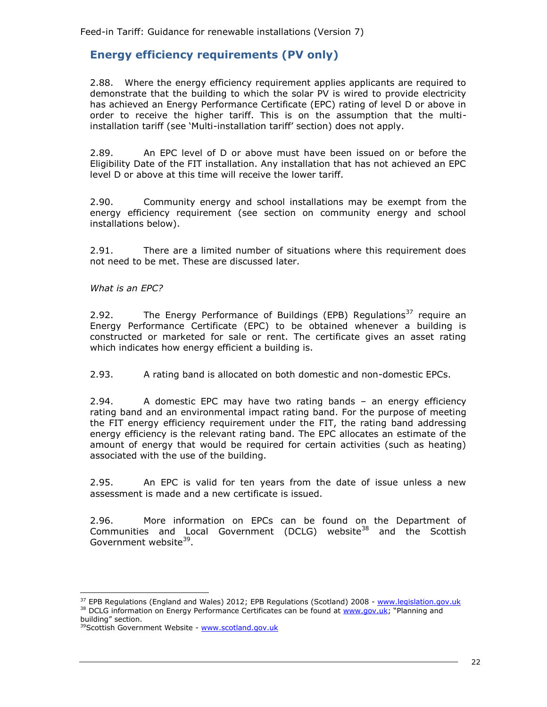## <span id="page-25-0"></span>**Energy efficiency requirements (PV only)**

2.88. Where the energy efficiency requirement applies applicants are required to demonstrate that the building to which the solar PV is wired to provide electricity has achieved an Energy Performance Certificate (EPC) rating of level D or above in order to receive the higher tariff. This is on the assumption that the multiinstallation tariff (see 'Multi-installation tariff' section) does not apply.

2.89. An EPC level of D or above must have been issued on or before the Eligibility Date of the FIT installation. Any installation that has not achieved an EPC level D or above at this time will receive the lower tariff.

2.90. Community energy and school installations may be exempt from the energy efficiency requirement (see section on community energy and school installations below).

2.91. There are a limited number of situations where this requirement does not need to be met. These are discussed later.

*What is an EPC?* 

2.92. The Energy Performance of Buildings (EPB) Regulations<sup>37</sup> require an Energy Performance Certificate (EPC) to be obtained whenever a building is constructed or marketed for sale or rent. The certificate gives an asset rating which indicates how energy efficient a building is.

2.93. A rating band is allocated on both domestic and non-domestic EPCs.

2.94. A domestic EPC may have two rating bands – an energy efficiency rating band and an environmental impact rating band. For the purpose of meeting the FIT energy efficiency requirement under the FIT, the rating band addressing energy efficiency is the relevant rating band. The EPC allocates an estimate of the amount of energy that would be required for certain activities (such as heating) associated with the use of the building.

2.95. An EPC is valid for ten years from the date of issue unless a new assessment is made and a new certificate is issued.

2.96. More information on EPCs can be found on the Department of Communities and Local Government (DCLG) website<sup>38</sup> and the Scottish Government website<sup>39</sup>.

j.

<sup>&</sup>lt;sup>37</sup> EPB Regulations (England and Wales) 2012; EPB Regulations (Scotland) 2008 - [www.legislation.gov.uk](http://www.legislation.gov.uk/) <sup>38</sup> DCLG information on Energy Performance Certificates can be found at [www.gov.uk](http://www.gov.uk/); "Planning and building" section.

<sup>&</sup>lt;sup>39</sup>Scottish Government Website - [www.scotland.gov.uk](http://www.scotland.gov.uk/)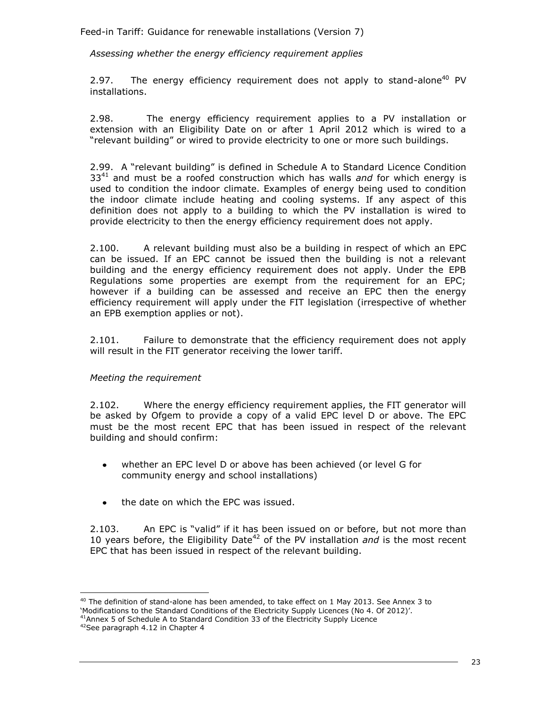*Assessing whether the energy efficiency requirement applies*

2.97. The energy efficiency requirement does not apply to stand-alone<sup>40</sup> PV installations.

2.98. The energy efficiency requirement applies to a PV installation or extension with an Eligibility Date on or after 1 April 2012 which is wired to a "relevant building" or wired to provide electricity to one or more such buildings.

2.99. A "relevant building" is defined in Schedule A to Standard Licence Condition 33<sup>41</sup> and must be a roofed construction which has walls *and* for which energy is used to condition the indoor climate. Examples of energy being used to condition the indoor climate include heating and cooling systems. If any aspect of this definition does not apply to a building to which the PV installation is wired to provide electricity to then the energy efficiency requirement does not apply.

2.100. A relevant building must also be a building in respect of which an EPC can be issued. If an EPC cannot be issued then the building is not a relevant building and the energy efficiency requirement does not apply. Under the EPB Regulations some properties are exempt from the requirement for an EPC; however if a building can be assessed and receive an EPC then the energy efficiency requirement will apply under the FIT legislation (irrespective of whether an EPB exemption applies or not).

2.101. Failure to demonstrate that the efficiency requirement does not apply will result in the FIT generator receiving the lower tariff.

#### *Meeting the requirement*

2.102. Where the energy efficiency requirement applies, the FIT generator will be asked by Ofgem to provide a copy of a valid EPC level D or above. The EPC must be the most recent EPC that has been issued in respect of the relevant building and should confirm:

- whether an EPC level D or above has been achieved (or level G for community energy and school installations)
- the date on which the EPC was issued.

2.103. An EPC is "valid" if it has been issued on or before, but not more than 10 years before, the Eligibility Date<sup>42</sup> of the PV installation *and* is the most recent EPC that has been issued in respect of the relevant building.

j.

 $40$  The definition of stand-alone has been amended, to take effect on 1 May 2013. See Annex 3 to 'Modifications to the Standard Conditions of the Electricity Supply Licences (No 4. Of 2012)'.

<sup>41</sup>Annex 5 of Schedule A to Standard Condition 33 of the Electricity Supply Licence

<sup>42</sup>See paragraph 4.12 in Chapter 4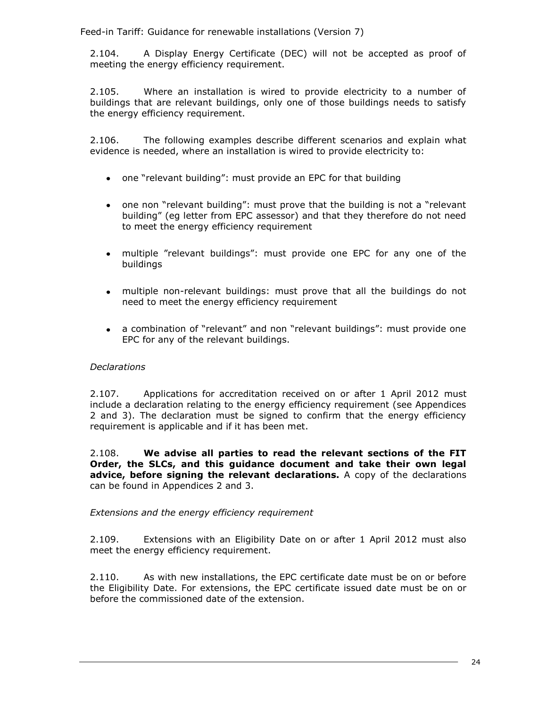2.104. A Display Energy Certificate (DEC) will not be accepted as proof of meeting the energy efficiency requirement.

2.105. Where an installation is wired to provide electricity to a number of buildings that are relevant buildings, only one of those buildings needs to satisfy the energy efficiency requirement.

2.106. The following examples describe different scenarios and explain what evidence is needed, where an installation is wired to provide electricity to:

- one "relevant building": must provide an EPC for that building
- one non "relevant building": must prove that the building is not a "relevant building" (eg letter from EPC assessor) and that they therefore do not need to meet the energy efficiency requirement
- multiple "relevant buildings": must provide one EPC for any one of the buildings
- multiple non-relevant buildings: must prove that all the buildings do not need to meet the energy efficiency requirement
- a combination of "relevant" and non "relevant buildings": must provide one EPC for any of the relevant buildings.

#### *Declarations*

2.107. Applications for accreditation received on or after 1 April 2012 must include a declaration relating to the energy efficiency requirement (see Appendices 2 and 3). The declaration must be signed to confirm that the energy efficiency requirement is applicable and if it has been met.

2.108. **We advise all parties to read the relevant sections of the FIT Order, the SLCs, and this guidance document and take their own legal advice, before signing the relevant declarations.** A copy of the declarations can be found in Appendices 2 and 3.

#### *Extensions and the energy efficiency requirement*

2.109. Extensions with an Eligibility Date on or after 1 April 2012 must also meet the energy efficiency requirement.

2.110. As with new installations, the EPC certificate date must be on or before the Eligibility Date. For extensions, the EPC certificate issued date must be on or before the commissioned date of the extension.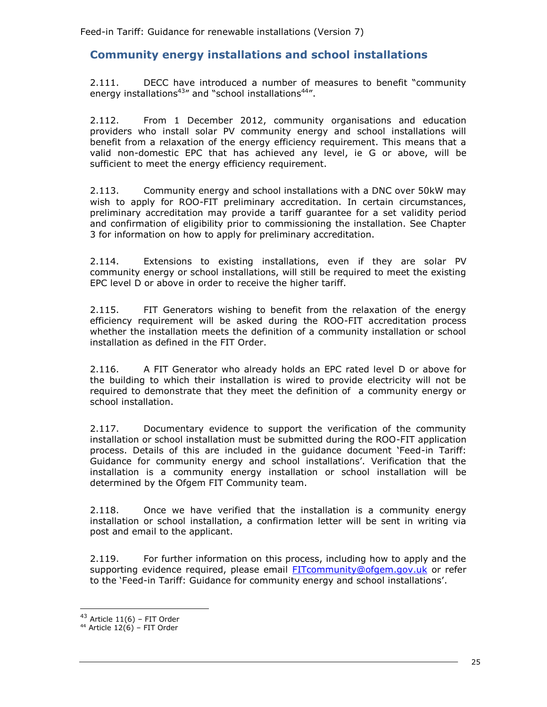## <span id="page-28-0"></span>**Community energy installations and school installations**

2.111. DECC have introduced a number of measures to benefit "community energy installations $43''$  and "school installations $44''$ .

2.112. From 1 December 2012, community organisations and education providers who install solar PV community energy and school installations will benefit from a relaxation of the energy efficiency requirement. This means that a valid non-domestic EPC that has achieved any level, ie G or above, will be sufficient to meet the energy efficiency requirement.

2.113. Community energy and school installations with a DNC over 50kW may wish to apply for ROO-FIT preliminary accreditation. In certain circumstances, preliminary accreditation may provide a tariff guarantee for a set validity period and confirmation of eligibility prior to commissioning the installation. See Chapter 3 for information on how to apply for preliminary accreditation.

2.114. Extensions to existing installations, even if they are solar PV community energy or school installations, will still be required to meet the existing EPC level D or above in order to receive the higher tariff.

2.115. FIT Generators wishing to benefit from the relaxation of the energy efficiency requirement will be asked during the ROO-FIT accreditation process whether the installation meets the definition of a community installation or school installation as defined in the FIT Order.

2.116. A FIT Generator who already holds an EPC rated level D or above for the building to which their installation is wired to provide electricity will not be required to demonstrate that they meet the definition of a community energy or school installation.

2.117. Documentary evidence to support the verification of the community installation or school installation must be submitted during the ROO-FIT application process. Details of this are included in the guidance document 'Feed-in Tariff: Guidance for community energy and school installations'. Verification that the installation is a community energy installation or school installation will be determined by the Ofgem FIT Community team.

2.118. Once we have verified that the installation is a community energy installation or school installation, a confirmation letter will be sent in writing via post and email to the applicant.

2.119. For further information on this process, including how to apply and the supporting evidence required, please email **FITcommunity@ofgem.gov.uk** or refer to the 'Feed-in Tariff: Guidance for community energy and school installations'.

 $43$  Article  $11(6)$  – FIT Order

 $44$  Article 12(6) – FIT Order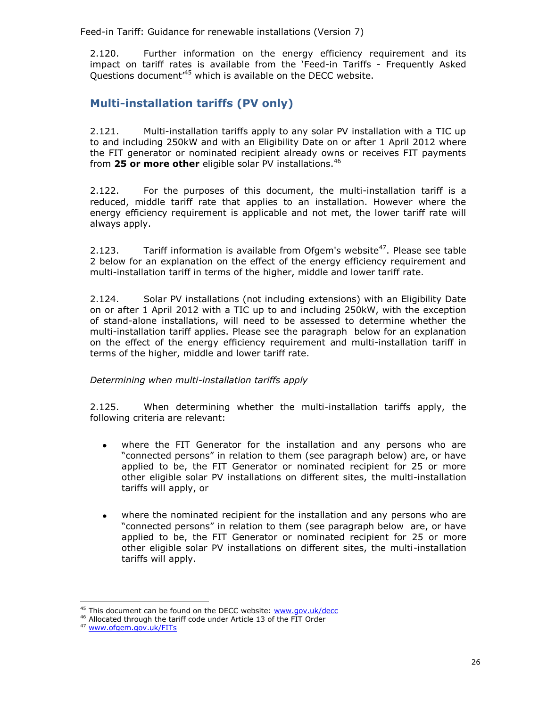2.120. Further information on the energy efficiency requirement and its impact on tariff rates is available from the 'Feed-in Tariffs - Frequently Asked Questions document<sup>45</sup> which is available on the DECC website.

## <span id="page-29-0"></span>**Multi-installation tariffs (PV only)**

2.121. Multi-installation tariffs apply to any solar PV installation with a TIC up to and including 250kW and with an Eligibility Date on or after 1 April 2012 where the FIT generator or nominated recipient already owns or receives FIT payments from **25 or more other** eligible solar PV installations.<sup>46</sup>

2.122. For the purposes of this document, the multi-installation tariff is a reduced, middle tariff rate that applies to an installation. However where the energy efficiency requirement is applicable and not met, the lower tariff rate will always apply.

2.123. Tariff information is available from Ofgem's website<sup>47</sup>. Please see table 2 below for an explanation on the effect of the energy efficiency requirement and multi-installation tariff in terms of the higher, middle and lower tariff rate.

2.124. Solar PV installations (not including extensions) with an Eligibility Date on or after 1 April 2012 with a TIC up to and including 250kW, with the exception of stand-alone installations, will need to be assessed to determine whether the multi-installation tariff applies. Please see the paragraph below for an explanation on the effect of the energy efficiency requirement and multi-installation tariff in terms of the higher, middle and lower tariff rate.

#### *Determining when multi-installation tariffs apply*

2.125. When determining whether the multi-installation tariffs apply, the following criteria are relevant:

- where the FIT Generator for the installation and any persons who are "connected persons" in relation to them (see paragraph below) are, or have applied to be, the FIT Generator or nominated recipient for 25 or more other eligible solar PV installations on different sites, the multi-installation tariffs will apply, or
- where the nominated recipient for the installation and any persons who are "connected persons" in relation to them (see paragraph below are, or have applied to be, the FIT Generator or nominated recipient for 25 or more other eligible solar PV installations on different sites, the multi-installation tariffs will apply.

<sup>&</sup>lt;sup>45</sup> This document can be found on the DECC website: [www.gov.uk/decc](http://www.gov.uk/decc)

<sup>46</sup> Allocated through the tariff code under Article 13 of the FIT Order

<sup>47</sup> [www.ofgem.gov.uk/FITs](http://www.ofgem.gov.uk/FITs)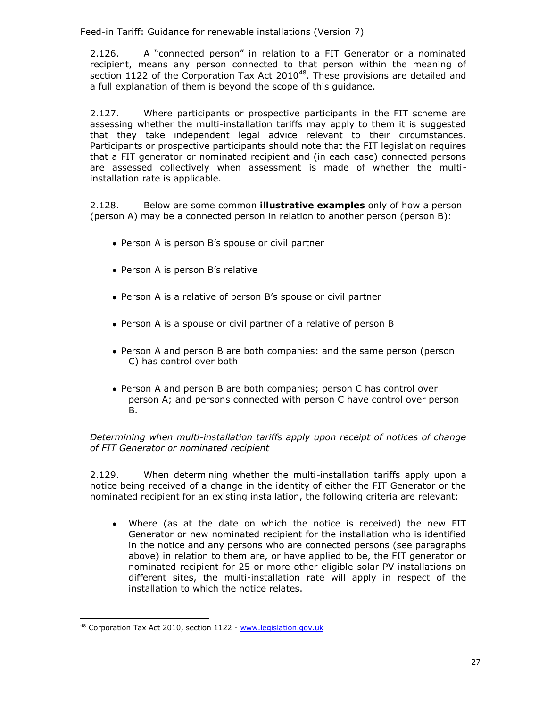2.126. A "connected person" in relation to a FIT Generator or a nominated recipient, means any person connected to that person within the meaning of section  $1122$  of the Corporation Tax Act 2010<sup>48</sup>. These provisions are detailed and a full explanation of them is beyond the scope of this guidance.

2.127. Where participants or prospective participants in the FIT scheme are assessing whether the multi-installation tariffs may apply to them it is suggested that they take independent legal advice relevant to their circumstances. Participants or prospective participants should note that the FIT legislation requires that a FIT generator or nominated recipient and (in each case) connected persons are assessed collectively when assessment is made of whether the multiinstallation rate is applicable.

2.128. Below are some common **illustrative examples** only of how a person (person A) may be a connected person in relation to another person (person B):

- Person A is person B's spouse or civil partner
- Person A is person B's relative
- Person A is a relative of person B's spouse or civil partner
- Person A is a spouse or civil partner of a relative of person B
- Person A and person B are both companies: and the same person (person C) has control over both
- Person A and person B are both companies; person C has control over person A; and persons connected with person C have control over person B.

*Determining when multi-installation tariffs apply upon receipt of notices of change of FIT Generator or nominated recipient* 

2.129. When determining whether the multi-installation tariffs apply upon a notice being received of a change in the identity of either the FIT Generator or the nominated recipient for an existing installation, the following criteria are relevant:

Where (as at the date on which the notice is received) the new FIT  $\bullet$ Generator or new nominated recipient for the installation who is identified in the notice and any persons who are connected persons (see paragraphs above) in relation to them are, or have applied to be, the FIT generator or nominated recipient for 25 or more other eligible solar PV installations on different sites, the multi-installation rate will apply in respect of the installation to which the notice relates.

l 48 Corporation Tax Act 2010, section 1122 - [www.legislation.gov.uk](http://www.legislation.gov.uk/)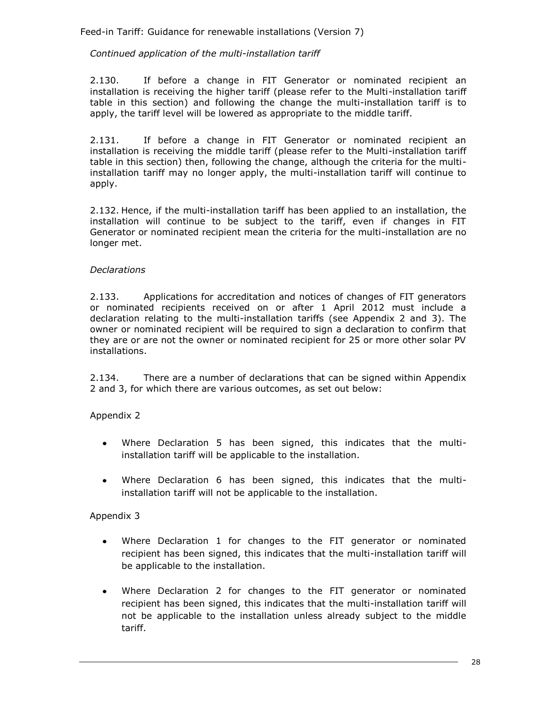#### *Continued application of the multi-installation tariff*

2.130. If before a change in FIT Generator or nominated recipient an installation is receiving the higher tariff (please refer to the Multi-installation tariff table in this section) and following the change the multi-installation tariff is to apply, the tariff level will be lowered as appropriate to the middle tariff.

2.131. If before a change in FIT Generator or nominated recipient an installation is receiving the middle tariff (please refer to the Multi-installation tariff table in this section) then, following the change, although the criteria for the multiinstallation tariff may no longer apply, the multi-installation tariff will continue to apply.

2.132. Hence, if the multi-installation tariff has been applied to an installation, the installation will continue to be subject to the tariff, even if changes in FIT Generator or nominated recipient mean the criteria for the multi-installation are no longer met.

#### *Declarations*

2.133. Applications for accreditation and notices of changes of FIT generators or nominated recipients received on or after 1 April 2012 must include a declaration relating to the multi-installation tariffs (see Appendix 2 and 3). The owner or nominated recipient will be required to sign a declaration to confirm that they are or are not the owner or nominated recipient for 25 or more other solar PV installations.

2.134. There are a number of declarations that can be signed within Appendix 2 and 3, for which there are various outcomes, as set out below:

Appendix 2

- Where Declaration 5 has been signed, this indicates that the multi- $\bullet$ installation tariff will be applicable to the installation.
- Where Declaration 6 has been signed, this indicates that the multi- $\bullet$ installation tariff will not be applicable to the installation.

Appendix 3

- Where Declaration 1 for changes to the FIT generator or nominated  $\bullet$ recipient has been signed, this indicates that the multi-installation tariff will be applicable to the installation.
- Where Declaration 2 for changes to the FIT generator or nominated recipient has been signed, this indicates that the multi-installation tariff will not be applicable to the installation unless already subject to the middle tariff.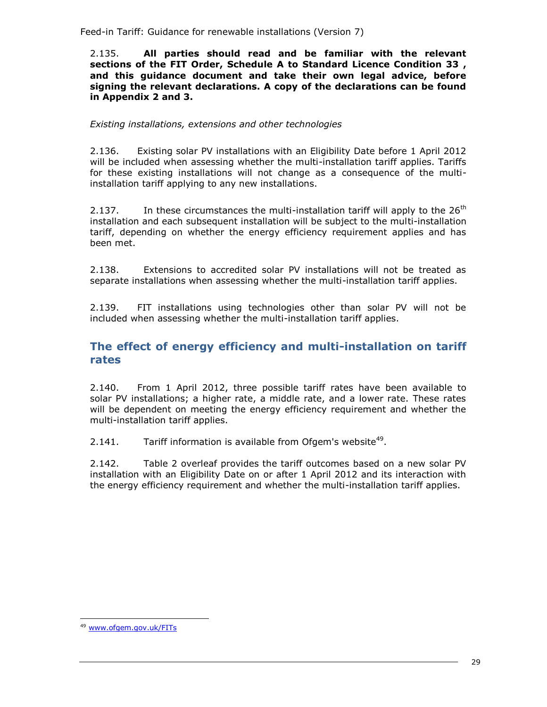2.135. **All parties should read and be familiar with the relevant sections of the FIT Order, Schedule A to Standard Licence Condition 33 , and this guidance document and take their own legal advice, before signing the relevant declarations. A copy of the declarations can be found in Appendix 2 and 3.**

#### *Existing installations, extensions and other technologies*

2.136. Existing solar PV installations with an Eligibility Date before 1 April 2012 will be included when assessing whether the multi-installation tariff applies. Tariffs for these existing installations will not change as a consequence of the multiinstallation tariff applying to any new installations.

2.137. In these circumstances the multi-installation tariff will apply to the  $26<sup>th</sup>$ installation and each subsequent installation will be subject to the multi-installation tariff, depending on whether the energy efficiency requirement applies and has been met.

2.138. Extensions to accredited solar PV installations will not be treated as separate installations when assessing whether the multi-installation tariff applies.

2.139. FIT installations using technologies other than solar PV will not be included when assessing whether the multi-installation tariff applies.

## <span id="page-32-0"></span>**The effect of energy efficiency and multi-installation on tariff rates**

2.140. From 1 April 2012, three possible tariff rates have been available to solar PV installations; a higher rate, a middle rate, and a lower rate. These rates will be dependent on meeting the energy efficiency requirement and whether the multi-installation tariff applies.

2.141. Tariff information is available from Ofgem's website<sup>49</sup>.

2.142. Table 2 overleaf provides the tariff outcomes based on a new solar PV installation with an Eligibility Date on or after 1 April 2012 and its interaction with the energy efficiency requirement and whether the multi-installation tariff applies.

<sup>49</sup> www.ofgem.gov.uk/FITs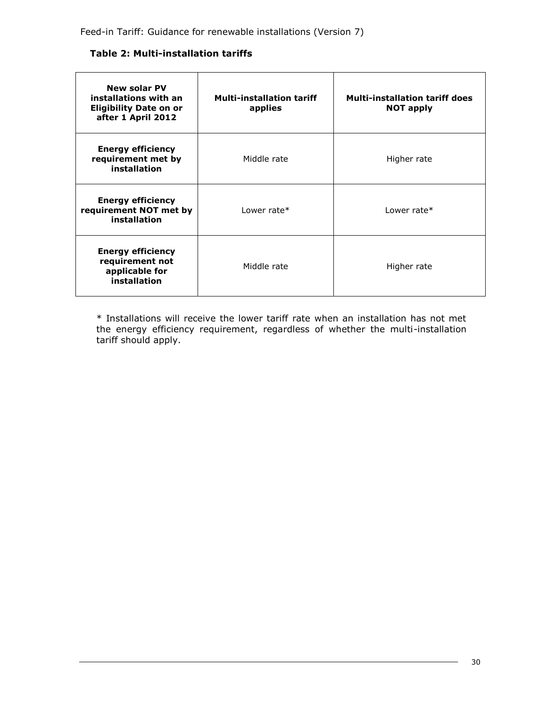#### **Table 2: Multi-installation tariffs**

| <b>New solar PV</b><br>installations with an<br><b>Eligibility Date on or</b><br>after 1 April 2012 | <b>Multi-installation tariff</b><br>applies | <b>Multi-installation tariff does</b><br><b>NOT apply</b> |
|-----------------------------------------------------------------------------------------------------|---------------------------------------------|-----------------------------------------------------------|
| <b>Energy efficiency</b><br>requirement met by<br>installation                                      | Middle rate                                 | Higher rate                                               |
| <b>Energy efficiency</b><br>requirement NOT met by<br>installation                                  | Lower rate*                                 | Lower rate $*$                                            |
| <b>Energy efficiency</b><br>requirement not<br>applicable for<br>installation                       | Middle rate                                 | Higher rate                                               |

\* Installations will receive the lower tariff rate when an installation has not met the energy efficiency requirement, regardless of whether the multi-installation tariff should apply.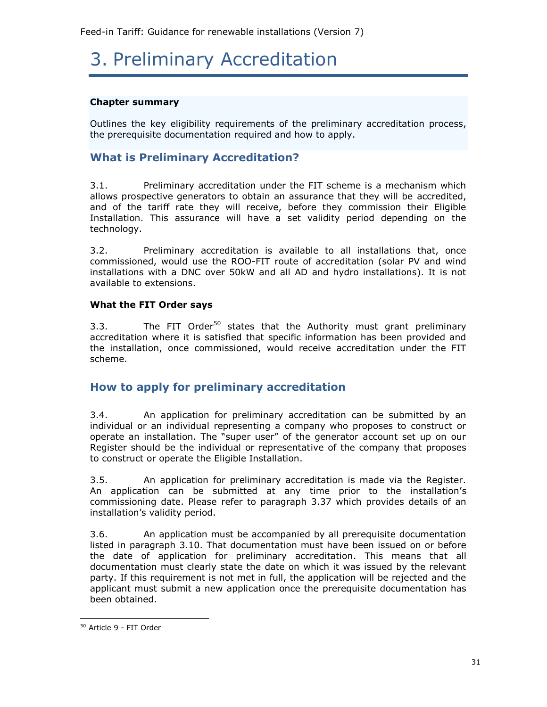# <span id="page-34-0"></span>3. Preliminary Accreditation

#### **Chapter summary**

Outlines the key eligibility requirements of the preliminary accreditation process, the prerequisite documentation required and how to apply.

## <span id="page-34-1"></span>**What is Preliminary Accreditation?**

3.1. Preliminary accreditation under the FIT scheme is a mechanism which allows prospective generators to obtain an assurance that they will be accredited, and of the tariff rate they will receive, before they commission their Eligible Installation. This assurance will have a set validity period depending on the technology.

3.2. Preliminary accreditation is available to all installations that, once commissioned, would use the ROO-FIT route of accreditation (solar PV and wind installations with a DNC over 50kW and all AD and hydro installations). It is not available to extensions.

#### **What the FIT Order says**

3.3. The FIT Order<sup>50</sup> states that the Authority must grant preliminary accreditation where it is satisfied that specific information has been provided and the installation, once commissioned, would receive accreditation under the FIT scheme.

## <span id="page-34-2"></span>**How to apply for preliminary accreditation**

3.4. An application for preliminary accreditation can be submitted by an individual or an individual representing a company who proposes to construct or operate an installation. The "super user" of the generator account set up on our Register should be the individual or representative of the company that proposes to construct or operate the Eligible Installation.

3.5. An application for preliminary accreditation is made via the Register. An application can be submitted at any time prior to the installation's commissioning date. Please refer to paragraph 3.37 which provides details of an installation's validity period.

3.6. An application must be accompanied by all prerequisite documentation listed in paragraph 3.10. That documentation must have been issued on or before the date of application for preliminary accreditation. This means that all documentation must clearly state the date on which it was issued by the relevant party. If this requirement is not met in full, the application will be rejected and the applicant must submit a new application once the prerequisite documentation has been obtained.

<sup>50</sup> Article 9 - FIT Order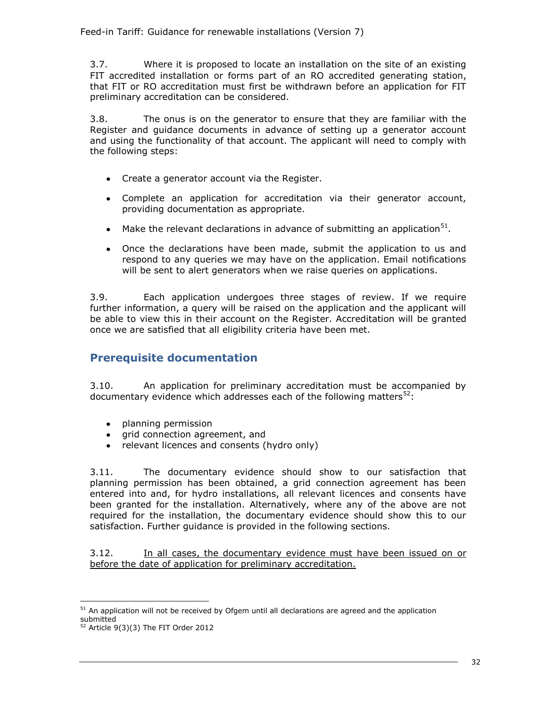3.7. Where it is proposed to locate an installation on the site of an existing FIT accredited installation or forms part of an RO accredited generating station, that FIT or RO accreditation must first be withdrawn before an application for FIT preliminary accreditation can be considered.

3.8. The onus is on the generator to ensure that they are familiar with the Register and guidance documents in advance of setting up a generator account and using the functionality of that account. The applicant will need to comply with the following steps:

- Create a generator account via the Register.
- Complete an application for accreditation via their generator account, providing documentation as appropriate.
- Make the relevant declarations in advance of submitting an application $51$ .
- Once the declarations have been made, submit the application to us and respond to any queries we may have on the application. Email notifications will be sent to alert generators when we raise queries on applications.

3.9. Each application undergoes three stages of review. If we require further information, a query will be raised on the application and the applicant will be able to view this in their account on the Register. Accreditation will be granted once we are satisfied that all eligibility criteria have been met.

## <span id="page-35-0"></span>**Prerequisite documentation**

3.10. An application for preliminary accreditation must be accompanied by documentary evidence which addresses each of the following matters $^{52}$ :

- planning permission  $\bullet$
- grid connection agreement, and  $\bullet$
- relevant licences and consents (hydro only)

3.11. The documentary evidence should show to our satisfaction that planning permission has been obtained, a grid connection agreement has been entered into and, for hydro installations, all relevant licences and consents have been granted for the installation. Alternatively, where any of the above are not required for the installation, the documentary evidence should show this to our satisfaction. Further guidance is provided in the following sections.

3.12. In all cases, the documentary evidence must have been issued on or before the date of application for preliminary accreditation.

 $<sup>51</sup>$  An application will not be received by Ofgem until all declarations are agreed and the application</sup> submitted

 $52$  Article 9(3)(3) The FIT Order 2012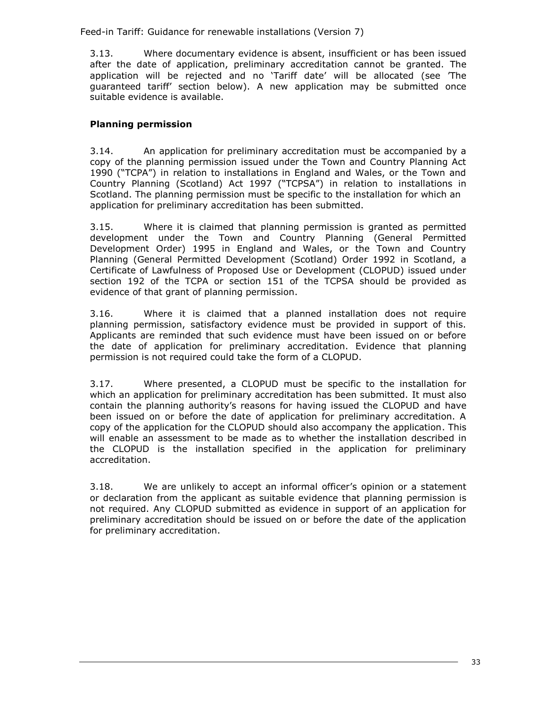3.13. Where documentary evidence is absent, insufficient or has been issued after the date of application, preliminary accreditation cannot be granted. The application will be rejected and no 'Tariff date' will be allocated (see 'The guaranteed tariff' section below). A new application may be submitted once suitable evidence is available.

# **Planning permission**

3.14. An application for preliminary accreditation must be accompanied by a copy of the planning permission issued under the Town and Country Planning Act 1990 ("TCPA") in relation to installations in England and Wales, or the Town and Country Planning (Scotland) Act 1997 ("TCPSA") in relation to installations in Scotland. The planning permission must be specific to the installation for which an application for preliminary accreditation has been submitted.

3.15. Where it is claimed that planning permission is granted as permitted development under the Town and Country Planning (General Permitted Development Order) 1995 in England and Wales, or the Town and Country Planning (General Permitted Development (Scotland) Order 1992 in Scotland, a Certificate of Lawfulness of Proposed Use or Development (CLOPUD) issued under section 192 of the TCPA or section 151 of the TCPSA should be provided as evidence of that grant of planning permission.

3.16. Where it is claimed that a planned installation does not require planning permission, satisfactory evidence must be provided in support of this. Applicants are reminded that such evidence must have been issued on or before the date of application for preliminary accreditation. Evidence that planning permission is not required could take the form of a CLOPUD.

3.17. Where presented, a CLOPUD must be specific to the installation for which an application for preliminary accreditation has been submitted. It must also contain the planning authority's reasons for having issued the CLOPUD and have been issued on or before the date of application for preliminary accreditation. A copy of the application for the CLOPUD should also accompany the application. This will enable an assessment to be made as to whether the installation described in the CLOPUD is the installation specified in the application for preliminary accreditation.

3.18. We are unlikely to accept an informal officer's opinion or a statement or declaration from the applicant as suitable evidence that planning permission is not required. Any CLOPUD submitted as evidence in support of an application for preliminary accreditation should be issued on or before the date of the application for preliminary accreditation.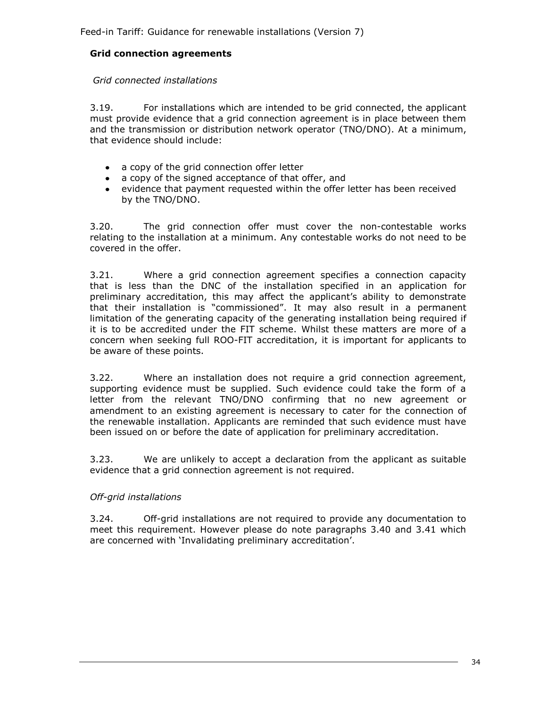## **Grid connection agreements**

#### *Grid connected installations*

3.19. For installations which are intended to be grid connected, the applicant must provide evidence that a grid connection agreement is in place between them and the transmission or distribution network operator (TNO/DNO). At a minimum, that evidence should include:

- a copy of the grid connection offer letter
- a copy of the signed acceptance of that offer, and
- evidence that payment requested within the offer letter has been received  $\bullet$ by the TNO/DNO.

3.20. The grid connection offer must cover the non-contestable works relating to the installation at a minimum. Any contestable works do not need to be covered in the offer.

3.21. Where a grid connection agreement specifies a connection capacity that is less than the DNC of the installation specified in an application for preliminary accreditation, this may affect the applicant's ability to demonstrate that their installation is "commissioned". It may also result in a permanent limitation of the generating capacity of the generating installation being required if it is to be accredited under the FIT scheme. Whilst these matters are more of a concern when seeking full ROO-FIT accreditation, it is important for applicants to be aware of these points.

3.22. Where an installation does not require a grid connection agreement, supporting evidence must be supplied. Such evidence could take the form of a letter from the relevant TNO/DNO confirming that no new agreement or amendment to an existing agreement is necessary to cater for the connection of the renewable installation. Applicants are reminded that such evidence must have been issued on or before the date of application for preliminary accreditation.

3.23. We are unlikely to accept a declaration from the applicant as suitable evidence that a grid connection agreement is not required.

#### *Off-grid installations*

3.24. Off-grid installations are not required to provide any documentation to meet this requirement. However please do note paragraphs 3.40 and 3.41 which are concerned with 'Invalidating preliminary accreditation'.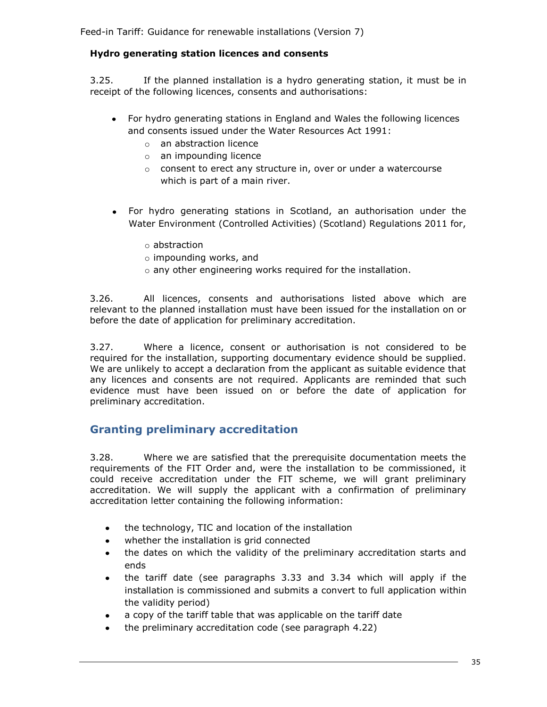## **Hydro generating station licences and consents**

3.25. If the planned installation is a hydro generating station, it must be in receipt of the following licences, consents and authorisations:

- For hydro generating stations in England and Wales the following licences and consents issued under the Water Resources Act 1991:
	- o an abstraction licence
	- o an impounding licence
	- o consent to erect any structure in, over or under a watercourse which is part of a main river.
- For hydro generating stations in Scotland, an authorisation under the Water Environment (Controlled Activities) (Scotland) Regulations 2011 for,
	- o abstraction
	- o impounding works, and
	- o any other engineering works required for the installation.

3.26. All licences, consents and authorisations listed above which are relevant to the planned installation must have been issued for the installation on or before the date of application for preliminary accreditation.

3.27. Where a licence, consent or authorisation is not considered to be required for the installation, supporting documentary evidence should be supplied. We are unlikely to accept a declaration from the applicant as suitable evidence that any licences and consents are not required. Applicants are reminded that such evidence must have been issued on or before the date of application for preliminary accreditation.

# **Granting preliminary accreditation**

3.28. Where we are satisfied that the prerequisite documentation meets the requirements of the FIT Order and, were the installation to be commissioned, it could receive accreditation under the FIT scheme, we will grant preliminary accreditation. We will supply the applicant with a confirmation of preliminary accreditation letter containing the following information:

- the technology, TIC and location of the installation  $\bullet$
- whether the installation is grid connected
- the dates on which the validity of the preliminary accreditation starts and ends
- $\bullet$ the tariff date (see paragraphs 3.33 and 3.34 which will apply if the installation is commissioned and submits a convert to full application within the validity period)
- a copy of the tariff table that was applicable on the tariff date
- the preliminary accreditation code (see paragraph 4.22)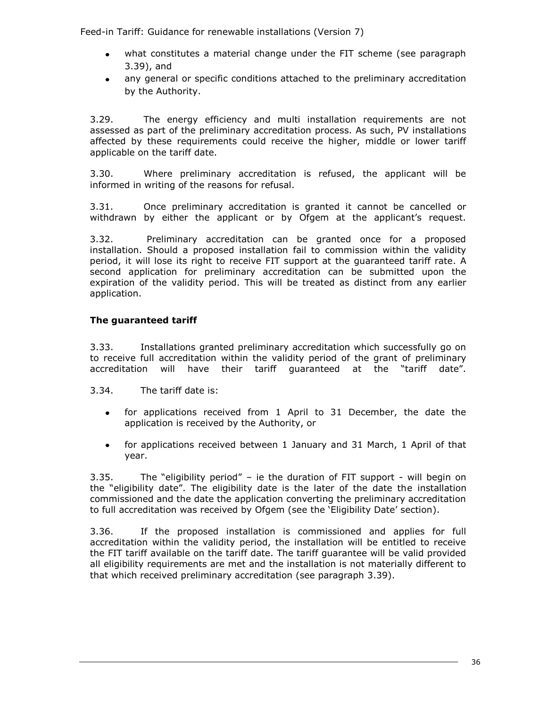- what constitutes a material change under the FIT scheme (see paragraph 3.39), and
- any general or specific conditions attached to the preliminary accreditation by the Authority.

3.29. The energy efficiency and multi installation requirements are not assessed as part of the preliminary accreditation process. As such, PV installations affected by these requirements could receive the higher, middle or lower tariff applicable on the tariff date.

3.30. Where preliminary accreditation is refused, the applicant will be informed in writing of the reasons for refusal.

3.31. Once preliminary accreditation is granted it cannot be cancelled or withdrawn by either the applicant or by Ofgem at the applicant's request.

3.32. Preliminary accreditation can be granted once for a proposed installation. Should a proposed installation fail to commission within the validity period, it will lose its right to receive FIT support at the guaranteed tariff rate. A second application for preliminary accreditation can be submitted upon the expiration of the validity period. This will be treated as distinct from any earlier application.

## **The guaranteed tariff**

3.33. Installations granted preliminary accreditation which successfully go on to receive full accreditation within the validity period of the grant of preliminary accreditation will have their tariff guaranteed at the "tariff date".

- 3.34. The tariff date is:
	- for applications received from 1 April to 31 December, the date the  $\bullet$ application is received by the Authority, or
	- for applications received between 1 January and 31 March, 1 April of that  $\bullet$ year.

3.35. The "eligibility period" – ie the duration of FIT support - will begin on the "eligibility date". The eligibility date is the later of the date the installation commissioned and the date the application converting the preliminary accreditation to full accreditation was received by Ofgem (see the 'Eligibility Date' section).

3.36. If the proposed installation is commissioned and applies for full accreditation within the validity period, the installation will be entitled to receive the FIT tariff available on the tariff date. The tariff guarantee will be valid provided all eligibility requirements are met and the installation is not materially different to that which received preliminary accreditation (see paragraph 3.39).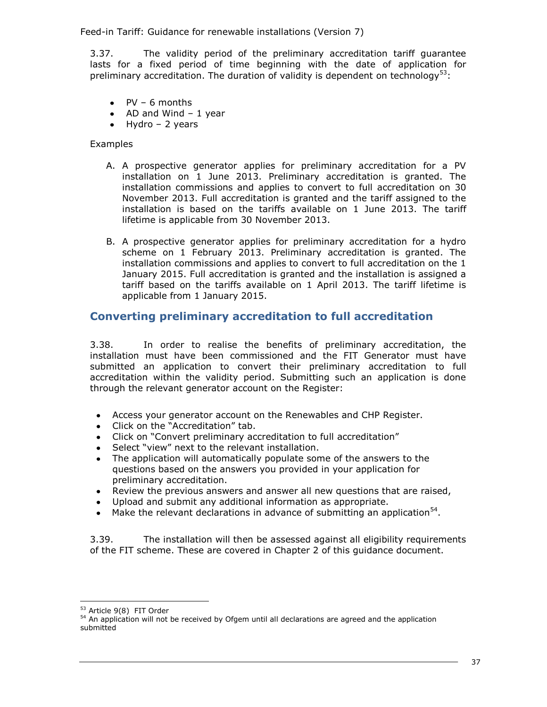3.37. The validity period of the preliminary accreditation tariff guarantee lasts for a fixed period of time beginning with the date of application for preliminary accreditation. The duration of validity is dependent on technology<sup>53</sup>:

- $\bullet$  PV 6 months
- $\bullet$  AD and Wind 1 year
- $\bullet$  Hydro 2 years

## Examples

- A. A prospective generator applies for preliminary accreditation for a PV installation on 1 June 2013. Preliminary accreditation is granted. The installation commissions and applies to convert to full accreditation on 30 November 2013. Full accreditation is granted and the tariff assigned to the installation is based on the tariffs available on 1 June 2013. The tariff lifetime is applicable from 30 November 2013.
- B. A prospective generator applies for preliminary accreditation for a hydro scheme on 1 February 2013. Preliminary accreditation is granted. The installation commissions and applies to convert to full accreditation on the 1 January 2015. Full accreditation is granted and the installation is assigned a tariff based on the tariffs available on 1 April 2013. The tariff lifetime is applicable from 1 January 2015.

# **Converting preliminary accreditation to full accreditation**

3.38. In order to realise the benefits of preliminary accreditation, the installation must have been commissioned and the FIT Generator must have submitted an application to convert their preliminary accreditation to full accreditation within the validity period. Submitting such an application is done through the relevant generator account on the Register:

- Access your generator account on the Renewables and CHP Register.
- Click on the "Accreditation" tab.
- Click on "Convert preliminary accreditation to full accreditation"
- Select "view" next to the relevant installation.
- The application will automatically populate some of the answers to the questions based on the answers you provided in your application for preliminary accreditation.
- Review the previous answers and answer all new questions that are raised,
- Upload and submit any additional information as appropriate.
- Make the relevant declarations in advance of submitting an application $54$ .

3.39. The installation will then be assessed against all eligibility requirements of the FIT scheme. These are covered in Chapter 2 of this guidance document.

<sup>53</sup> Article 9(8) FIT Order

<sup>54</sup> An application will not be received by Ofgem until all declarations are agreed and the application submitted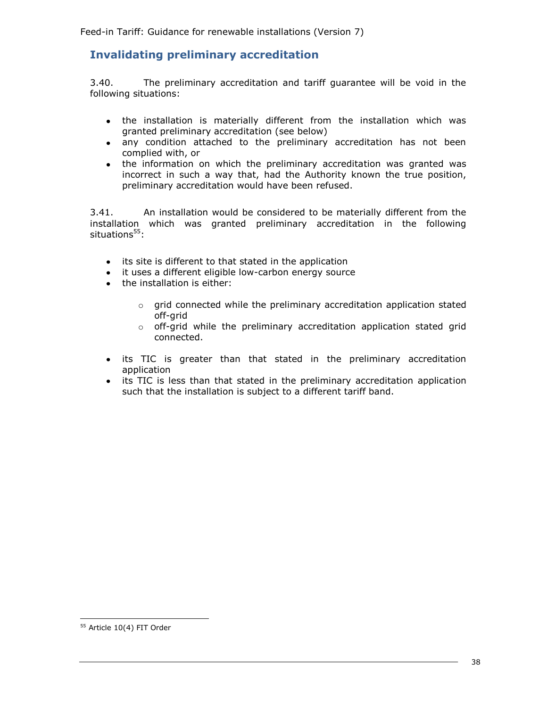# **Invalidating preliminary accreditation**

3.40. The preliminary accreditation and tariff guarantee will be void in the following situations:

- the installation is materially different from the installation which was  $\bullet$ granted preliminary accreditation (see below)
- any condition attached to the preliminary accreditation has not been  $\bullet$ complied with, or
- the information on which the preliminary accreditation was granted was incorrect in such a way that, had the Authority known the true position, preliminary accreditation would have been refused.

3.41. An installation would be considered to be materially different from the installation which was granted preliminary accreditation in the following situations $55$ :

- its site is different to that stated in the application  $\bullet$
- it uses a different eligible low-carbon energy source  $\bullet$
- the installation is either:
	- o grid connected while the preliminary accreditation application stated off-grid
	- o off-grid while the preliminary accreditation application stated grid connected.
- its TIC is greater than that stated in the preliminary accreditation  $\bullet$ application
- its TIC is less than that stated in the preliminary accreditation application  $\bullet$ such that the installation is subject to a different tariff band.

<sup>&</sup>lt;sup>55</sup> Article 10(4) FIT Order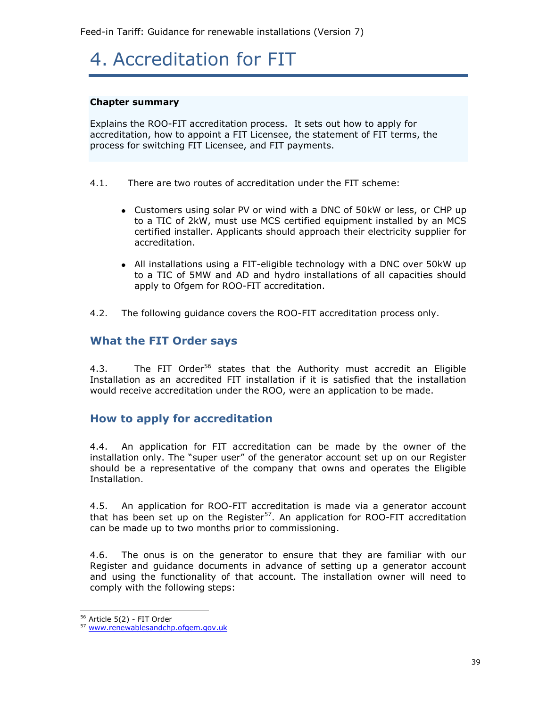# 4. Accreditation for FIT

#### **Chapter summary**

Explains the ROO-FIT accreditation process. It sets out how to apply for accreditation, how to appoint a FIT Licensee, the statement of FIT terms, the process for switching FIT Licensee, and FIT payments.

- 4.1. There are two routes of accreditation under the FIT scheme:
	- Customers using solar PV or wind with a DNC of 50kW or less, or CHP up to a TIC of 2kW, must use MCS certified equipment installed by an MCS certified installer. Applicants should approach their electricity supplier for accreditation.
	- All installations using a FIT-eligible technology with a DNC over 50kW up to a TIC of 5MW and AD and hydro installations of all capacities should apply to Ofgem for ROO-FIT accreditation.
- 4.2. The following guidance covers the ROO-FIT accreditation process only.

# **What the FIT Order says**

4.3. The FIT Order<sup>56</sup> states that the Authority must accredit an Eligible Installation as an accredited FIT installation if it is satisfied that the installation would receive accreditation under the ROO, were an application to be made.

# **How to apply for accreditation**

4.4. An application for FIT accreditation can be made by the owner of the installation only. The "super user" of the generator account set up on our Register should be a representative of the company that owns and operates the Eligible Installation.

4.5. An application for ROO-FIT accreditation is made [via](http://via/) a generator account that has been set up on the Register<sup>57</sup>. An application for ROO-FIT accreditation can be made up to two months prior to commissioning.

4.6. The onus is on the generator to ensure that they are familiar with our Register and guidance documents in advance of setting up a generator account and using the functionality of that account. The installation owner will need to comply with the following steps:

<sup>56</sup> Article 5(2) - FIT Order

<sup>57</sup> [www.renewablesandchp.ofgem.gov.uk](http://www.renewablesandchp.ofgem.gov.uk/)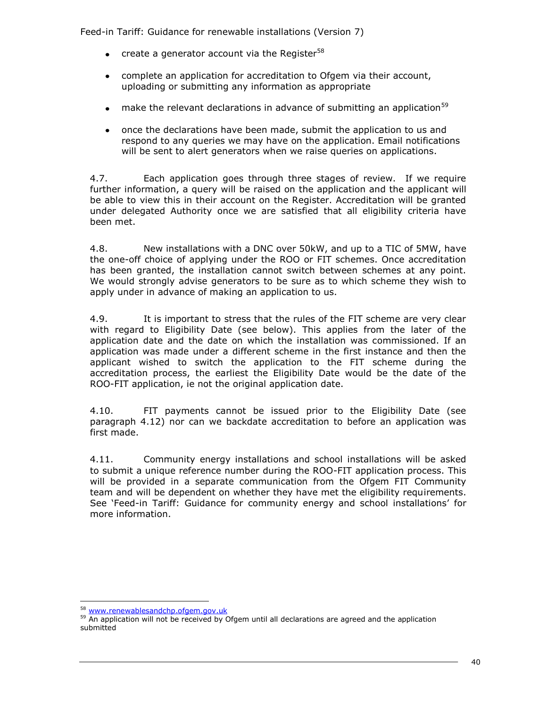- create a generator account via the Register $58$
- complete an application for accreditation to Ofgem via their account, uploading or submitting any information as appropriate
- make the relevant declarations in advance of submitting an application<sup>59</sup>  $\bullet$
- once the declarations have been made, submit the application to us and  $\bullet$ respond to any queries we may have on the application. Email notifications will be sent to alert generators when we raise queries on applications.

4.7. Each application goes through three stages of review. If we require further information, a query will be raised on the application and the applicant will be able to view this in their account on the Register. Accreditation will be granted under delegated Authority once we are satisfied that all eligibility criteria have been met.

4.8. New installations with a DNC over 50kW, and up to a TIC of 5MW, have the one-off choice of applying under the ROO or FIT schemes. Once accreditation has been granted, the installation cannot switch between schemes at any point. We would strongly advise generators to be sure as to which scheme they wish to apply under in advance of making an application to us.

4.9. It is important to stress that the rules of the FIT scheme are very clear with regard to Eligibility Date (see below). This applies from the later of the application date and the date on which the installation was commissioned. If an application was made under a different scheme in the first instance and then the applicant wished to switch the application to the FIT scheme during the accreditation process, the earliest the Eligibility Date would be the date of the ROO-FIT application, ie not the original application date.

4.10. FIT payments cannot be issued prior to the Eligibility Date (see paragraph 4.12) nor can we backdate accreditation to before an application was first made.

4.11. Community energy installations and school installations will be asked to submit a unique reference number during the ROO-FIT application process. This will be provided in a separate communication from the Ofgem FIT Community team and will be dependent on whether they have met the eligibility requirements. See 'Feed-in Tariff: Guidance for community energy and school installations' for more information.

<sup>58</sup> [www.renewablesandchp.ofgem.gov.uk](http://www.renewablesandchp.ofgem.gov.uk/)

<sup>59</sup> An application will not be received by Ofgem until all declarations are agreed and the application submitted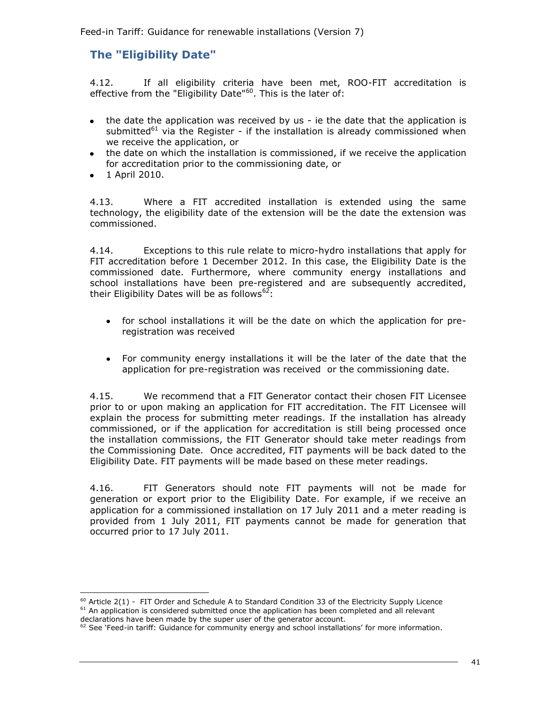# **The "Eligibility Date"**

4.12. If all eligibility criteria have been met, ROO-FIT accreditation is effective from the "Eligibility Date"<sup>60</sup>. This is the later of:

- the date the application was received by us ie the date that the application is  $\bullet$ submitted<sup>61</sup> via the Register - if the installation is already commissioned when we receive the application, or
- the date on which the installation is commissioned, if we receive the application for accreditation prior to the commissioning date, or
- 1 April 2010.

j.

4.13. Where a FIT accredited installation is extended using the same technology, the eligibility date of the extension will be the date the extension was commissioned.

4.14. Exceptions to this rule relate to micro-hydro installations that apply for FIT accreditation before 1 December 2012. In this case, the Eligibility Date is the commissioned date. Furthermore, where community energy installations and school installations have been pre-registered and are subsequently accredited, their Eligibility Dates will be as follows<sup>62</sup>:

- for school installations it will be the date on which the application for pre- $\bullet$ registration was received
- $\bullet$ For community energy installations it will be the later of the date that the application for pre-registration was received or the commissioning date.

4.15. We recommend that a FIT Generator contact their chosen FIT Licensee prior to or upon making an application for FIT accreditation. The FIT Licensee will explain the process for submitting meter readings. If the installation has already commissioned, or if the application for accreditation is still being processed once the installation commissions, the FIT Generator should take meter readings from the Commissioning Date. Once accredited, FIT payments will be back dated to the Eligibility Date. FIT payments will be made based on these meter readings.

4.16. FIT Generators should note FIT payments will not be made for generation or export prior to the Eligibility Date. For example, if we receive an application for a commissioned installation on 17 July 2011 and a meter reading is provided from 1 July 2011, FIT payments cannot be made for generation that occurred prior to 17 July 2011.

 $^{60}$  Article 2(1) - FIT Order and Schedule A to Standard Condition 33 of the Electricity Supply Licence  $61$  An application is considered submitted once the application has been completed and all relevant declarations have been made by the super user of the generator account.

<sup>&</sup>lt;sup>62</sup> See 'Feed-in tariff: Guidance for community energy and school installations' for more information.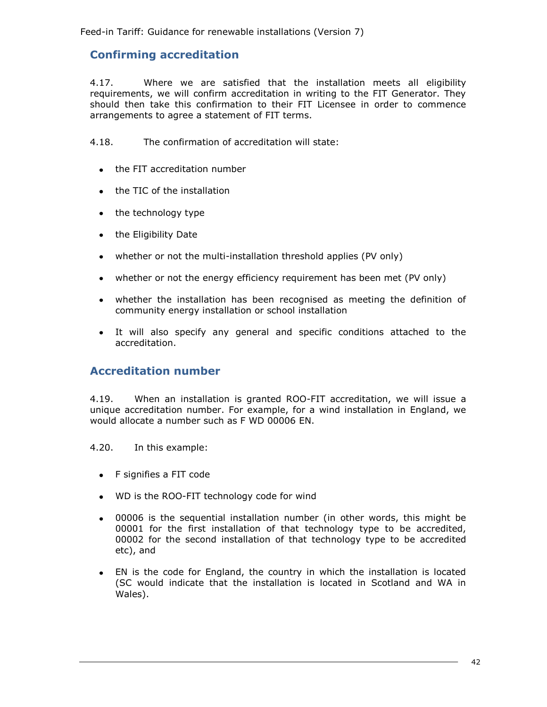# **Confirming accreditation**

4.17. Where we are satisfied that the installation meets all eligibility requirements, we will confirm accreditation in writing to the FIT Generator. They should then take this confirmation to their FIT Licensee in order to commence arrangements to agree a statement of FIT terms.

4.18. The confirmation of accreditation will state:

- the FIT accreditation number
- the TIC of the installation
- the technology type  $\bullet$
- the Eligibility Date
- whether or not the multi-installation threshold applies (PV only)
- $\bullet$ whether or not the energy efficiency requirement has been met (PV only)
- whether the installation has been recognised as meeting the definition of community energy installation or school installation
- It will also specify any general and specific conditions attached to the accreditation.

# **Accreditation number**

4.19. When an installation is granted ROO-FIT accreditation, we will issue a unique accreditation number. For example, for a wind installation in England, we would allocate a number such as F WD 00006 EN.

4.20. In this example:

- F signifies a FIT code
- WD is the ROO-FIT technology code for wind
- 00006 is the sequential installation number (in other words, this might be 00001 for the first installation of that technology type to be accredited, 00002 for the second installation of that technology type to be accredited etc), and
- EN is the code for England, the country in which the installation is located  $\bullet$ (SC would indicate that the installation is located in Scotland and WA in Wales).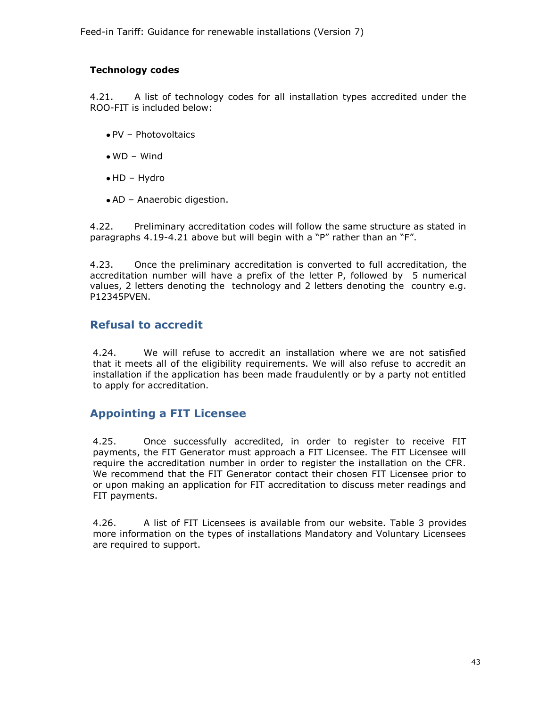## **Technology codes**

4.21. A list of technology codes for all installation types accredited under the ROO-FIT is included below:

- $\bullet$  PV Photovoltaics
- WD Wind
- HD Hydro
- AD Anaerobic digestion.

4.22. Preliminary accreditation codes will follow the same structure as stated in paragraphs 4.19-4.21 above but will begin with a "P" rather than an "F".

4.23. Once the preliminary accreditation is converted to full accreditation, the accreditation number will have a prefix of the letter P, followed by 5 numerical values, 2 letters denoting the technology and 2 letters denoting the country e.g. P12345PVEN.

# **Refusal to accredit**

4.24. We will refuse to accredit an installation where we are not satisfied that it meets all of the eligibility requirements. We will also refuse to accredit an installation if the application has been made fraudulently or by a party not entitled to apply for accreditation.

# **Appointing a FIT Licensee**

4.25. Once successfully accredited, in order to register to receive FIT payments, the FIT Generator must approach a FIT Licensee. The FIT Licensee will require the accreditation number in order to register the installation on the CFR. We recommend that the FIT Generator contact their chosen FIT Licensee prior to or upon making an application for FIT accreditation to discuss meter readings and FIT payments.

4.26. A list of FIT Licensees is available from our website. Table 3 provides more information on the types of installations Mandatory and Voluntary Licensees are required to support.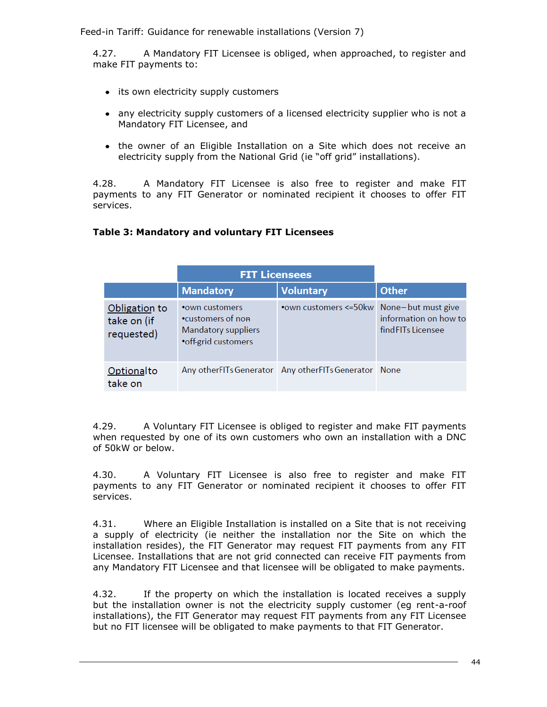4.27. A Mandatory FIT Licensee is obliged, when approached, to register and make FIT payments to:

- its own electricity supply customers
- any electricity supply customers of a licensed electricity supplier who is not a Mandatory FIT Licensee, and
- the owner of an Eligible Installation on a Site which does not receive an electricity supply from the National Grid (ie "off grid" installations).

4.28. A Mandatory FIT Licensee is also free to register and make FIT payments to any FIT Generator or nominated recipient it chooses to offer FIT services.

#### **Table 3: Mandatory and voluntary FIT Licensees**

|                                            | <b>FIT Licensees</b>                                                                 |                                                      |                                             |
|--------------------------------------------|--------------------------------------------------------------------------------------|------------------------------------------------------|---------------------------------------------|
|                                            | <b>Mandatory</b>                                                                     | <b>Voluntary</b>                                     | <b>Other</b>                                |
| Obligation to<br>take on (if<br>requested) | • own customers<br>•customers of non-<br>Mandatory suppliers<br>• off-grid customers | •own customers <= 50kw None-but must give            | information on how to<br>find FITs Licensee |
| Optionalto<br>take on                      |                                                                                      | Any otherFITs Generator Any otherFITs Generator None |                                             |

4.29. A Voluntary FIT Licensee is obliged to register and make FIT payments when requested by one of its own customers who own an installation with a DNC of 50kW or below.

4.30. A Voluntary FIT Licensee is also free to register and make FIT payments to any FIT Generator or nominated recipient it chooses to offer FIT services.

4.31. Where an Eligible Installation is installed on a Site that is not receiving a supply of electricity (ie neither the installation nor the Site on which the installation resides), the FIT Generator may request FIT payments from any FIT Licensee. Installations that are not grid connected can receive FIT payments from any Mandatory FIT Licensee and that licensee will be obligated to make payments.

4.32. If the property on which the installation is located receives a supply but the installation owner is not the electricity supply customer (eg rent-a-roof installations), the FIT Generator may request FIT payments from any FIT Licensee but no FIT licensee will be obligated to make payments to that FIT Generator.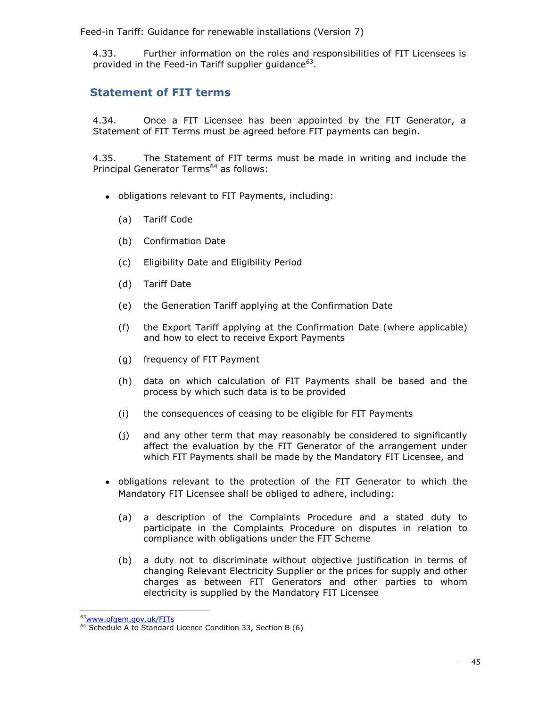4.33. Further information on the roles and responsibilities of FIT Licensees is provided in the Feed-in Tariff supplier guidance<sup>63</sup>.

# **Statement of FIT terms**

4.34. Once a FIT Licensee has been appointed by the FIT Generator, a Statement of FIT Terms must be agreed before FIT payments can begin.

4.35. The Statement of FIT terms must be made in writing and include the Principal Generator Terms<sup>64</sup> as follows:

- obligations relevant to FIT Payments, including:
	- (a) Tariff Code
	- (b) Confirmation Date
	- (c) Eligibility Date and Eligibility Period
	- (d) Tariff Date
	- (e) the Generation Tariff applying at the Confirmation Date
	- (f) the Export Tariff applying at the Confirmation Date (where applicable) and how to elect to receive Export Payments
	- (g) frequency of FIT Payment
	- (h) data on which calculation of FIT Payments shall be based and the process by which such data is to be provided
	- (i) the consequences of ceasing to be eligible for FIT Payments
	- (j) and any other term that may reasonably be considered to significantly affect the evaluation by the FIT Generator of the arrangement under which FIT Payments shall be made by the Mandatory FIT Licensee, and
- obligations relevant to the protection of the FIT Generator to which the Mandatory FIT Licensee shall be obliged to adhere, including:
	- (a) a description of the Complaints Procedure and a stated duty to participate in the Complaints Procedure on disputes in relation to compliance with obligations under the FIT Scheme
	- (b) a duty not to discriminate without objective justification in terms of changing Relevant Electricity Supplier or the prices for supply and other charges as between FIT Generators and other parties to whom electricity is supplied by the Mandatory FIT Licensee

<sup>63&</sup>lt;sub>WWW.O</sub>fgem.gov.uk/FITs

 $64$  Schedule A to Standard Licence Condition 33, Section B (6)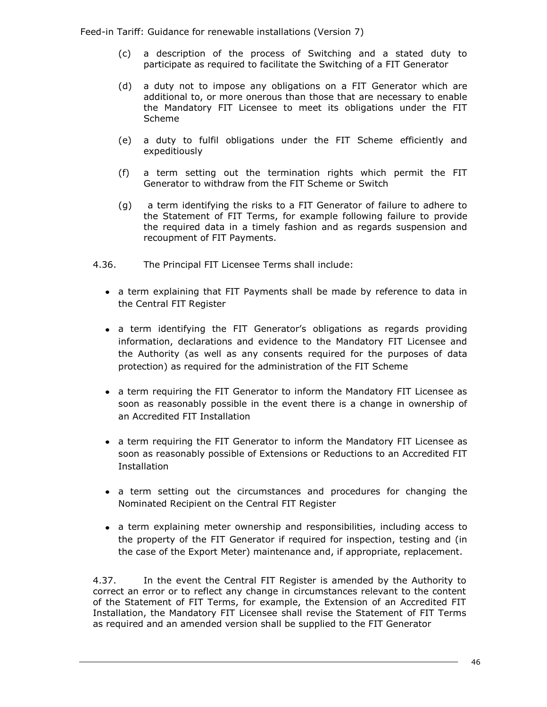- (c) a description of the process of Switching and a stated duty to participate as required to facilitate the Switching of a FIT Generator
- (d) a duty not to impose any obligations on a FIT Generator which are additional to, or more onerous than those that are necessary to enable the Mandatory FIT Licensee to meet its obligations under the FIT Scheme
- (e) a duty to fulfil obligations under the FIT Scheme efficiently and expeditiously
- (f) a term setting out the termination rights which permit the FIT Generator to withdraw from the FIT Scheme or Switch
- (g) a term identifying the risks to a FIT Generator of failure to adhere to the Statement of FIT Terms, for example following failure to provide the required data in a timely fashion and as regards suspension and recoupment of FIT Payments.
- 4.36. The Principal FIT Licensee Terms shall include:
	- a term explaining that FIT Payments shall be made by reference to data in the Central FIT Register
	- a term identifying the FIT Generator's obligations as regards providing information, declarations and evidence to the Mandatory FIT Licensee and the Authority (as well as any consents required for the purposes of data protection) as required for the administration of the FIT Scheme
	- a term requiring the FIT Generator to inform the Mandatory FIT Licensee as soon as reasonably possible in the event there is a change in ownership of an Accredited FIT Installation
	- a term requiring the FIT Generator to inform the Mandatory FIT Licensee as soon as reasonably possible of Extensions or Reductions to an Accredited FIT **Installation**
	- a term setting out the circumstances and procedures for changing the Nominated Recipient on the Central FIT Register
	- a term explaining meter ownership and responsibilities, including access to the property of the FIT Generator if required for inspection, testing and (in the case of the Export Meter) maintenance and, if appropriate, replacement.

4.37. In the event the Central FIT Register is amended by the Authority to correct an error or to reflect any change in circumstances relevant to the content of the Statement of FIT Terms, for example, the Extension of an Accredited FIT Installation, the Mandatory FIT Licensee shall revise the Statement of FIT Terms as required and an amended version shall be supplied to the FIT Generator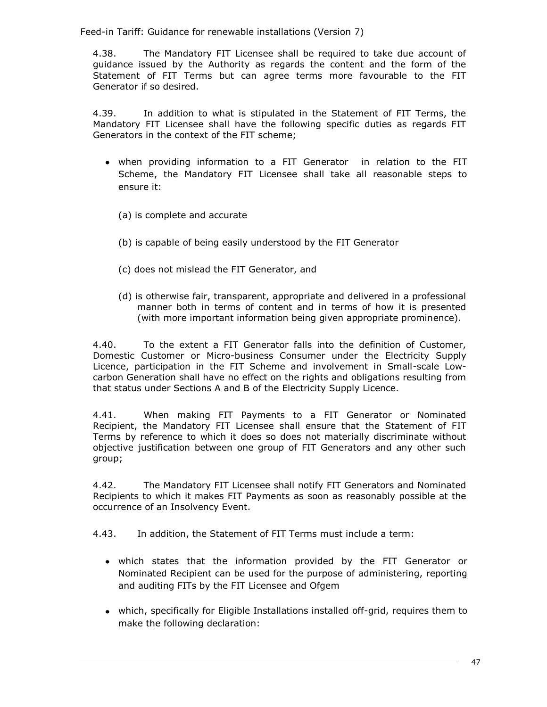4.38. The Mandatory FIT Licensee shall be required to take due account of guidance issued by the Authority as regards the content and the form of the Statement of FIT Terms but can agree terms more favourable to the FIT Generator if so desired.

4.39. In addition to what is stipulated in the Statement of FIT Terms, the Mandatory FIT Licensee shall have the following specific duties as regards FIT Generators in the context of the FIT scheme;

- when providing information to a FIT Generator in relation to the FIT Scheme, the Mandatory FIT Licensee shall take all reasonable steps to ensure it:
	- (a) is complete and accurate
	- (b) is capable of being easily understood by the FIT Generator
	- (c) does not mislead the FIT Generator, and
	- (d) is otherwise fair, transparent, appropriate and delivered in a professional manner both in terms of content and in terms of how it is presented (with more important information being given appropriate prominence).

4.40. To the extent a FIT Generator falls into the definition of Customer, Domestic Customer or Micro-business Consumer under the Electricity Supply Licence, participation in the FIT Scheme and involvement in Small-scale Lowcarbon Generation shall have no effect on the rights and obligations resulting from that status under Sections A and B of the Electricity Supply Licence.

4.41. When making FIT Payments to a FIT Generator or Nominated Recipient, the Mandatory FIT Licensee shall ensure that the Statement of FIT Terms by reference to which it does so does not materially discriminate without objective justification between one group of FIT Generators and any other such group;

4.42. The Mandatory FIT Licensee shall notify FIT Generators and Nominated Recipients to which it makes FIT Payments as soon as reasonably possible at the occurrence of an Insolvency Event.

4.43. In addition, the Statement of FIT Terms must include a term:

- which states that the information provided by the FIT Generator or Nominated Recipient can be used for the purpose of administering, reporting and auditing FITs by the FIT Licensee and Ofgem
- which, specifically for Eligible Installations installed off-grid, requires them to make the following declaration: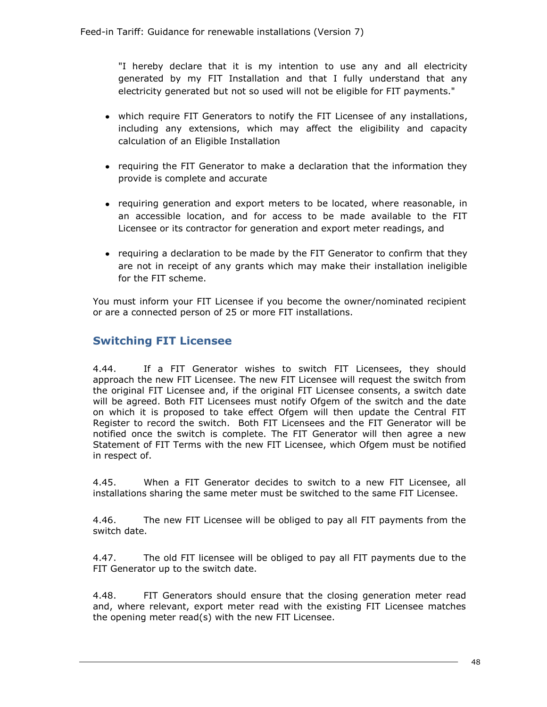"I hereby declare that it is my intention to use any and all electricity generated by my FIT Installation and that I fully understand that any electricity generated but not so used will not be eligible for FIT payments."

- which require FIT Generators to notify the FIT Licensee of any installations, including any extensions, which may affect the eligibility and capacity calculation of an Eligible Installation
- requiring the FIT Generator to make a declaration that the information they provide is complete and accurate
- requiring generation and export meters to be located, where reasonable, in an accessible location, and for access to be made available to the FIT Licensee or its contractor for generation and export meter readings, and
- requiring a declaration to be made by the FIT Generator to confirm that they are not in receipt of any grants which may make their installation ineligible for the FIT scheme.

You must inform your FIT Licensee if you become the owner/nominated recipient or are a connected person of 25 or more FIT installations.

# **Switching FIT Licensee**

4.44. If a FIT Generator wishes to switch FIT Licensees, they should approach the new FIT Licensee. The new FIT Licensee will request the switch from the original FIT Licensee and, if the original FIT Licensee consents, a switch date will be agreed. Both FIT Licensees must notify Ofgem of the switch and the date on which it is proposed to take effect Ofgem will then update the Central FIT Register to record the switch. Both FIT Licensees and the FIT Generator will be notified once the switch is complete. The FIT Generator will then agree a new Statement of FIT Terms with the new FIT Licensee, which Ofgem must be notified in respect of.

4.45. When a FIT Generator decides to switch to a new FIT Licensee, all installations sharing the same meter must be switched to the same FIT Licensee.

4.46. The new FIT Licensee will be obliged to pay all FIT payments from the switch date.

4.47. The old FIT licensee will be obliged to pay all FIT payments due to the FIT Generator up to the switch date.

4.48. FIT Generators should ensure that the closing generation meter read and, where relevant, export meter read with the existing FIT Licensee matches the opening meter read(s) with the new FIT Licensee.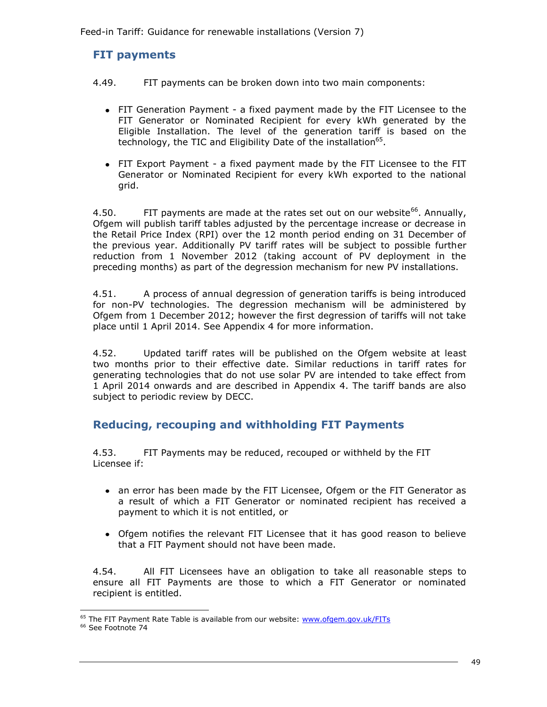# **FIT payments**

- 4.49. FIT payments can be broken down into two main components:
	- FIT Generation Payment a fixed payment made by the FIT Licensee to the FIT Generator or Nominated Recipient for every kWh generated by the Eligible Installation. The level of the generation tariff is based on the technology, the TIC and Eligibility Date of the installation<sup>65</sup>.
	- FIT Export Payment a fixed payment made by the FIT Licensee to the FIT Generator or Nominated Recipient for every kWh exported to the national grid.

4.50. FIT payments are made at the rates set out on our website<sup>66</sup>. Annually, Ofgem will publish tariff tables adjusted by the percentage increase or decrease in the Retail Price Index (RPI) over the 12 month period ending on 31 December of the previous year. Additionally PV tariff rates will be subject to possible further reduction from 1 November 2012 (taking account of PV deployment in the preceding months) as part of the degression mechanism for new PV installations.

4.51. A process of annual degression of generation tariffs is being introduced for non-PV technologies. The degression mechanism will be administered by Ofgem from 1 December 2012; however the first degression of tariffs will not take place until 1 April 2014. See Appendix 4 for more information.

4.52. Updated tariff rates will be published on the Ofgem website at least two months prior to their effective date. Similar reductions in tariff rates for generating technologies that do not use solar PV are intended to take effect from 1 April 2014 onwards and are described in Appendix 4. The tariff bands are also subject to periodic review by DECC.

# **Reducing, recouping and withholding FIT Payments**

4.53. FIT Payments may be reduced, recouped or withheld by the FIT Licensee if:

- an error has been made by the FIT Licensee, Ofgem or the FIT Generator as a result of which a FIT Generator or nominated recipient has received a payment to which it is not entitled, or
- Ofgem notifies the relevant FIT Licensee that it has good reason to believe that a FIT Payment should not have been made.

4.54. All FIT Licensees have an obligation to take all reasonable steps to ensure all FIT Payments are those to which a FIT Generator or nominated recipient is entitled.

<sup>&</sup>lt;sup>65</sup> The FIT Payment Rate Table is available from our website: **www.ofgem.gov.uk/FITs** 

<sup>&</sup>lt;sup>66</sup> See Footnote 74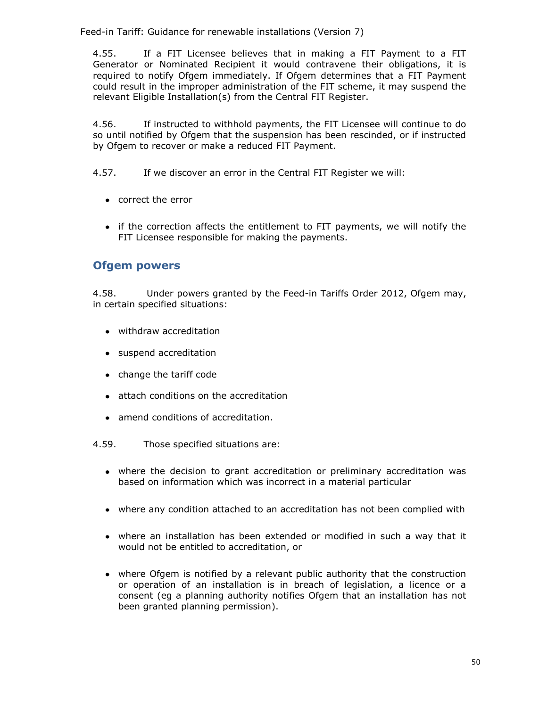4.55. If a FIT Licensee believes that in making a FIT Payment to a FIT Generator or Nominated Recipient it would contravene their obligations, it is required to notify Ofgem immediately. If Ofgem determines that a FIT Payment could result in the improper administration of the FIT scheme, it may suspend the relevant Eligible Installation(s) from the Central FIT Register.

4.56. If instructed to withhold payments, the FIT Licensee will continue to do so until notified by Ofgem that the suspension has been rescinded, or if instructed by Ofgem to recover or make a reduced FIT Payment.

4.57. If we discover an error in the Central FIT Register we will:

- correct the error
- if the correction affects the entitlement to FIT payments, we will notify the FIT Licensee responsible for making the payments.

# **Ofgem powers**

4.58. Under powers granted by the Feed-in Tariffs Order 2012, Ofgem may, in certain specified situations:

- withdraw accreditation
- suspend accreditation
- change the tariff code
- attach conditions on the accreditation
- amend conditions of accreditation.
- 4.59. Those specified situations are:
	- where the decision to grant accreditation or preliminary accreditation was based on information which was incorrect in a material particular
	- where any condition attached to an accreditation has not been complied with
	- where an installation has been extended or modified in such a way that it would not be entitled to accreditation, or
	- where Ofgem is notified by a relevant public authority that the construction or operation of an installation is in breach of legislation, a licence or a consent (eg a planning authority notifies Ofgem that an installation has not been granted planning permission).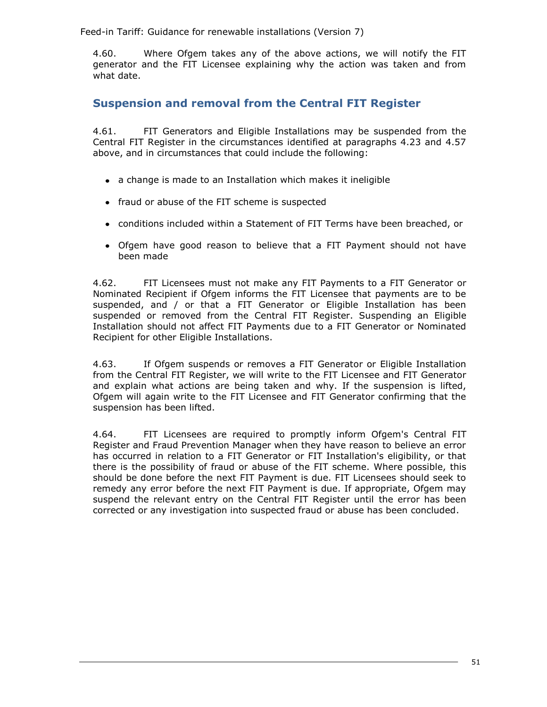4.60. Where Ofgem takes any of the above actions, we will notify the FIT generator and the FIT Licensee explaining why the action was taken and from what date.

# **Suspension and removal from the Central FIT Register**

4.61. FIT Generators and Eligible Installations may be suspended from the Central FIT Register in the circumstances identified at paragraphs 4.23 and 4.57 above, and in circumstances that could include the following:

- a change is made to an Installation which makes it ineligible
- fraud or abuse of the FIT scheme is suspected
- conditions included within a Statement of FIT Terms have been breached, or
- Ofgem have good reason to believe that a FIT Payment should not have been made

4.62. FIT Licensees must not make any FIT Payments to a FIT Generator or Nominated Recipient if Ofgem informs the FIT Licensee that payments are to be suspended, and / or that a FIT Generator or Eligible Installation has been suspended or removed from the Central FIT Register. Suspending an Eligible Installation should not affect FIT Payments due to a FIT Generator or Nominated Recipient for other Eligible Installations.

4.63. If Ofgem suspends or removes a FIT Generator or Eligible Installation from the Central FIT Register, we will write to the FIT Licensee and FIT Generator and explain what actions are being taken and why. If the suspension is lifted, Ofgem will again write to the FIT Licensee and FIT Generator confirming that the suspension has been lifted.

4.64. FIT Licensees are required to promptly inform Ofgem's Central FIT Register and Fraud Prevention Manager when they have reason to believe an error has occurred in relation to a FIT Generator or FIT Installation's eligibility, or that there is the possibility of fraud or abuse of the FIT scheme. Where possible, this should be done before the next FIT Payment is due. FIT Licensees should seek to remedy any error before the next FIT Payment is due. If appropriate, Ofgem may suspend the relevant entry on the Central FIT Register until the error has been corrected or any investigation into suspected fraud or abuse has been concluded.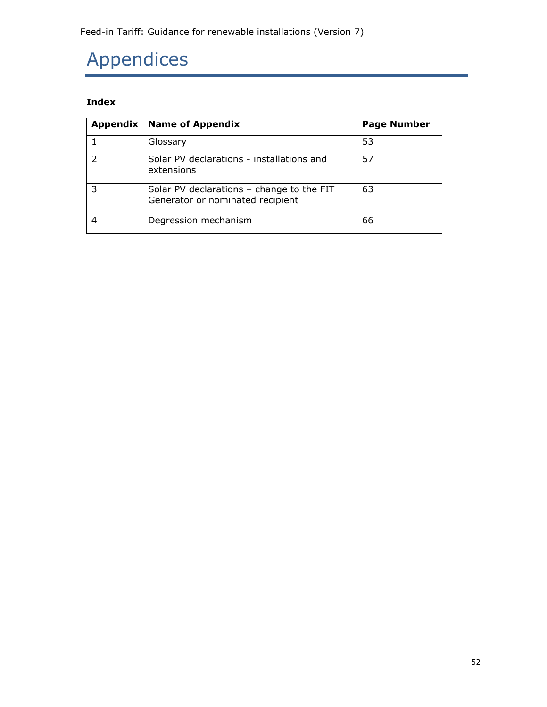# Appendices

# **Index**

| Appendix | <b>Name of Appendix</b>                                                         | <b>Page Number</b> |
|----------|---------------------------------------------------------------------------------|--------------------|
|          | Glossary                                                                        | 53                 |
|          | Solar PV declarations - installations and<br>extensions                         | 57                 |
|          | Solar PV declarations $-$ change to the FIT<br>Generator or nominated recipient | 63                 |
|          | Degression mechanism                                                            | 66                 |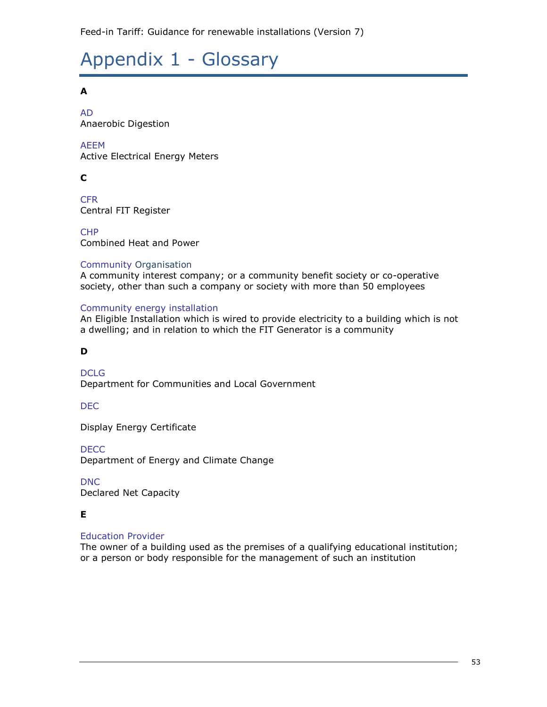# Appendix 1 - Glossary

# **A**

AD Anaerobic Digestion

# AEEM

Active Electrical Energy Meters

# **C**

**CFR** Central FIT Register

CHP Combined Heat and Power

## Community Organisation

A community interest company; or a community benefit society or co-operative society, other than such a company or society with more than 50 employees

## Community energy installation

An Eligible Installation which is wired to provide electricity to a building which is not a dwelling; and in relation to which the FIT Generator is a community

# **D**

**DCLG** Department for Communities and Local Government

## DEC

Display Energy Certificate

**DECC** 

Department of Energy and Climate Change

DNC Declared Net Capacity

## **E**

## Education Provider

The owner of a building used as the premises of a qualifying educational institution; or a person or body responsible for the management of such an institution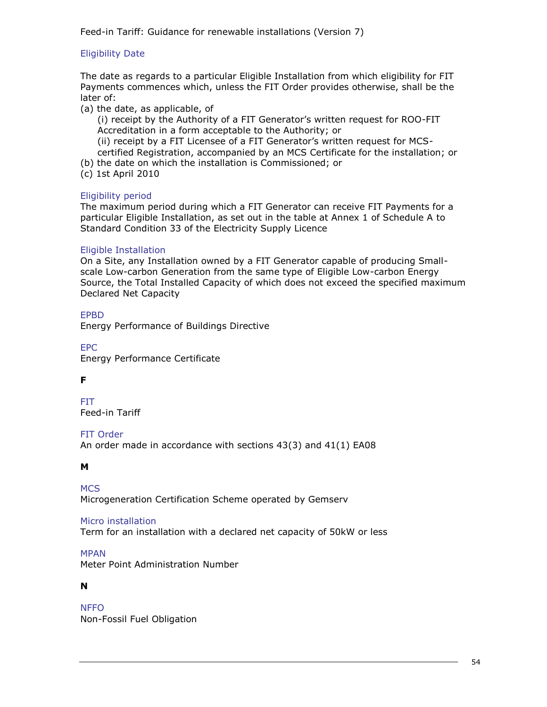## Eligibility Date

The date as regards to a particular Eligible Installation from which eligibility for FIT Payments commences which, unless the FIT Order provides otherwise, shall be the later of:

(a) the date, as applicable, of

(i) receipt by the Authority of a FIT Generator's written request for ROO-FIT Accreditation in a form acceptable to the Authority; or

(ii) receipt by a FIT Licensee of a FIT Generator's written request for MCScertified Registration, accompanied by an MCS Certificate for the installation; or

- (b) the date on which the installation is Commissioned; or
- (c) 1st April 2010

#### Eligibility period

The maximum period during which a FIT Generator can receive FIT Payments for a particular Eligible Installation, as set out in the table at Annex 1 of Schedule A to Standard Condition 33 of the Electricity Supply Licence

#### Eligible Installation

On a Site, any Installation owned by a FIT Generator capable of producing Smallscale Low-carbon Generation from the same type of Eligible Low-carbon Energy Source, the Total Installed Capacity of which does not exceed the specified maximum Declared Net Capacity

#### EPBD

Energy Performance of Buildings Directive

EPC Energy Performance Certificate

## **F**

FIT Feed-in Tariff

#### FIT Order

An order made in accordance with sections 43(3) and 41(1) EA08

#### **M**

**MCS** Microgeneration Certification Scheme operated by Gemserv

#### Micro installation

Term for an installation with a declared net capacity of 50kW or less

MPAN

Meter Point Administration Number

#### **N**

NFFO Non-Fossil Fuel Obligation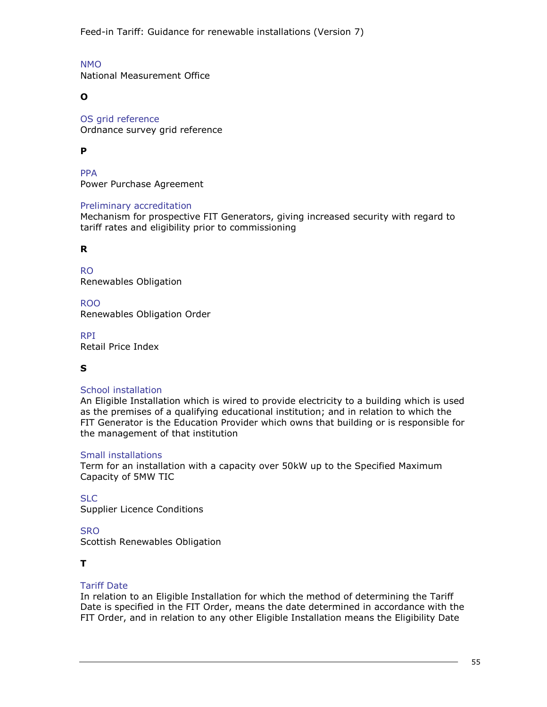NMO National Measurement Office

**O**

OS grid reference Ordnance survey grid reference

# **P**

PPA Power Purchase Agreement

#### Preliminary accreditation

Mechanism for prospective FIT Generators, giving increased security with regard to tariff rates and eligibility prior to commissioning

## **R**

RO Renewables Obligation

ROO Renewables Obligation Order

RPI Retail Price Index

## **S**

#### School installation

An Eligible Installation which is wired to provide electricity to a building which is used as the premises of a qualifying educational institution; and in relation to which the FIT Generator is the Education Provider which owns that building or is responsible for the management of that institution

#### Small installations

Term for an installation with a capacity over 50kW up to the Specified Maximum Capacity of 5MW TIC

SLC

Supplier Licence Conditions

## **SRO**

Scottish Renewables Obligation

## **T**

## Tariff Date

In relation to an Eligible Installation for which the method of determining the Tariff Date is specified in the FIT Order, means the date determined in accordance with the FIT Order, and in relation to any other Eligible Installation means the Eligibility Date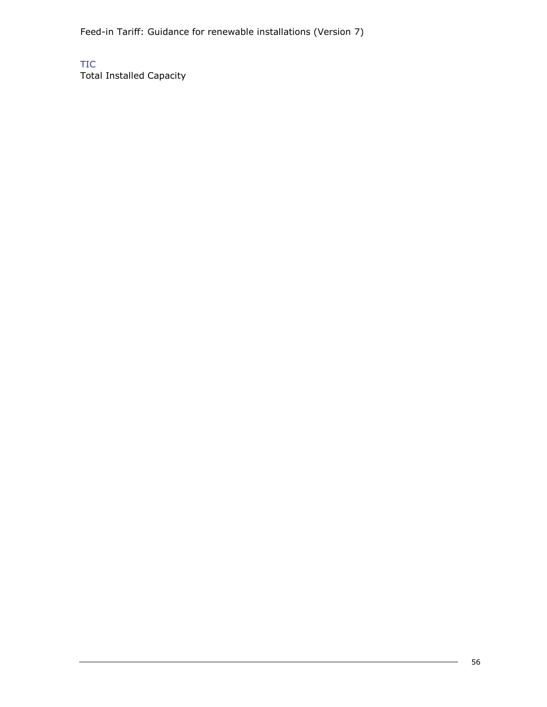TIC

Total Installed Capacity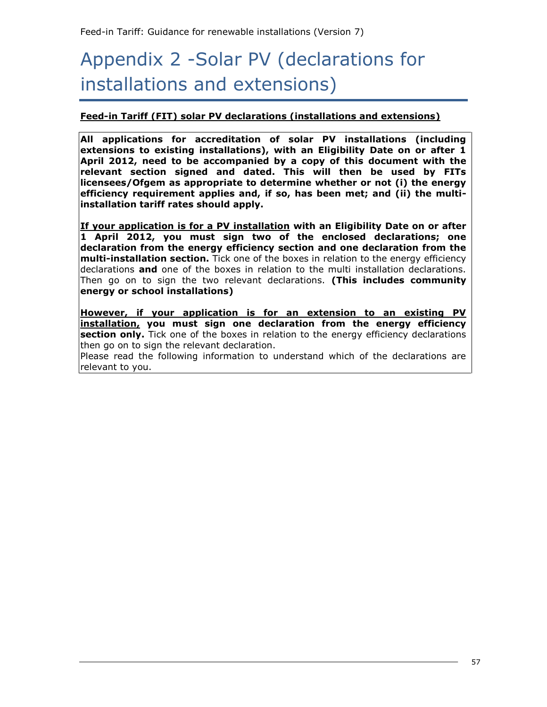# Appendix 2 -Solar PV (declarations for installations and extensions)

## **Feed-in Tariff (FIT) solar PV declarations (installations and extensions)**

**All applications for accreditation of solar PV installations (including extensions to existing installations), with an Eligibility Date on or after 1 April 2012, need to be accompanied by a copy of this document with the relevant section signed and dated. This will then be used by FITs licensees/Ofgem as appropriate to determine whether or not (i) the energy efficiency requirement applies and, if so, has been met; and (ii) the multiinstallation tariff rates should apply.** 

**If your application is for a PV installation with an Eligibility Date on or after 1 April 2012, you must sign two of the enclosed declarations; one declaration from the energy efficiency section and one declaration from the multi-installation section.** Tick one of the boxes in relation to the energy efficiency declarations **and** one of the boxes in relation to the multi installation declarations. Then go on to sign the two relevant declarations. **(This includes community energy or school installations)**

**However, if your application is for an extension to an existing PV installation, you must sign one declaration from the energy efficiency section only.** Tick one of the boxes in relation to the energy efficiency declarations then go on to sign the relevant declaration.

Please read the following information to understand which of the declarations are relevant to you.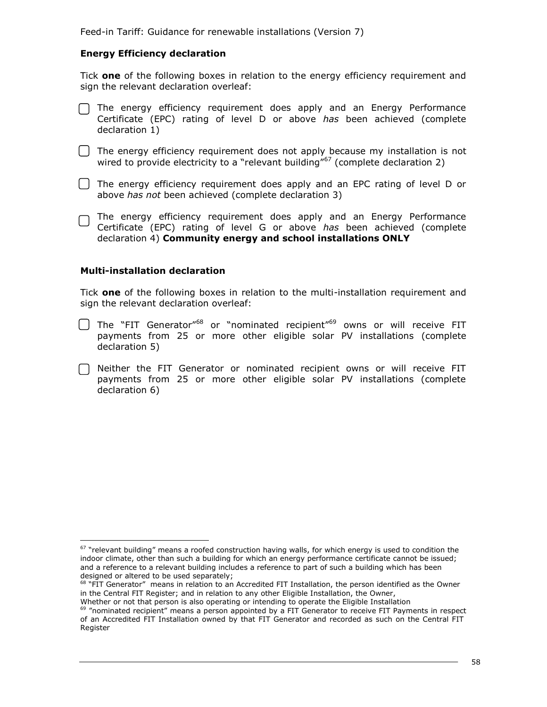#### **Energy Efficiency declaration**

Tick **one** of the following boxes in relation to the energy efficiency requirement and sign the relevant declaration overleaf:

- $\Box$  The energy efficiency requirement does apply and an Energy Performance Certificate (EPC) rating of level D or above *has* been achieved (complete declaration 1)
- $\Box$  The energy efficiency requirement does not apply because my installation is not wired to provide electricity to a "relevant building" $67$  (complete declaration 2)
- The energy efficiency requirement does apply and an EPC rating of level D or above *has not* been achieved (complete declaration 3)
- The energy efficiency requirement does apply and an Energy Performance Certificate (EPC) rating of level G or above *has* been achieved (complete declaration 4) **Community energy and school installations ONLY**

#### **Multi-installation declaration**

ł

Tick **one** of the following boxes in relation to the multi-installation requirement and sign the relevant declaration overleaf:

- $\Box$  The "FIT Generator"<sup>68</sup> or "nominated recipient"<sup>69</sup> owns or will receive FIT payments from 25 or more other eligible solar PV installations (complete declaration 5)
- Neither the FIT Generator or nominated recipient owns or will receive FIT payments from 25 or more other eligible solar PV installations (complete declaration 6)

 $67$  "relevant building" means a roofed construction having walls, for which energy is used to condition the indoor climate, other than such a building for which an energy performance certificate cannot be issued; and a reference to a relevant building includes a reference to part of such a building which has been designed or altered to be used separately;

<sup>68 &</sup>quot;FIT Generator" means in relation to an Accredited FIT Installation, the person identified as the Owner in the Central FIT Register; and in relation to any other Eligible Installation, the Owner,

Whether or not that person is also operating or intending to operate the Eligible Installation <sup>69</sup> "nominated recipient" means a person appointed by a FIT Generator to receive FIT Payments in respect

of an Accredited FIT Installation owned by that FIT Generator and recorded as such on the Central FIT Register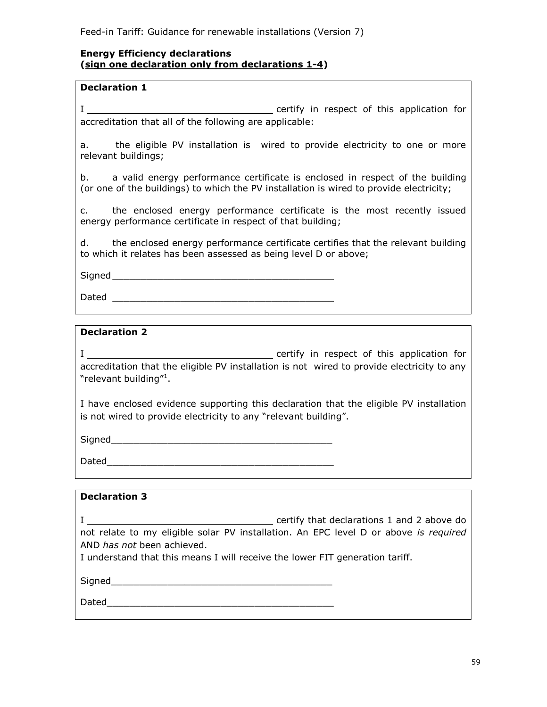#### **Energy Efficiency declarations (sign one declaration only from declarations 1-4)**

#### **Declaration 1**

I certify in respect of this application for accreditation that all of the following are applicable:

a. the eligible PV installation is wired to provide electricity to one or more relevant buildings;

b. a valid energy performance certificate is enclosed in respect of the building (or one of the buildings) to which the PV installation is wired to provide electricity;

c. the enclosed energy performance certificate is the most recently issued energy performance certificate in respect of that building;

d. the enclosed energy performance certificate certifies that the relevant building to which it relates has been assessed as being level D or above;

 $Signal$ 

Dated \_\_\_\_\_\_\_\_\_\_\_\_\_\_\_\_\_\_\_\_\_\_\_\_\_\_\_\_\_\_\_\_\_\_\_\_\_\_\_

#### **Declaration 2**

I certify in respect of this application for accreditation that the eligible PV installation is not wired to provide electricity to any "relevant building"<sup>1</sup>.

I have enclosed evidence supporting this declaration that the eligible PV installation is not wired to provide electricity to any "relevant building".

 $Signal$ 

Dated

| <b>Declaration 3</b>                                                                                       |                                                                                                                                             |
|------------------------------------------------------------------------------------------------------------|---------------------------------------------------------------------------------------------------------------------------------------------|
| AND has not been achieved.<br>I understand that this means I will receive the lower FIT generation tariff. | $\equiv$ certify that declarations 1 and 2 above do<br>not relate to my eligible solar PV installation. An EPC level D or above is required |
| Signed                                                                                                     |                                                                                                                                             |
| Dated                                                                                                      |                                                                                                                                             |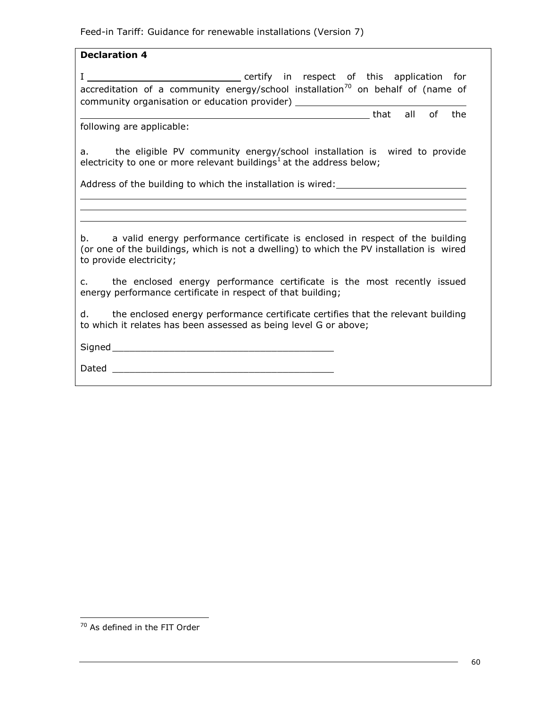#### **Declaration 4**

I certify in respect of this application for accreditation of a community energy/school installation<sup>70</sup> on behalf of (name of community organisation or education provider)

that all of the

following are applicable:

a. the eligible PV community energy/school installation is wired to provide electricity to one or more relevant buildings<sup>1</sup> at the address below;

Address of the building to which the installation is wired:

b. a valid energy performance certificate is enclosed in respect of the building (or one of the buildings, which is not a dwelling) to which the PV installation is wired to provide electricity;

c. the enclosed energy performance certificate is the most recently issued energy performance certificate in respect of that building;

d. the enclosed energy performance certificate certifies that the relevant building to which it relates has been assessed as being level G or above;

 $Signal$ 

Dated \_\_\_\_\_\_\_\_\_\_\_\_\_\_\_\_\_\_\_\_\_\_\_\_\_\_\_\_\_\_\_\_\_\_\_\_\_\_\_

<sup>&</sup>lt;sup>70</sup> As defined in the FIT Order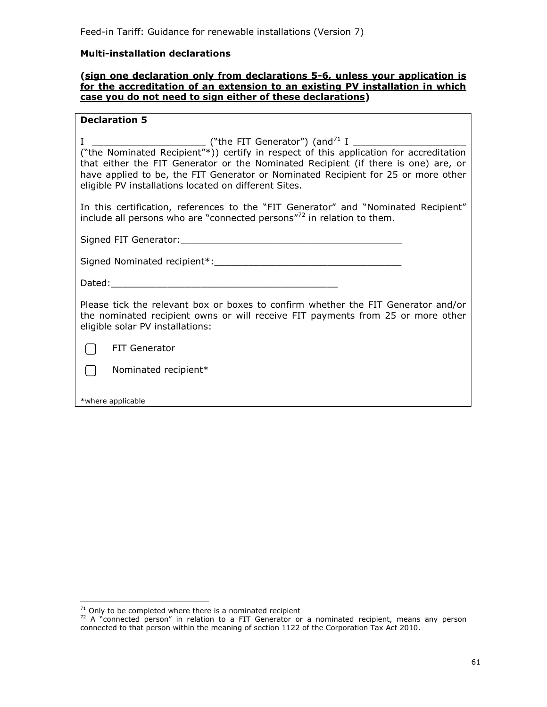#### **Multi-installation declarations**

#### **(sign one declaration only from declarations 5-6, unless your application is for the accreditation of an extension to an existing PV installation in which case you do not need to sign either of these declarations)**

#### **Declaration 5**

| ("the Nominated Recipient"*)) certify in respect of this application for accreditation<br>that either the FIT Generator or the Nominated Recipient (if there is one) are, or<br>have applied to be, the FIT Generator or Nominated Recipient for 25 or more other<br>eligible PV installations located on different Sites. |
|----------------------------------------------------------------------------------------------------------------------------------------------------------------------------------------------------------------------------------------------------------------------------------------------------------------------------|
| In this certification, references to the "FIT Generator" and "Nominated Recipient"<br>include all persons who are "connected persons" <sup>72</sup> in relation to them.                                                                                                                                                   |
|                                                                                                                                                                                                                                                                                                                            |
|                                                                                                                                                                                                                                                                                                                            |
| Dated: <u>Dated:</u> The Contract of the Contract of the Contract of the Contract of the Contract of the Contract of the Contract of the Contract of the Contract of the Contract of the Contract of the Contract of the Contract o                                                                                        |
| Please tick the relevant box or boxes to confirm whether the FIT Generator and/or<br>the nominated recipient owns or will receive FIT payments from 25 or more other<br>eligible solar PV installations:                                                                                                                   |
| <b>FIT Generator</b>                                                                                                                                                                                                                                                                                                       |
| Nominated recipient*                                                                                                                                                                                                                                                                                                       |
| *where applicable                                                                                                                                                                                                                                                                                                          |

 $71$  Only to be completed where there is a nominated recipient

<sup>&</sup>lt;sup>72</sup> A "connected person" in relation to a FIT Generator or a nominated recipient, means any person connected to that person within the meaning of section 1122 of the Corporation Tax Act 2010.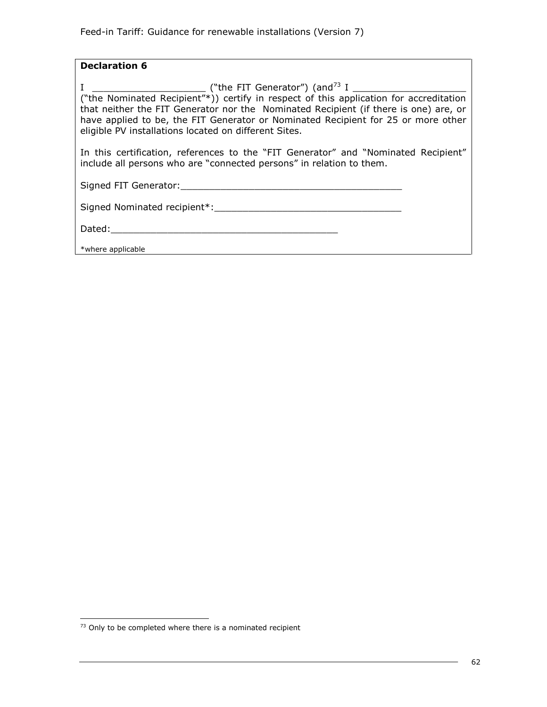#### **Declaration 6**

I \_\_\_\_\_\_\_\_\_\_\_\_\_\_\_\_\_\_\_\_ ("the FIT Generator") (and<sup>73</sup> I \_\_\_\_\_\_\_\_\_\_\_\_\_\_\_\_\_\_\_\_ ("the Nominated Recipient"\*)) certify in respect of this application for accreditation that neither the FIT Generator nor the Nominated Recipient (if there is one) are, or have applied to be, the FIT Generator or Nominated Recipient for 25 or more other eligible PV installations located on different Sites.

In this certification, references to the "FIT Generator" and "Nominated Recipient" include all persons who are "connected persons" in relation to them.

Signed FIT Generator:\_\_\_\_\_\_\_\_\_\_\_\_\_\_\_\_\_\_\_\_\_\_\_\_\_\_\_\_\_\_\_\_\_\_\_\_\_\_\_

|  | Signed Nominated recipient*: |  |
|--|------------------------------|--|
|  |                              |  |

Dated:\_\_\_\_\_\_\_\_\_\_\_\_\_\_\_\_\_\_\_\_\_\_\_\_\_\_\_\_\_\_\_\_\_\_\_\_\_\_\_\_

l

\*where applicable

 $73$  Only to be completed where there is a nominated recipient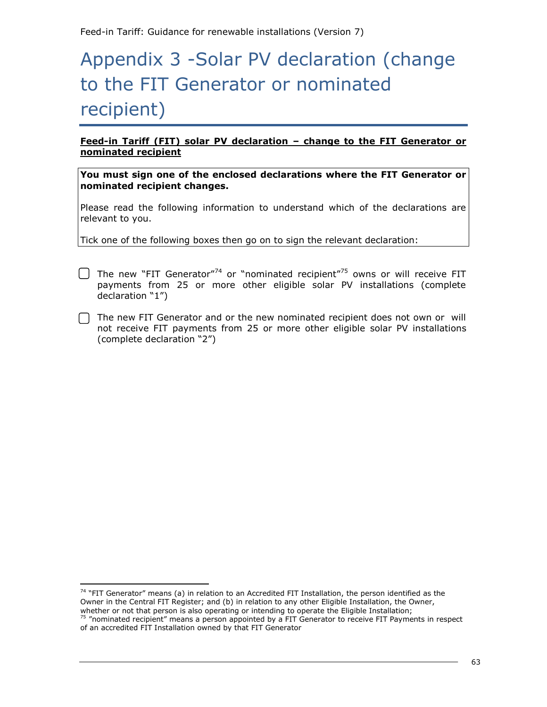# Appendix 3 -Solar PV declaration (change to the FIT Generator or nominated recipient)

**Feed-in Tariff (FIT) solar PV declaration – change to the FIT Generator or nominated recipient**

**You must sign one of the enclosed declarations where the FIT Generator or nominated recipient changes.** 

Please read the following information to understand which of the declarations are relevant to you.

Tick one of the following boxes then go on to sign the relevant declaration:

- $\Box$  The new "FIT Generator"<sup>74</sup> or "nominated recipient"<sup>75</sup> owns or will receive FIT payments from 25 or more other eligible solar PV installations (complete declaration "1")
	- The new FIT Generator and or the new nominated recipient does not own or will not receive FIT payments from 25 or more other eligible solar PV installations (complete declaration "2")

j.

<sup>&</sup>lt;sup>74</sup> "FIT Generator" means (a) in relation to an Accredited FIT Installation, the person identified as the Owner in the Central FIT Register; and (b) in relation to any other Eligible Installation, the Owner, whether or not that person is also operating or intending to operate the Eligible Installation; <sup>75</sup> "nominated recipient" means a person appointed by a FIT Generator to receive FIT Payments in respect of an accredited FIT Installation owned by that FIT Generator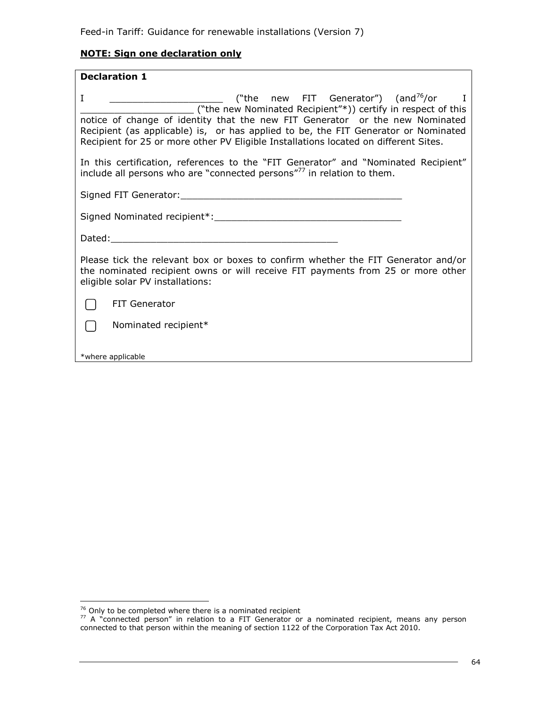# **NOTE: Sign one declaration only**

| <b>Declaration 1</b>                                                                                                                                                                                                                                                                                                                                                                                                                          |  |  |  |  |
|-----------------------------------------------------------------------------------------------------------------------------------------------------------------------------------------------------------------------------------------------------------------------------------------------------------------------------------------------------------------------------------------------------------------------------------------------|--|--|--|--|
| ("the new FIT Generator") (and <sup>76</sup> /or I<br>$\bf{I}$<br><u> 2002 - Johann John Stone, mension all</u><br>("the new Nominated Recipient"*)) certify in respect of this<br>notice of change of identity that the new FIT Generator or the new Nominated<br>Recipient (as applicable) is, or has applied to be, the FIT Generator or Nominated<br>Recipient for 25 or more other PV Eligible Installations located on different Sites. |  |  |  |  |
| In this certification, references to the "FIT Generator" and "Nominated Recipient"<br>include all persons who are "connected persons" <sup>77</sup> in relation to them.                                                                                                                                                                                                                                                                      |  |  |  |  |
|                                                                                                                                                                                                                                                                                                                                                                                                                                               |  |  |  |  |
|                                                                                                                                                                                                                                                                                                                                                                                                                                               |  |  |  |  |
|                                                                                                                                                                                                                                                                                                                                                                                                                                               |  |  |  |  |
| Please tick the relevant box or boxes to confirm whether the FIT Generator and/or<br>the nominated recipient owns or will receive FIT payments from 25 or more other<br>eligible solar PV installations:                                                                                                                                                                                                                                      |  |  |  |  |
| <b>FIT Generator</b>                                                                                                                                                                                                                                                                                                                                                                                                                          |  |  |  |  |
| Nominated recipient*                                                                                                                                                                                                                                                                                                                                                                                                                          |  |  |  |  |
| *where applicable                                                                                                                                                                                                                                                                                                                                                                                                                             |  |  |  |  |

 $76$  Only to be completed where there is a nominated recipient

 $77$  A "connected person" in relation to a FIT Generator or a nominated recipient, means any person connected to that person within the meaning of section 1122 of the Corporation Tax Act 2010.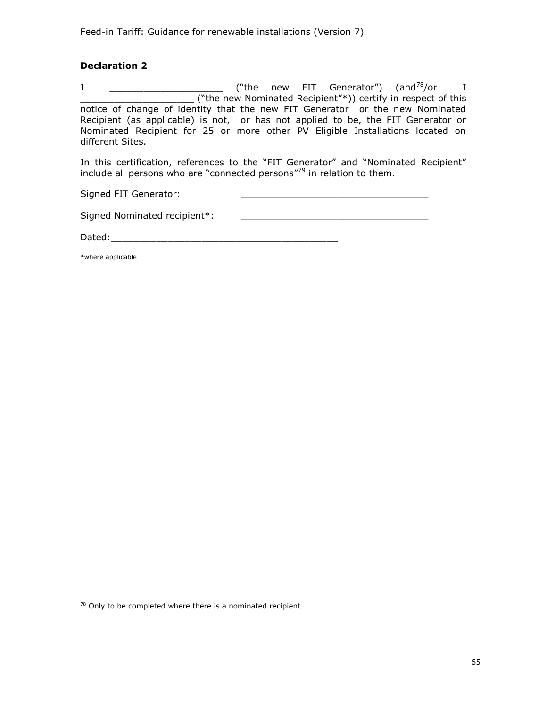| <b>Declaration 2</b>                                                                                                                                                                                                                                                                                                                                                                    |  |
|-----------------------------------------------------------------------------------------------------------------------------------------------------------------------------------------------------------------------------------------------------------------------------------------------------------------------------------------------------------------------------------------|--|
| ("the new FIT Generator") (and $78/$ or I<br>I<br>("the new Nominated Recipient"*)) certify in respect of this<br>notice of change of identity that the new FIT Generator or the new Nominated<br>Recipient (as applicable) is not, or has not applied to be, the FIT Generator or<br>Nominated Recipient for 25 or more other PV Eligible Installations located on<br>different Sites. |  |
| In this certification, references to the "FIT Generator" and "Nominated Recipient"<br>include all persons who are "connected persons" <sup>79</sup> in relation to them.                                                                                                                                                                                                                |  |
| Signed FIT Generator:                                                                                                                                                                                                                                                                                                                                                                   |  |
| Signed Nominated recipient*:                                                                                                                                                                                                                                                                                                                                                            |  |
| Dated:                                                                                                                                                                                                                                                                                                                                                                                  |  |
| *where applicable                                                                                                                                                                                                                                                                                                                                                                       |  |

j.  $78$  Only to be completed where there is a nominated recipient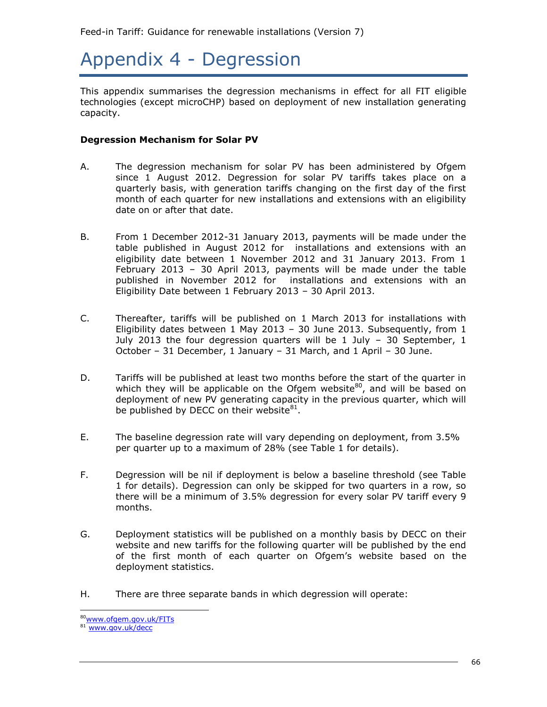# Appendix 4 - Degression

This appendix summarises the degression mechanisms in effect for all FIT eligible technologies (except microCHP) based on deployment of new installation generating capacity.

#### **Degression Mechanism for Solar PV**

- A. The degression mechanism for solar PV has been administered by Ofgem since 1 August 2012. Degression for solar PV tariffs takes place on a quarterly basis, with generation tariffs changing on the first day of the first month of each quarter for new installations and extensions with an eligibility date on or after that date.
- B. From 1 December 2012-31 January 2013, payments will be made under the table published in August 2012 for installations and extensions with an eligibility date between 1 November 2012 and 31 January 2013. From 1 February 2013 – 30 April 2013, payments will be made under the table published in November 2012 for installations and extensions with an Eligibility Date between 1 February 2013 – 30 April 2013.
- C. Thereafter, tariffs will be published on 1 March 2013 for installations with Eligibility dates between 1 May 2013 – 30 June 2013. Subsequently, from 1 July 2013 the four degression quarters will be 1 July  $-$  30 September, 1 October – 31 December, 1 January – 31 March, and 1 April – 30 June.
- D. Tariffs will be published at least two months before the start of the quarter in which they will be applicable on the Ofgem website $^{80}$ , and will be based on deployment of new PV generating capacity in the previous quarter, which will be published by DECC on their website $81$ .
- E. The baseline degression rate will vary depending on deployment, from 3.5% per quarter up to a maximum of 28% (see Table 1 for details).
- F. Degression will be nil if deployment is below a baseline threshold (see Table 1 for details). Degression can only be skipped for two quarters in a row, so there will be a minimum of 3.5% degression for every solar PV tariff every 9 months.
- G. Deployment statistics will be published on a monthly basis by DECC on their website and new tariffs for the following quarter will be published by the end of the first month of each quarter on Ofgem's website based on the deployment statistics.
- H. There are three separate bands in which degression will operate:

<sup>80</sup>[www.ofgem.gov.uk/FITs](http://www.ofgem.gov.uk/FITs)

<sup>81</sup> [www.gov.uk/decc](http://www.gov.uk/decc)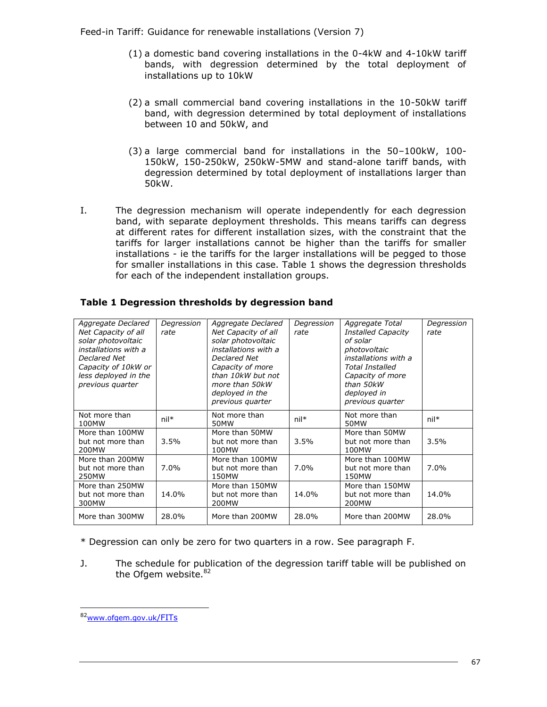- (1) a domestic band covering installations in the 0-4kW and 4-10kW tariff bands, with degression determined by the total deployment of installations up to 10kW
- (2) a small commercial band covering installations in the 10-50kW tariff band, with degression determined by total deployment of installations between 10 and 50kW, and
- (3) a large commercial band for installations in the 50–100kW, 100- 150kW, 150-250kW, 250kW-5MW and stand-alone tariff bands, with degression determined by total deployment of installations larger than 50kW.
- I. The degression mechanism will operate independently for each degression band, with separate deployment thresholds. This means tariffs can degress at different rates for different installation sizes, with the constraint that the tariffs for larger installations cannot be higher than the tariffs for smaller installations - ie the tariffs for the larger installations will be pegged to those for smaller installations in this case. Table 1 shows the degression thresholds for each of the independent installation groups.

| Aggregate Declared<br>Net Capacity of all<br>solar photovoltaic<br>installations with a<br>Declared Net<br>Capacity of 10kW or<br>less deployed in the<br>previous quarter | Degression<br>rate | Aggregate Declared<br>Net Capacity of all<br>solar photovoltaic<br>installations with a<br>Declared Net<br>Capacity of more<br>than 10kW but not<br>more than 50kW<br>deployed in the<br>previous quarter | Degression<br>rate | Aggregate Total<br><b>Installed Capacity</b><br>of solar<br>photovoltaic<br>installations with a<br><b>Total Installed</b><br>Capacity of more<br>than 50kW<br>deployed in<br>previous quarter | Degression<br>rate |
|----------------------------------------------------------------------------------------------------------------------------------------------------------------------------|--------------------|-----------------------------------------------------------------------------------------------------------------------------------------------------------------------------------------------------------|--------------------|------------------------------------------------------------------------------------------------------------------------------------------------------------------------------------------------|--------------------|
| Not more than<br>100MW                                                                                                                                                     | $nil*$             | Not more than<br>50MW                                                                                                                                                                                     | $nil*$             | Not more than<br>50MW                                                                                                                                                                          | $nil*$             |
| More than 100MW<br>but not more than<br>200MW                                                                                                                              | 3.5%               | More than 50MW<br>but not more than<br>100MW                                                                                                                                                              | 3.5%               | More than 50MW<br>but not more than<br>100MW                                                                                                                                                   | 3.5%               |
| More than 200MW<br>but not more than<br>250MW                                                                                                                              | $7.0\%$            | More than 100MW<br>but not more than<br>150MW                                                                                                                                                             | $7.0\%$            | More than 100MW<br>but not more than<br>150MW                                                                                                                                                  | 7.0%               |
| More than 250MW<br>but not more than<br>300MW                                                                                                                              | 14.0%              | More than 150MW<br>but not more than<br>200MW                                                                                                                                                             | 14.0%              | More than 150MW<br>but not more than<br>200MW                                                                                                                                                  | 14.0%              |
| More than 300MW                                                                                                                                                            | 28.0%              | More than 200MW                                                                                                                                                                                           | 28.0%              | More than 200MW                                                                                                                                                                                | 28.0%              |

## **Table 1 Degression thresholds by degression band**

\* Degression can only be zero for two quarters in a row. See paragraph F.

J. The schedule for publication of the degression tariff table will be published on the Ofgem website.<sup>82</sup>

ł

<sup>82</sup>[www.ofgem.gov.uk](http://www.ofgem.gov.uk/FITs)/FITs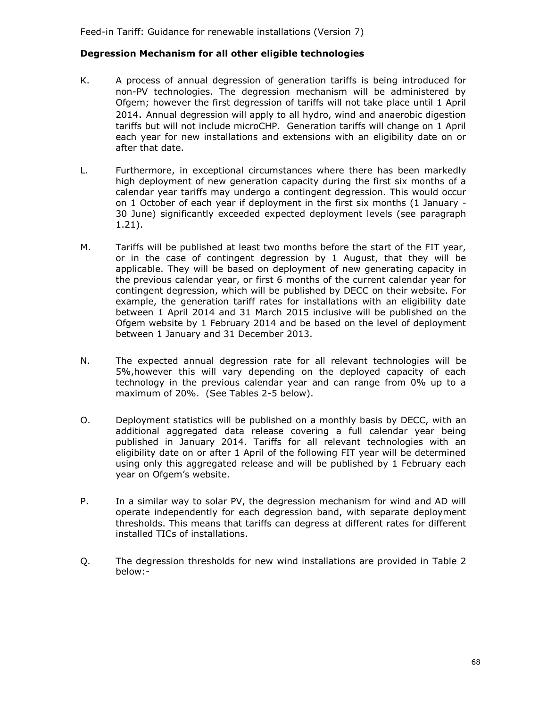## **Degression Mechanism for all other eligible technologies**

- K. A process of annual degression of generation tariffs is being introduced for non-PV technologies. The degression mechanism will be administered by Ofgem; however the first degression of tariffs will not take place until 1 April 2014. Annual degression will apply to all hydro, wind and anaerobic digestion tariffs but will not include microCHP. Generation tariffs will change on 1 April each year for new installations and extensions with an eligibility date on or after that date.
- L. Furthermore, in exceptional circumstances where there has been markedly high deployment of new generation capacity during the first six months of a calendar year tariffs may undergo a contingent degression. This would occur on 1 October of each year if deployment in the first six months (1 January - 30 June) significantly exceeded expected deployment levels (see paragraph 1.21).
- M. Tariffs will be published at least two months before the start of the FIT year, or in the case of contingent degression by 1 August, that they will be applicable. They will be based on deployment of new generating capacity in the previous calendar year, or first 6 months of the current calendar year for contingent degression, which will be published by DECC on their website. For example, the generation tariff rates for installations with an eligibility date between 1 April 2014 and 31 March 2015 inclusive will be published on the Ofgem website by 1 February 2014 and be based on the level of deployment between 1 January and 31 December 2013.
- N. The expected annual degression rate for all relevant technologies will be 5%,however this will vary depending on the deployed capacity of each technology in the previous calendar year and can range from 0% up to a maximum of 20%. (See Tables 2-5 below).
- O. Deployment statistics will be published on a monthly basis by DECC, with an additional aggregated data release covering a full calendar year being published in January 2014. Tariffs for all relevant technologies with an eligibility date on or after 1 April of the following FIT year will be determined using only this aggregated release and will be published by 1 February each year on Ofgem's website.
- P. In a similar way to solar PV, the degression mechanism for wind and AD will operate independently for each degression band, with separate deployment thresholds. This means that tariffs can degress at different rates for different installed TICs of installations.
- Q. The degression thresholds for new wind installations are provided in Table 2 below:-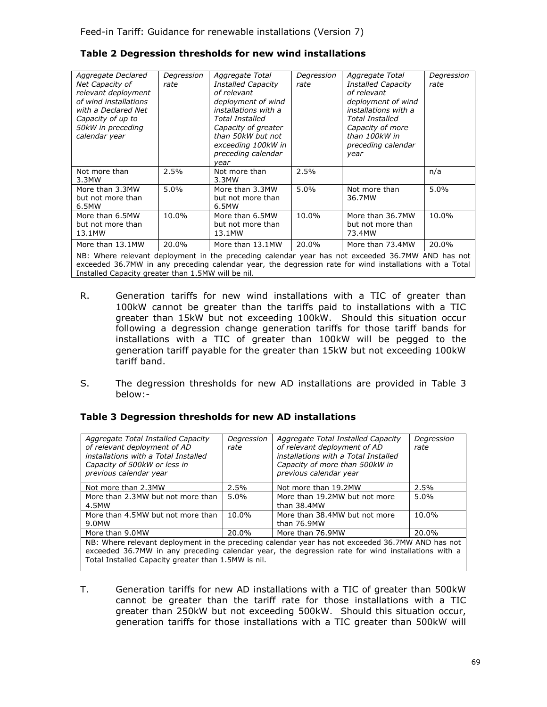| Aggregate Declared<br>Net Capacity of<br>relevant deployment<br>of wind installations<br>with a Declared Net<br>Capacity of up to<br>50kW in preceding<br>calendar year | Degression<br>rate | Aggregate Total<br><b>Installed Capacity</b><br>of relevant<br>deployment of wind<br>installations with a<br><b>Total Installed</b><br>Capacity of greater<br>than 50kW but not<br>exceeding 100kW in<br>preceding calendar<br>year | Degression<br>rate | Aggregate Total<br><b>Installed Capacity</b><br>of relevant<br>deployment of wind<br>installations with a<br>Total Installed<br>Capacity of more<br>than 100kW in<br>preceding calendar<br>year | Degression<br>rate |
|-------------------------------------------------------------------------------------------------------------------------------------------------------------------------|--------------------|-------------------------------------------------------------------------------------------------------------------------------------------------------------------------------------------------------------------------------------|--------------------|-------------------------------------------------------------------------------------------------------------------------------------------------------------------------------------------------|--------------------|
| Not more than<br>3.3MW                                                                                                                                                  | 2.5%               | Not more than<br>3.3MW                                                                                                                                                                                                              | 2.5%               |                                                                                                                                                                                                 | n/a                |
| More than 3.3MW<br>but not more than<br>6.5MW                                                                                                                           | 5.0%               | More than 3.3MW<br>but not more than<br>6.5MW                                                                                                                                                                                       | 5.0%               | Not more than<br>36.7MW                                                                                                                                                                         | 5.0%               |
| More than 6.5MW<br>but not more than<br>13.1MW                                                                                                                          | 10.0%              | More than 6.5MW<br>but not more than<br>13.1MW                                                                                                                                                                                      | 10.0%              | More than 36.7MW<br>but not more than<br>73.4MW                                                                                                                                                 | 10.0%              |
| More than 13.1MW                                                                                                                                                        | 20.0%              | More than 13.1MW                                                                                                                                                                                                                    | 20.0%              | More than 73.4MW                                                                                                                                                                                | 20.0%              |
| NB: Where relevant deployment in the preceding calendar year has not exceeded 36.7MW AND has not                                                                        |                    |                                                                                                                                                                                                                                     |                    |                                                                                                                                                                                                 |                    |

#### **Table 2 Degression thresholds for new wind installations**

exceeded 36.7MW in any preceding calendar year, the degression rate for wind installations with a Total Installed Capacity greater than 1.5MW will be nil.

- R. Generation tariffs for new wind installations with a TIC of greater than 100kW cannot be greater than the tariffs paid to installations with a TIC greater than 15kW but not exceeding 100kW. Should this situation occur following a degression change generation tariffs for those tariff bands for installations with a TIC of greater than 100kW will be pegged to the generation tariff payable for the greater than 15kW but not exceeding 100kW tariff band.
- S. The degression thresholds for new AD installations are provided in Table 3 below:-

# **Table 3 Degression thresholds for new AD installations**

| Aggregate Total Installed Capacity<br>of relevant deployment of AD<br>installations with a Total Installed<br>Capacity of 500kW or less in<br>previous calendar year                                  | Degression<br>rate | Aggregate Total Installed Capacity<br>of relevant deployment of AD<br>installations with a Total Installed<br>Capacity of more than 500kW in<br>previous calendar year | Degression<br>rate |
|-------------------------------------------------------------------------------------------------------------------------------------------------------------------------------------------------------|--------------------|------------------------------------------------------------------------------------------------------------------------------------------------------------------------|--------------------|
| Not more than 2.3MW                                                                                                                                                                                   | 2.5%               | Not more than 19.2MW                                                                                                                                                   | 2.5%               |
| More than 2.3MW but not more than<br>4.5MW                                                                                                                                                            | 5.0%               | More than 19.2MW but not more<br>than 38.4MW                                                                                                                           | 5.0%               |
| More than 4.5MW but not more than<br>9.0MW                                                                                                                                                            | 10.0%              | More than 38.4MW but not more<br>than 76.9MW                                                                                                                           | 10.0%              |
| More than 9.0MW                                                                                                                                                                                       | 20.0%              | More than 76.9MW                                                                                                                                                       | 20.0%              |
| NB: Where relevant deployment in the preceding calendar year has not exceeded 36.7MW AND has not<br>exceeded 36.7MW in any preceding calendar year, the degression rate for wind installations with a |                    |                                                                                                                                                                        |                    |

Total Installed Capacity greater than 1.5MW is nil.

T. Generation tariffs for new AD installations with a TIC of greater than 500kW cannot be greater than the tariff rate for those installations with a TIC greater than 250kW but not exceeding 500kW. Should this situation occur, generation tariffs for those installations with a TIC greater than 500kW will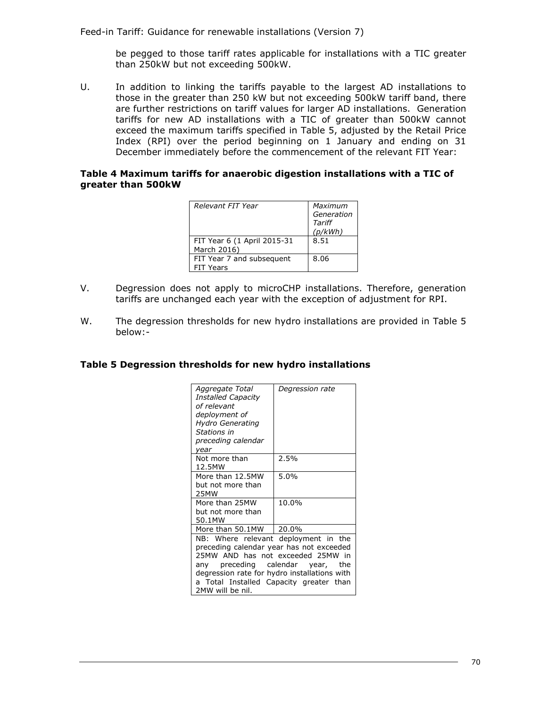Feed-in Tariff: Guidance for renewable installations (Version 7)

be pegged to those tariff rates applicable for installations with a TIC greater than 250kW but not exceeding 500kW.

U. In addition to linking the tariffs payable to the largest AD installations to those in the greater than 250 kW but not exceeding 500kW tariff band, there are further restrictions on tariff values for larger AD installations. Generation tariffs for new AD installations with a TIC of greater than 500kW cannot exceed the maximum tariffs specified in Table 5, adjusted by the Retail Price Index (RPI) over the period beginning on 1 January and ending on 31 December immediately before the commencement of the relevant FIT Year:

### **Table 4 Maximum tariffs for anaerobic digestion installations with a TIC of greater than 500kW**

| Relevant FIT Year                             | Maximum<br>Generation<br>Tariff<br>(p/kWh) |
|-----------------------------------------------|--------------------------------------------|
| FIT Year 6 (1 April 2015-31<br>March 2016)    | 8.51                                       |
| FIT Year 7 and subsequent<br><b>FIT Years</b> | 8.06                                       |

- V. Degression does not apply to microCHP installations. Therefore, generation tariffs are unchanged each year with the exception of adjustment for RPI.
- W. The degression thresholds for new hydro installations are provided in Table 5 below:-

### **Table 5 Degression thresholds for new hydro installations**

| Aggregate Total<br><b>Installed Capacity</b><br>of relevant<br>deployment of<br><b>Hydro Generating</b><br>Stations in<br>preceding calendar<br>year                                                                                                                           | Degression rate |  |  |
|--------------------------------------------------------------------------------------------------------------------------------------------------------------------------------------------------------------------------------------------------------------------------------|-----------------|--|--|
| Not more than<br>12.5MW                                                                                                                                                                                                                                                        | 2.5%            |  |  |
| More than 12.5MW<br>but not more than<br>25MW                                                                                                                                                                                                                                  | 5.0%            |  |  |
| More than 25MW<br>but not more than<br>50.1MW                                                                                                                                                                                                                                  | 10.0%           |  |  |
| More than 50.1MW                                                                                                                                                                                                                                                               | 20.0%           |  |  |
| NB: Where relevant deployment in the<br>preceding calendar year has not exceeded<br>25MW AND has not exceeded 25MW in<br>preceding calendar year,<br>the<br>anv<br>degression rate for hydro installations with<br>a Total Installed Capacity greater than<br>2MW will be nil. |                 |  |  |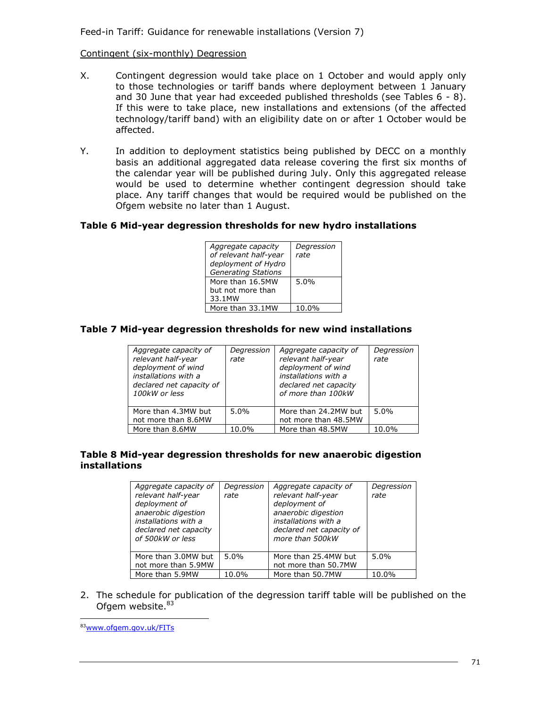Feed-in Tariff: Guidance for renewable installations (Version 7)

### Contingent (six-monthly) Degression

- X. Contingent degression would take place on 1 October and would apply only to those technologies or tariff bands where deployment between 1 January and 30 June that year had exceeded published thresholds (see Tables 6 - 8). If this were to take place, new installations and extensions (of the affected technology/tariff band) with an eligibility date on or after 1 October would be affected.
- Y. In addition to deployment statistics being published by DECC on a monthly basis an additional aggregated data release covering the first six months of the calendar year will be published during July. Only this aggregated release would be used to determine whether contingent degression should take place. Any tariff changes that would be required would be published on the Ofgem website no later than 1 August.

## **Table 6 Mid-year degression thresholds for new hydro installations**

| Aggregate capacity<br>of relevant half-year       | Degression<br>rate |
|---------------------------------------------------|--------------------|
| deployment of Hydro<br><b>Generating Stations</b> |                    |
| More than 16.5MW                                  | 5.0%               |
| but not more than                                 |                    |
| 33.1MW                                            |                    |
| More than 33.1MW                                  | 10.0%              |

### **Table 7 Mid-year degression thresholds for new wind installations**

| Aggregate capacity of<br>relevant half-year<br>deployment of wind<br>installations with a<br>declared net capacity of<br>100kW or less | Degression<br>rate | Aggregate capacity of<br>relevant half-year<br>deployment of wind<br>installations with a<br>declared net capacity<br>of more than 100kW | Degression<br>rate |
|----------------------------------------------------------------------------------------------------------------------------------------|--------------------|------------------------------------------------------------------------------------------------------------------------------------------|--------------------|
| More than 4.3MW but<br>not more than 8.6MW                                                                                             | $5.0\%$            | More than 24.2MW but<br>not more than 48.5MW                                                                                             | 5.0%               |
| More than 8.6MW                                                                                                                        | 10.0%              | More than 48.5MW                                                                                                                         | 10.0%              |

### **Table 8 Mid-year degression thresholds for new anaerobic digestion installations**

| Aggregate capacity of<br>relevant half-year<br>deployment of<br>anaerobic digestion<br>installations with a<br>declared net capacity<br>of 500kW or less | Degression<br>rate | Aggregate capacity of<br>relevant half-year<br>deployment of<br>anaerobic digestion<br>installations with a<br>declared net capacity of<br>more than 500kW | Degression<br>rate |
|----------------------------------------------------------------------------------------------------------------------------------------------------------|--------------------|------------------------------------------------------------------------------------------------------------------------------------------------------------|--------------------|
| More than 3.0MW but<br>not more than 5.9MW                                                                                                               | 5.0%               | More than 25.4MW but<br>not more than 50.7MW                                                                                                               | $5.0\%$            |
| More than 5.9MW                                                                                                                                          | 10.0%              | More than 50.7MW                                                                                                                                           | 10.0%              |

2. The schedule for publication of the degression tariff table will be published on the Ofgem website. $83$ 

l 83[www.ofgem.gov.uk/FITs](http://www.ofgem.gov.uk/FITs)